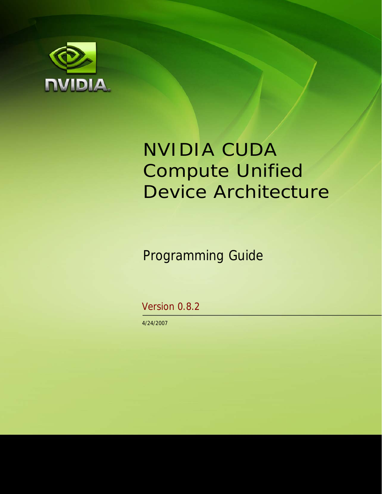

# NVIDIA CUDA Compute Unified Device Architecture

Programming Guide

[Version 0.8.2](#page-32-0)

4/24/2007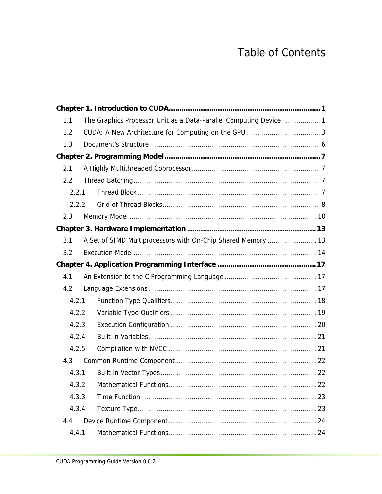## **Table of Contents**

| 1.1   | The Graphics Processor Unit as a Data-Parallel Computing Device 1 |
|-------|-------------------------------------------------------------------|
| 1.2   |                                                                   |
| 1.3   |                                                                   |
|       |                                                                   |
| 2.1   |                                                                   |
| 2.2   |                                                                   |
| 2.2.1 |                                                                   |
| 2.2.2 |                                                                   |
| 2.3   |                                                                   |
|       |                                                                   |
| 3.1   |                                                                   |
| 3.2   |                                                                   |
|       |                                                                   |
| 4.1   |                                                                   |
| 4.2   |                                                                   |
| 4.2.1 |                                                                   |
| 4.2.2 |                                                                   |
| 4.2.3 |                                                                   |
| 4.2.4 |                                                                   |
| 4.2.5 |                                                                   |
| 4.3   |                                                                   |
| 4.3.1 |                                                                   |
|       |                                                                   |
| 4.3.3 |                                                                   |
| 4.3.4 |                                                                   |
| 4.4   |                                                                   |
| 4.4.1 |                                                                   |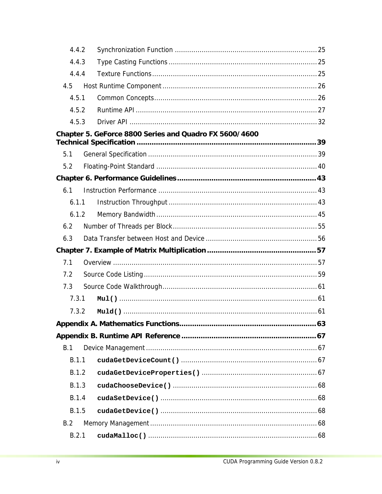| 4.4.2        |                                                        |  |
|--------------|--------------------------------------------------------|--|
| 4.4.3        |                                                        |  |
| 4.4.4        |                                                        |  |
| 4.5          |                                                        |  |
| 4.5.1        |                                                        |  |
| 4.5.2        |                                                        |  |
| 4.5.3        |                                                        |  |
|              | Chapter 5. GeForce 8800 Series and Quadro FX 5600/4600 |  |
| 5.1          |                                                        |  |
| 5.2          |                                                        |  |
|              |                                                        |  |
| 6.1          |                                                        |  |
| 6.1.1        |                                                        |  |
| 6.1.2        |                                                        |  |
| 6.2          |                                                        |  |
| 6.3          |                                                        |  |
|              |                                                        |  |
|              |                                                        |  |
| 7.1          |                                                        |  |
| 7.2          |                                                        |  |
| 7.3          |                                                        |  |
| 7.3.1        |                                                        |  |
| 7.3.2        |                                                        |  |
|              |                                                        |  |
|              |                                                        |  |
| B.1          |                                                        |  |
| B.1.1        |                                                        |  |
| B.1.2        |                                                        |  |
| <b>B.1.3</b> |                                                        |  |
| <b>B.1.4</b> |                                                        |  |
| <b>B.1.5</b> |                                                        |  |
| B.2          |                                                        |  |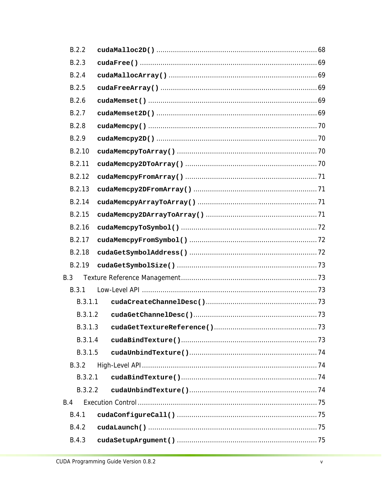| B.2.2        |  |
|--------------|--|
| B.2.3        |  |
| B.2.4        |  |
| B.2.5        |  |
| B.2.6        |  |
| B.2.7        |  |
| <b>B.2.8</b> |  |
| B.2.9        |  |
| B.2.10       |  |
| B.2.11       |  |
| B.2.12       |  |
| B.2.13       |  |
| B.2.14       |  |
| B.2.15       |  |
| B.2.16       |  |
| B.2.17       |  |
| B.2.18       |  |
| B.2.19       |  |
| <b>B.3</b>   |  |
| B.3.1        |  |
| B.3.1.1      |  |
| B.3.1.2      |  |
| B.3.1.3      |  |
| B.3.1.4      |  |
| B.3.1.5      |  |
| B.3.2        |  |
| B.3.2.1      |  |
| B 3 2 2      |  |
| B.4          |  |
| B.4.1        |  |
| B.4.2        |  |
| <b>B.4.3</b> |  |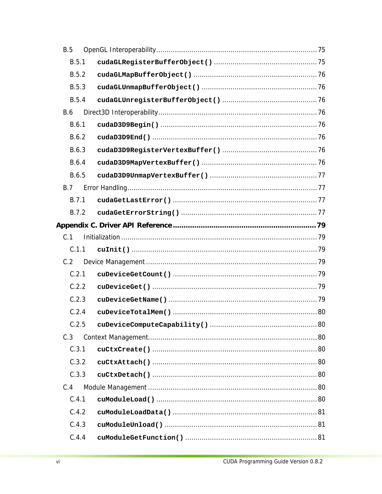| B.5          |  |
|--------------|--|
| B.5.1        |  |
| B.5.2        |  |
| <b>B.5.3</b> |  |
| <b>B.5.4</b> |  |
| <b>B.6</b>   |  |
| B.6.1        |  |
| B.6.2        |  |
| B.6.3        |  |
| B.6.4        |  |
| B.6.5        |  |
| B.7          |  |
| B.7.1        |  |
| B.7.2        |  |
|              |  |
| C.1          |  |
| C.1.1        |  |
| C.2          |  |
| C.2.1        |  |
| C.2.2        |  |
| C.2.3        |  |
| C.2.4        |  |
|              |  |
| C.3          |  |
| C.3.1        |  |
| C.3.2        |  |
| C.3.3        |  |
| C.4          |  |
| C.4.1        |  |
| C.4.2        |  |
| C.4.3        |  |
| C.4.4        |  |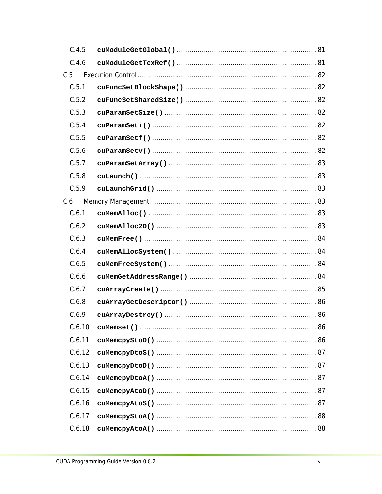|     | C.4.5  |  |
|-----|--------|--|
|     | C.4.6  |  |
| C.5 |        |  |
|     | C.5.1  |  |
|     | C.5.2  |  |
|     | C.5.3  |  |
|     | C.5.4  |  |
|     | C.5.5  |  |
|     | C.5.6  |  |
|     | C.5.7  |  |
|     | C.5.8  |  |
|     | C.5.9  |  |
| C.6 |        |  |
|     | C.6.1  |  |
|     | C.6.2  |  |
|     | C.6.3  |  |
|     | C.6.4  |  |
|     | C.6.5  |  |
|     | C.6.6  |  |
|     | C.6.7  |  |
|     | C.6.8  |  |
|     | C.6.9  |  |
|     | C.6.10 |  |
|     | C.6.11 |  |
|     | C.6.12 |  |
|     | C.6.13 |  |
|     | C.6.14 |  |
|     | C.6.15 |  |
|     | C.6.16 |  |
|     | C.6.17 |  |
|     | C.6.18 |  |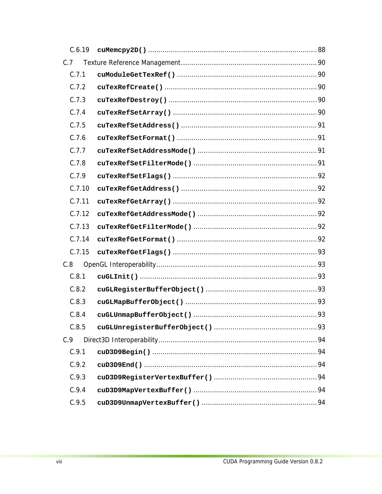|     | C.6.19 |  |
|-----|--------|--|
| C.7 |        |  |
|     | C.7.1  |  |
|     | C.7.2  |  |
|     | C.7.3  |  |
|     | C.7.4  |  |
|     | C.7.5  |  |
|     | C.7.6  |  |
|     | C.7.7  |  |
|     | C.7.8  |  |
|     | C.7.9  |  |
|     | C.7.10 |  |
|     | C.7.11 |  |
|     | C.7.12 |  |
|     | C.7.13 |  |
|     | C.7.14 |  |
|     | C.7.15 |  |
| C.8 |        |  |
|     | C.8.1  |  |
|     | C.8.2  |  |
|     | C.8.3  |  |
|     | C.8.4  |  |
|     | C.8.5  |  |
| C.9 |        |  |
|     | C.9.1  |  |
|     | C.9.2  |  |
|     | C.9.3  |  |
|     | C.9.4  |  |
|     | C.9.5  |  |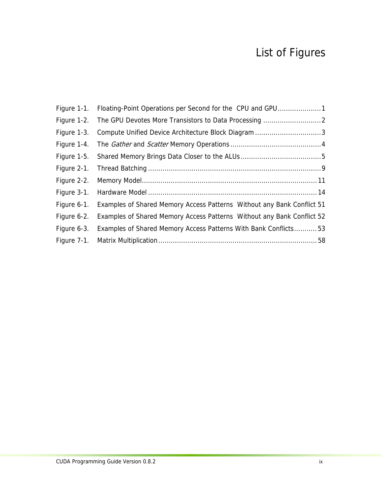## List of Figures

|             | Figure 1-1. Floating-Point Operations per Second for the CPU and GPU1              |
|-------------|------------------------------------------------------------------------------------|
|             |                                                                                    |
| Figure 1-3. | Compute Unified Device Architecture Block Diagram 3                                |
|             |                                                                                    |
|             |                                                                                    |
|             |                                                                                    |
|             |                                                                                    |
|             |                                                                                    |
|             | Figure 6-1. Examples of Shared Memory Access Patterns Without any Bank Conflict 51 |
|             | Figure 6-2. Examples of Shared Memory Access Patterns Without any Bank Conflict 52 |
|             | Figure 6-3. Examples of Shared Memory Access Patterns With Bank Conflicts53        |
|             |                                                                                    |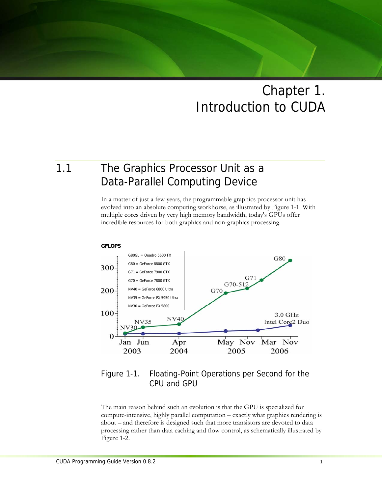## Chapter 1. Introduction to CUDA

## <span id="page-10-2"></span><span id="page-10-0"></span>1.1 The Graphics Processor Unit as a Data-Parallel Computing Device

In a matter of just a few years, the programmable graphics processor unit has evolved into an absolute computing workhorse, as illustrated by [Figure 1-1.](#page-10-1) With multiple cores driven by very high memory bandwidth, today's GPUs offer incredible resources for both graphics and non-graphics processing.



### <span id="page-10-1"></span>Figure 1-1. Floating-Point Operations per Second for the CPU and GPU

The main reason behind such an evolution is that the GPU is specialized for compute-intensive, highly parallel computation – exactly what graphics rendering is about – and therefore is designed such that more transistors are devoted to data processing rather than data caching and flow control, as schematically illustrated by [Figure 1-2.](#page-11-1)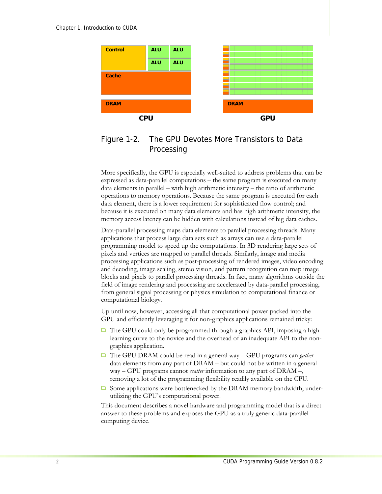<span id="page-11-0"></span>

<span id="page-11-1"></span>Figure 1-2. The GPU Devotes More Transistors to Data Processing

More specifically, the GPU is especially well-suited to address problems that can be expressed as data-parallel computations – the same program is executed on many data elements in parallel – with high arithmetic intensity – the ratio of arithmetic operations to memory operations. Because the same program is executed for each data element, there is a lower requirement for sophisticated flow control; and because it is executed on many data elements and has high arithmetic intensity, the memory access latency can be hidden with calculations instead of big data caches.

Data-parallel processing maps data elements to parallel processing threads. Many applications that process large data sets such as arrays can use a data-parallel programming model to speed up the computations. In 3D rendering large sets of pixels and vertices are mapped to parallel threads. Similarly, image and media processing applications such as post-processing of rendered images, video encoding and decoding, image scaling, stereo vision, and pattern recognition can map image blocks and pixels to parallel processing threads. In fact, many algorithms outside the field of image rendering and processing are accelerated by data-parallel processing, from general signal processing or physics simulation to computational finance or computational biology.

Up until now, however, accessing all that computational power packed into the GPU and efficiently leveraging it for non-graphics applications remained tricky:

- $\Box$  The GPU could only be programmed through a graphics API, imposing a high learning curve to the novice and the overhead of an inadequate API to the nongraphics application.
- The GPU DRAM could be read in a general way GPU programs can *gather* data elements from any part of DRAM – but could not be written in a general way – GPU programs cannot *scatter* information to any part of DRAM –, removing a lot of the programming flexibility readily available on the CPU.
- $\Box$  Some applications were bottlenecked by the DRAM memory bandwidth, underutilizing the GPU's computational power.

This document describes a novel hardware and programming model that is a direct answer to these problems and exposes the GPU as a truly generic data-parallel computing device.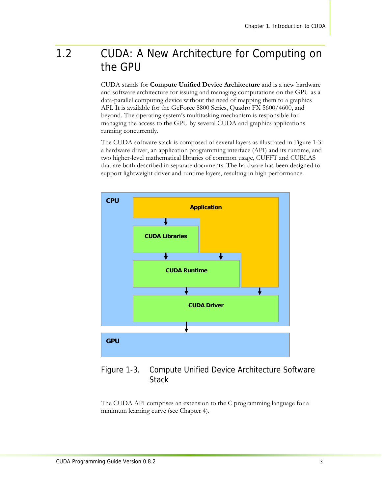## <span id="page-12-0"></span>1.2 CUDA: A New Architecture for Computing on the GPU

CUDA stands for **Compute Unified Device Architecture** and is a new hardware and software architecture for issuing and managing computations on the GPU as a data-parallel computing device without the need of mapping them to a graphics API. It is available for the GeForce 8800 Series, Quadro FX 5600/4600, and beyond. The operating system's multitasking mechanism is responsible for managing the access to the GPU by several CUDA and graphics applications running concurrently.

The CUDA software stack is composed of several layers as illustrated in [Figure 1-3:](#page-12-1) a hardware driver, an application programming interface (API) and its runtime, and two higher-level mathematical libraries of common usage, CUFFT and CUBLAS that are both described in separate documents. The hardware has been designed to support lightweight driver and runtime layers, resulting in high performance.



### <span id="page-12-1"></span>Figure 1-3. Compute Unified Device Architecture Software **Stack**

The CUDA API comprises an extension to the C programming language for a minimum learning curve (see [Chapter 4](#page-26-1)).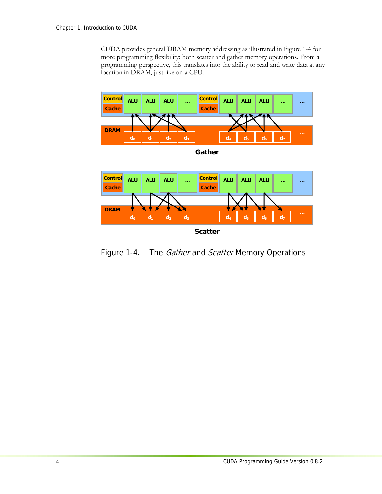<span id="page-13-0"></span>CUDA provides general DRAM memory addressing as illustrated in [Figure 1-4](#page-13-1) for more programming flexibility: both scatter and gather memory operations. From a programming perspective, this translates into the ability to read and write data at any location in DRAM, just like on a CPU.



<span id="page-13-1"></span>Figure 1-4. The *Gather* and *Scatter* Memory Operations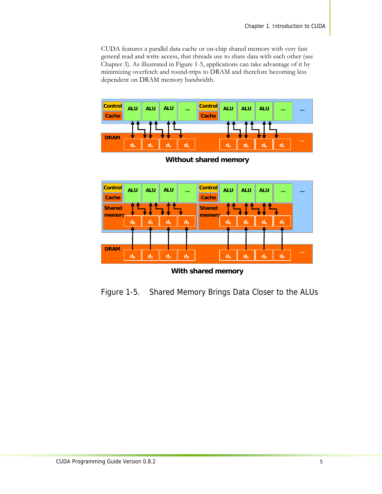<span id="page-14-0"></span>CUDA features a parallel data cache or on-chip shared memory with very fast general read and write access, that threads use to share data with each other (see [Chapter 3](#page-22-1)). As illustrated in [Figure 1-5,](#page-14-1) applications can take advantage of it by minimizing overfetch and round-trips to DRAM and therefore becoming less dependent on DRAM memory bandwidth.



**Without shared memory** 



**With shared memory** 

<span id="page-14-1"></span>Figure 1-5. Shared Memory Brings Data Closer to the ALUs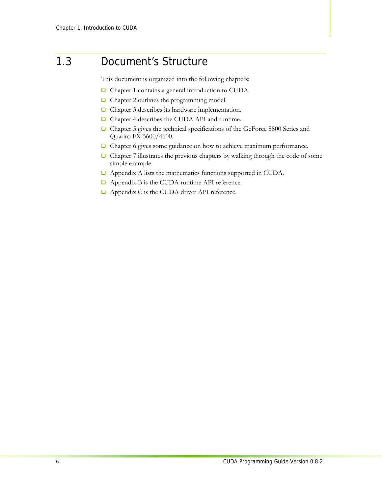## <span id="page-15-0"></span>1.3 Document's Structure

This document is organized into the following chapters:

- □ [Chapter 1](#page-10-2) contains a general introduction to CUDA.
- **□** [Chapter 2](#page-16-1) outlines the programming model.
- □ [Chapter 3](#page-22-1) describes its hardware implementation.
- □ [Chapter 4](#page-26-1) describes the CUDA API and runtime.
- □ [Chapter 5](#page-48-1) gives the technical specifications of the GeForce 8800 Series and Quadro FX 5600/4600.
- □ [Chapter 6](#page-52-1) gives some guidance on how to achieve maximum performance.
- $\Box$  [Chapter 7](#page-66-1) illustrates the previous chapters by walking through the code of some simple example.
- **Q** [Appendix A](#page-72-1) lists the mathematics functions supported in CUDA.
- [Appendix B](#page-76-1) is the CUDA runtime API reference.
- [Appendix C](#page-88-1) is the CUDA driver API reference.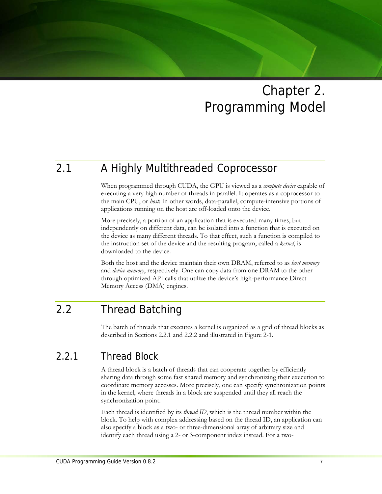## Chapter 2. Programming Model

## <span id="page-16-1"></span><span id="page-16-0"></span>2.1 A Highly Multithreaded Coprocessor

When programmed through CUDA, the GPU is viewed as a *compute device* capable of executing a very high number of threads in parallel. It operates as a coprocessor to the main CPU, or *host*: In other words, data-parallel, compute-intensive portions of applications running on the host are off-loaded onto the device.

More precisely, a portion of an application that is executed many times, but independently on different data, can be isolated into a function that is executed on the device as many different threads. To that effect, such a function is compiled to the instruction set of the device and the resulting program, called a *kernel*, is downloaded to the device.

Both the host and the device maintain their own DRAM, referred to as *host memory* and *device memory*, respectively. One can copy data from one DRAM to the other through optimized API calls that utilize the device's high-performance Direct Memory Access (DMA) engines.

## 2.2 Thread Batching

The batch of threads that executes a kernel is organized as a grid of thread blocks as described in Sections [2.2.1](#page-16-2) and [2.2.2](#page-17-1) and illustrated in [Figure 2-1.](#page-18-1)

### <span id="page-16-2"></span>2.2.1 Thread Block

A thread block is a batch of threads that can cooperate together by efficiently sharing data through some fast shared memory and synchronizing their execution to coordinate memory accesses. More precisely, one can specify synchronization points in the kernel, where threads in a block are suspended until they all reach the synchronization point.

Each thread is identified by its *thread ID*, which is the thread number within the block. To help with complex addressing based on the thread ID, an application can also specify a block as a two- or three-dimensional array of arbitrary size and identify each thread using a 2- or 3-component index instead. For a two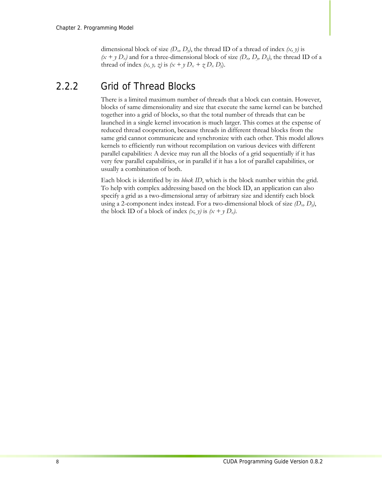dimensional block of size  $(D_x, D_y)$ , the thread ID of a thread of index  $(x, y)$  is  $(x + y D<sub>x</sub>)$  and for a three-dimensional block of size  $(D<sub>x</sub>, D<sub>y</sub>, D<sub>z</sub>)$ , the thread ID of a thread of index  $(x, y, z)$  is  $(x + y D_x + z D_x D_y)$ .

### <span id="page-17-1"></span><span id="page-17-0"></span>2.2.2 Grid of Thread Blocks

There is a limited maximum number of threads that a block can contain. However, blocks of same dimensionality and size that execute the same kernel can be batched together into a grid of blocks, so that the total number of threads that can be launched in a single kernel invocation is much larger. This comes at the expense of reduced thread cooperation, because threads in different thread blocks from the same grid cannot communicate and synchronize with each other. This model allows kernels to efficiently run without recompilation on various devices with different parallel capabilities: A device may run all the blocks of a grid sequentially if it has very few parallel capabilities, or in parallel if it has a lot of parallel capabilities, or usually a combination of both.

Each block is identified by its *block ID*, which is the block number within the grid. To help with complex addressing based on the block ID, an application can also specify a grid as a two-dimensional array of arbitrary size and identify each block using a 2-component index instead. For a two-dimensional block of size  $(D_x, D_y)$ , the block ID of a block of index  $(x, y)$  is  $(x + y D_x)$ .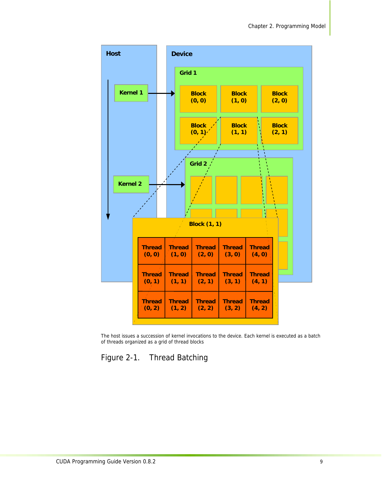<span id="page-18-0"></span>

The host issues a succession of kernel invocations to the device. Each kernel is executed as a batch of threads organized as a grid of thread blocks

<span id="page-18-1"></span>Figure 2-1. Thread Batching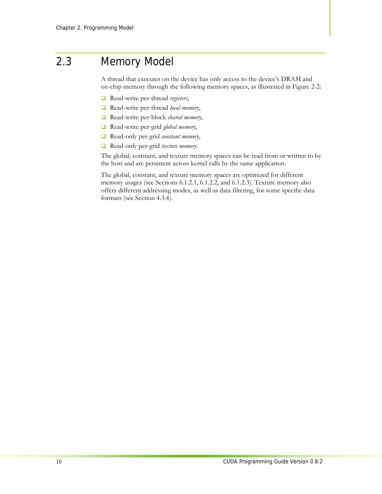## <span id="page-19-1"></span><span id="page-19-0"></span>2.3 Memory Model

A thread that executes on the device has only access to the device's DRAM and on-chip memory through the following memory spaces, as illustrated in [Figure 2-2:](#page-20-1)

- Read-write per-thread *registers*,
- Read-write per-thread *local memory*,
- Read-write per-block *shared memory*,
- Read-write per-grid *global memory*,
- Read-only per-grid *constant memory*,
- Read-only per-grid *texture memory*.

The global, constant, and texture memory spaces can be read from or written to by the host and are persistent across kernel calls by the same application.

The global, constant, and texture memory spaces are optimized for different memory usages (see Sections [6.1.2.1](#page-55-0), [6.1.2.2](#page-56-0), and [6.1.2.3\)](#page-56-1). Texture memory also offers different addressing modes, as well as data filtering, for some specific data formats (see Section [4.3.4](#page-32-1)).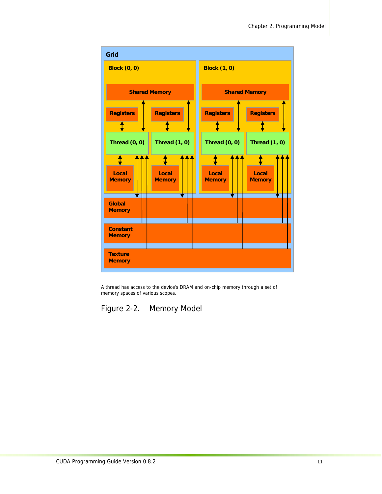<span id="page-20-0"></span>

A thread has access to the device's DRAM and on-chip memory through a set of memory spaces of various scopes.

### <span id="page-20-1"></span>Figure 2-2. Memory Model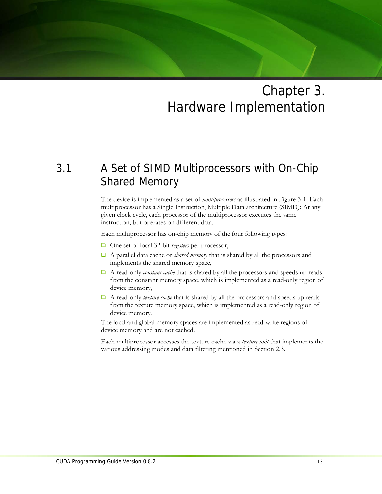## Chapter 3. Hardware Implementation

## <span id="page-22-1"></span><span id="page-22-0"></span>3.1 A Set of SIMD Multiprocessors with On-Chip Shared Memory

The device is implemented as a set of *multiprocessors* as illustrated in [Figure 3-1.](#page-23-1) Each multiprocessor has a Single Instruction, Multiple Data architecture (SIMD): At any given clock cycle, each processor of the multiprocessor executes the same instruction, but operates on different data.

Each multiprocessor has on-chip memory of the four following types:

- One set of local 32-bit *registers* per processor,
- A parallel data cache or *shared memory* that is shared by all the processors and implements the shared memory space,
- A read-only *constant cache* that is shared by all the processors and speeds up reads from the constant memory space, which is implemented as a read-only region of device memory,
- A read-only *texture cache* that is shared by all the processors and speeds up reads from the texture memory space, which is implemented as a read-only region of device memory.

The local and global memory spaces are implemented as read-write regions of device memory and are not cached.

Each multiprocessor accesses the texture cache via a *texture unit* that implements the various addressing modes and data filtering mentioned in Section [2.3.](#page-19-1)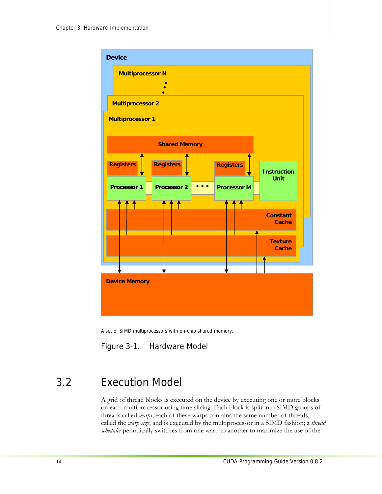<span id="page-23-0"></span>

A set of SIMD multiprocessors with on-chip shared memory.

Figure 3-1. Hardware Model

## <span id="page-23-1"></span>3.2 Execution Model

A grid of thread blocks is executed on the device by executing one or more blocks on each multiprocessor using time slicing: Each block is split into SIMD groups of threads called *warps*; each of these warps contains the same number of threads, called the *warp size*, and is executed by the multiprocessor in a SIMD fashion; a *thread scheduler* periodically switches from one warp to another to maximize the use of the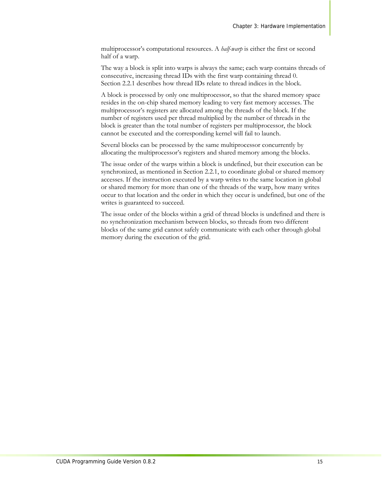multiprocessor's computational resources. A *half-warp* is either the first or second half of a warp.

The way a block is split into warps is always the same; each warp contains threads of consecutive, increasing thread IDs with the first warp containing thread 0. Section [2.2.1](#page-16-2) describes how thread IDs relate to thread indices in the block.

A block is processed by only one multiprocessor, so that the shared memory space resides in the on-chip shared memory leading to very fast memory accesses. The multiprocessor's registers are allocated among the threads of the block. If the number of registers used per thread multiplied by the number of threads in the block is greater than the total number of registers per multiprocessor, the block cannot be executed and the corresponding kernel will fail to launch.

Several blocks can be processed by the same multiprocessor concurrently by allocating the multiprocessor's registers and shared memory among the blocks.

The issue order of the warps within a block is undefined, but their execution can be synchronized, as mentioned in Section [2.2.1,](#page-16-2) to coordinate global or shared memory accesses. If the instruction executed by a warp writes to the same location in global or shared memory for more than one of the threads of the warp, how many writes occur to that location and the order in which they occur is undefined, but one of the writes is guaranteed to succeed.

The issue order of the blocks within a grid of thread blocks is undefined and there is no synchronization mechanism between blocks, so threads from two different blocks of the same grid cannot safely communicate with each other through global memory during the execution of the grid.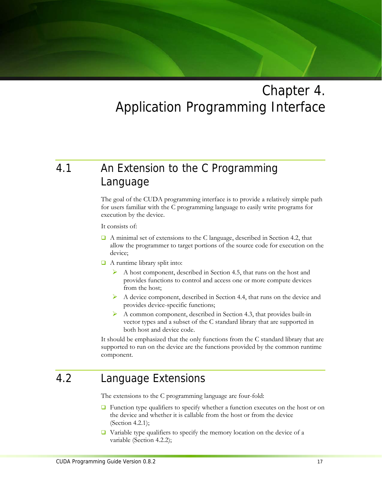## <span id="page-26-0"></span>Chapter 4. Application Programming Interface

## <span id="page-26-1"></span>4.1 An Extension to the C Programming Language

The goal of the CUDA programming interface is to provide a relatively simple path for users familiar with the C programming language to easily write programs for execution by the device.

#### It consists of:

- A minimal set of extensions to the C language, described in Section [4.2,](#page-26-2) that allow the programmer to target portions of the source code for execution on the device;
- $\Box$  A runtime library split into:
	- ¾ A host component, described in Section [4.5,](#page-35-1) that runs on the host and provides functions to control and access one or more compute devices from the host;
	- ¾ A device component, described in Section [4.4](#page-33-1), that runs on the device and provides device-specific functions;
	- $\triangleright$  A common component, described in Section [4.3](#page-31-1), that provides built-in vector types and a subset of the C standard library that are supported in both host and device code.

It should be emphasized that the only functions from the C standard library that are supported to run on the device are the functions provided by the common runtime component.

## <span id="page-26-2"></span>4.2 Language Extensions

The extensions to the C programming language are four-fold:

- $\Box$  Function type qualifiers to specify whether a function executes on the host or on the device and whether it is callable from the host or from the device (Section [4.2.1](#page-27-1));
- $\Box$  Variable type qualifiers to specify the memory location on the device of a variable (Section 4.2.2);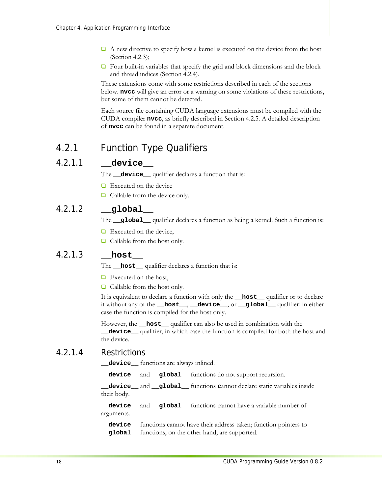- <span id="page-27-0"></span> $\Box$  A new directive to specify how a kernel is executed on the device from the host (Section [4.2.3](#page-28-1));
- and thread indices (Section 4.2.4).  $\Box$  Four built-in variables that specify the grid and block dimensions and the block

below. **nvcc** will give an error or a warning on some violations of these restrictions, These extensions come with some restrictions described in each of the sections but some of them cannot be detected.

CUDA compiler **nvcc**, as briefly described in Section 4.2.5. A detailed description Each source file containing CUDA language extensions must be compiled with the of **nvcc** can be found in a separate document.

#### <span id="page-27-1"></span>4.2.1 Function Type Qualifiers

### 4.2.1.1 **\_\_device\_\_**

The **\_\_device** qualifier declares a function that is:

- $\Box$  Executed on the device
- $\Box$  Callable from the device only.

#### 4.2.1.2 **\_\_global\_\_**

The **\_global** qualifier declares a function as being a kernel. Such a function is:

- $\Box$  Executed on the device,
- $\Box$  Callable from the host only.

#### 4.2.1.3 **\_\_host\_\_**

The **\_\_host\_\_** qualifier declares a function that is:

- $\Box$  Executed on the host,
- $\Box$  Callable from the host only.

It is equivalent to declare a function with only the **\_\_host** \_\_qualifier or to declare it without any of the **\_\_host\_\_\_, \_\_device\_\_\_**, or **\_\_global\_\_** qualifier; in either case the function is compiled for the host only.

**\_device** qualifier, in which case the function is compiled for both the host and However, the **\_\_host\_\_** qualifier can also be used in combination with the the device.

#### 4.2.1.4 Restrictions

 $\_\_\_\_\_\_\_\_\_\_\_\_\_\_\_\_\_\_\_\_\_\_\_\_\_\_\_\_\_\_\_\_\_\_\_.\_$ 

**\_\_global\_\_** functions do not support recursion. **\_\_device\_\_** and

annot declare static variables inside **\_\_device\_\_** and **\_\_global\_\_** functions **c** their body.

**\_\_device\_\_** and **\_\_global\_\_** functions cannot have a variable number of arguments.

**\_\_global\_** functions, on the other hand, are supported. **\_\_device\_\_** functions cannot have their address taken; function pointers to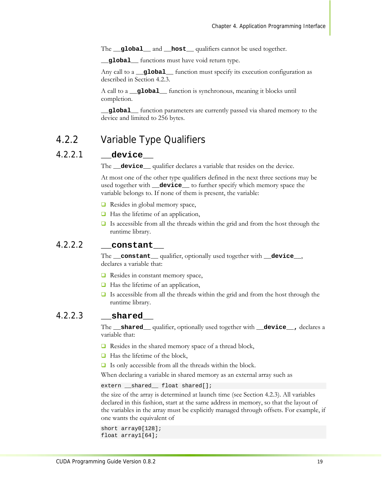<span id="page-28-0"></span>The **\_\_global\_\_** and **\_\_host\_\_** qualifiers cannot be used together.

**\_\_global\_\_** functions must have void return type.

Any call to a **\_global** function must specify its execution configuration as described in Section 4.2.3.

A call to a **\_\_global\_\_** function is synchronous, meaning it blocks until completion.

**\_\_global** function parameters are currently passed via shared memory to the device and limited to 256 bytes.

### <span id="page-28-1"></span>4.2.2 Variable Type Qualifiers

### 4.2.2.1 **\_\_device\_\_**

The **\_\_device** qualifier declares a variable that resides on the device.

At most one of the other type qualifiers defined in the next three sections may be used together with **\_\_device** \_\_ to further specify which memory space the variable belongs to. If none of them is present, the variable:

- $\Box$  Resides in global memory space,
- $\Box$  Has the lifetime of an application,
- $\Box$  Is accessible from all the threads within the grid and from the host through the runtime library.

#### 4.2.2.2 **\_\_constant\_\_**

The **\_\_constant** qualifier, optionally used together with **\_device**, declares a variable that:

- $\Box$  Resides in constant memory space,
- $\Box$  Has the lifetime of an application,
- $\Box$  Is accessible from all the threads within the grid and from the host through the runtime library.

#### <span id="page-28-2"></span>4.2.2.3 **\_\_shared\_\_**

The **\_\_shared** qualifier, optionally used together with **\_device**, declares a variable that:

 $\Box$  Resides in the shared memory space of a thread block,

 $\Box$  Has the lifetime of the block,

 $\Box$  Is only accessible from all the threads within the block.

When declaring a variable in shared memory as an external array such as

```
extern __shared__ float shared[];
```
the size of the array is determined at launch time (see Section 4.2.3). All v ariables declared in this fashion, start at the same address in memory, so that the layout of the variables in the array must be explicitly managed through offsets. For example, if one wants the equivalent of

```
short array0[128]; 
float array1[64];
```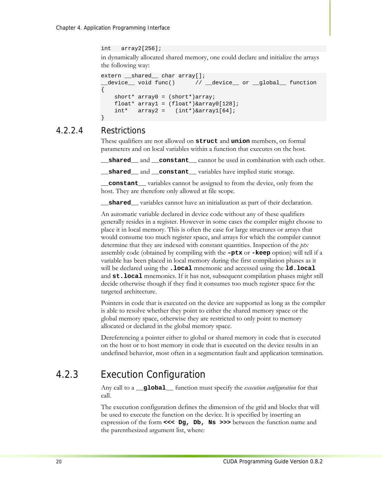<span id="page-29-0"></span>int array2[256];

in dynamically allocated shared memory, one could declare and initialize the arrays the following way:

```
extern __shared__ char array[];
__device__ void func() // __device__ or __global__ function 
{ 
     short* array0 = (short*)array; 
     float* array1 = (float*)&array0[128]; 
    int* array2 = (int*)\&array1[64];}
```
#### 4.2.2.4 **Restrictions**

These qualifiers are not allowed on **struct** and union members, on formal parameters and on local variables within a function that executes on the host.

**\_\_shared\_\_** and **\_\_constant** cannot be used in combination with each other.

**\_\_shared\_\_** and **\_\_constant\_\_** variables have implied static storage.

**\_\_constant** \_\_ variables cannot be assigned to from the device, only from the host. They are therefore only allowed at file scope.

**shared** variables cannot have an initialization as part of their declaration.

place it in local memory. This is often the case for large structures or arrays that variable has been placed in local memory during the first compilation phases as it and st.local mnemonics. If it has not, subsequent compilation phases might still An automatic variable declared in device code without any of these qualifiers generally resides in a register. However in some cases the compiler might choose to would consume too much register space, and arrays for which the compiler cannot determine that they are indexed with constant quantities. Inspection of the *ptx* assembly code (obtained by compiling with the **–ptx** or **-keep** option) will tell if a will be declared using the **.local** mnemonic and accessed using the **ld.local** decide otherwise though if they find it consumes too much register space for the targeted architecture.

Pointers in code that is executed on the device are supported as long as the compiler is able to resolve whether they point to either the shared memory space or the global memory space, otherwise they are restricted to only point to memory allocated or declared in the global memory space.

on the host or to host memory in code that is executed on the device results in an Dereferencing a pointer either to global or shared memory in code that is executed undefined behavior, most often in a segmentation fault and application termination.

### <span id="page-29-1"></span>4.2.3 Execution Configuration

Any call to a **\_\_global** \_\_ function must specify the *execution configuration* for that call.

be used to execute the function on the device. It is specified by inserting an The execution configuration defines the dimension of the grid and blocks that will expression of the form  $<<$  **Dg, Db, Ns** >>> between the function name and the parenthesized argument list, where: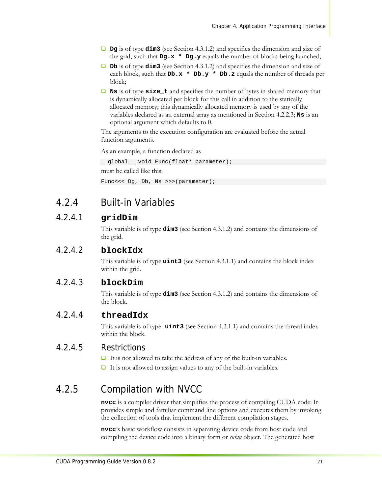- <span id="page-30-0"></span> **Dg** is of type **dim3** (see Section 4.3.1.2) and specifies the dimension and size of the grid, such that **Dg.x \* Dg.y** equals the number of blocks being launched;
- **Db** is of type **dim3** (see Section [4.3.1.2\)](#page-31-2) and specifies the dimension and size of each block, such that **Db.x** \* **Db.y** \* **Db.z** equals the number of threads per block;
- **Ns** is of type **size\_t** and specifies the number of bytes in shared memory that is dynamically allocated per block for this call in addition to the statically allocated memory; this dynamically allocated memory is used by any of the variables declared as an external array as mentioned in Section [4.2.2.3;](#page-28-2) **Ns** is an optional argument which defaults to 0.

Th e arguments to the execution configuration are evaluated before the actual function arguments.

As an example, a function declared as

```
__global__ void Func(float* parameter); 
must be called like this:
```
Func<<< Dg, Db, Ns >>>(parameter);

#### 4.2.4 Built-in Variables

### 4.2.4.1 **gridDim**

This variable is of type  $\dim 3$  (see Section 4.3.1.2) and contains the dimensions of the grid.

#### 4.2.4.2 **blockIdx**

This variable is of type **uint3** (see Section 4.3.1.1) and contains the block index within the grid.

#### 4.2.4.3 **blockDim**

This variable is of type **dim3** (see Section 4.3.1.2) and contains the dimensions of the block.

#### 4.2.4.4 **threadIdx**

This variable is of type **uint3** (see Section 4.3.1.1) and contains the thread index within the block.

#### 4.2.4.5 **Restrictions**

- $\Box$  It is not allowed to take the address of any of the built-in variables.
- $\Box$  It is not allowed to assign values to any of the built-in variables.

#### <span id="page-30-1"></span>4.2.5 Compilation with NVCC

nvcc is a compiler driver that simplifies the process of compiling CUDA code: It provides simple and familiar command line options and executes them by invoking the collection of tools that implement the different compilation stages.

compiling the device code into a binary form or *cubin* object. The generated host **nvcc**'s basic workflow consists in separating device code from host code and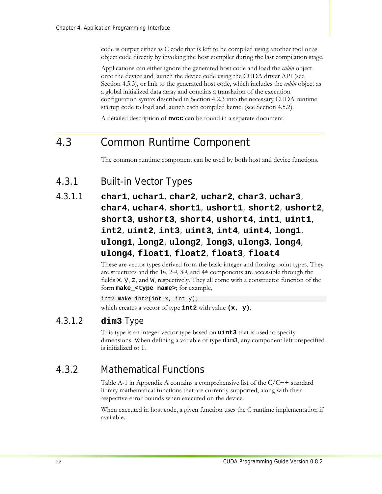<span id="page-31-0"></span>code is output either as C code that is left to be compiled using another tool or as object code directly by invoking the host compiler during the last compilation stag e.

Applications can either ignore the generated host code and load the *cubin* object onto the device and launch the device code using the CUDA driver API (see Section [4.5.3](#page-41-1)), or link to the generated host code, which includes the *cubin* object as a global initialized data array and contains a translation of the execution configuration syntax described in Section [4.2.3](#page-29-1) into the necessary CUDA runtime startup code to load and launch each compiled kernel (see Section [4.5.2\)](#page-36-1).

A detailed description of **nvcc** can be found in a separate document.

## <span id="page-31-1"></span>4.3 Common Runtime Component

The common runtime component can be used by both host and device functions.

- 4.3.1 Built-in Vector Types
- <span id="page-31-3"></span>**uchar2**, **char3**, **uchar3**, 4.3.1.1 **char1**, **uchar1**, **char2**,  $\mathbf{char4}$ , **uchar4**, **short1**, **ushort1**, **short2**, **ushort2**, **short3**, **ushort3**, **short4**, **ushort4**, **int1**, **uint1**, **int2**, **uint2**, **int3**, **uint3**, **int4**, **uint4**, **long1**, **ulong1**, **long2**, **ulong2**, **long3**, **ulong3**, **long4**, **ulong4**, **float1**, **float2**, **float3**, **float4**

These are vector types derived from the basic integer and floating-point types. They are structures and the 1st, 2nd, 3rd, and 4th components are accessible through the fields x, y, z, and w, respectively. They all come with a constructor function of the form **make\_<type name>**; for example,

int2 make\_int2(int x, int y); which creates a vector of type **int2** with value **(x, y)**.

#### <span id="page-31-2"></span>4.3.1.2 **dim3** Type

This type is an integer vector type based on **uint3** that is used to specify dimensions. When defining a variable of type dim3, any component left unspecified is initialized to 1.

#### 4.3.2 Mathematical Functions

Table A-1 in Appendix A contains a comprehensive list of the  $C/C++$  standard library mathematical functions that are currently supported, along with their respective error bounds when executed on the device.

When executed in host code, a given function uses the C runtime implementation if available.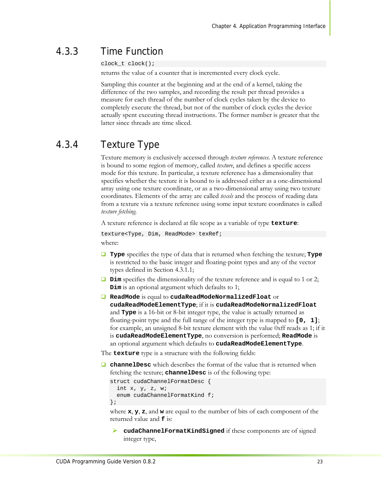### <span id="page-32-0"></span>4.3.3 Time Function

#### clock\_t clock();

returns the value of a counter that is incremented every clock cycle.

Sampling this counter at the beginning and at the end of a kernel, taking the difference of the two samples, and recording the result per thread provides a measure for each thread of the number of clock cycles taken by the device to completely execute the thread, but not of the number of clock cycles the device actually spent executing thread instructions. The former number is greater that the latter since threads are time sliced.

### <span id="page-32-1"></span>4.3.4 Texture Type

Texture memory is exclusively accessed through *texture references*. A texture reference is bound to some region of memory, called *texture*, and defines a specific access mode for this texture. In particular, a texture reference has a dimensionality that specifies whether the texture it is bound to is addressed either as a one-dimensional array using one texture coordinate, or as a two-dimensional array using two texture coordinates. Elements of the array are called *texels* and the process of reading data from a texture via a texture reference using some input texture coordinates is called *texture fetching*.

A texture reference is declared at file scope as a variable of type **texture**:

```
texture<Type, Dim, ReadMode> texRef;
```
where:

- **Type** specifies the type of data that is returned when fetching the texture; **Type** is restricted to the basic integer and floating-point types and any of the vector types defined in Section [4.3.1.1;](#page-31-3)
- **Dim** specifies the dimensionality of the texture reference and is equal to 1 or 2; **Dim** is an optional argument which defaults to 1;
- **ReadMode** is equal to **cudaReadModeNormalizedFloat** or **cudaReadModeElementType**; if it is **cudaReadModeNormalizedFloat**  and **Type** is a 16-bit or 8-bit integer type, the value is actually returned as floating-point type and the full range of the integer type is mapped to **[0, 1]**; for example, an unsigned 8-bit texture element with the value 0xff reads as 1; if it is **cudaReadModeElementType**, no conversion is performed; **ReadMode** is an optional argument which defaults to **cudaReadModeElementType**.

The **texture** type is a structure with the following fields:

 **channelDesc** which describes the format of the value that is returned when fetching the texture; **channelDesc** is of the following type:

```
struct cudaChannelFormatDesc { 
   int x, y, z, w; 
  enum cudaChannelFormatKind f;
};
```
where **x**, **y**, **z**, and **w** are equal to the number of bits of each component of the returned value and **f** is:

¾ **cudaChannelFormatKindSigned** if these components are of signed integer type,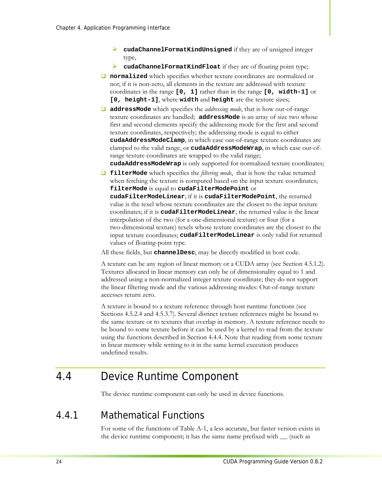- <span id="page-33-0"></span>¾ **cudaChannelFormatKindUnsigned** if they are of unsigned integer type,
- ¾ **cudaChannelFormatKindFloat** if they are of floating point type;
- **normalized** which specifies whether texture coordinates are normalized or not; if it is non-zero, all elements in the texture are addressed with texture coordinates in the range **[0, 1]** rather than in the range **[0, width-1]** or **[0, height-1]**, where **width** and **height** are the texture sizes;
- **addressMode** which specifies the *addressing mode*, that is how out-of-range texture coordinates are handled; **addressMode** is an array of size two whose first and second elements specify the addressing mode for the first and second texture coordinates, respectively; the addressing mode is equal to either **cudaAddressModeClamp**, in which case out-of-range texture coordinates are clamped to the valid range, or **cudaAddressModeWrap**, in which case out-ofrange texture coordinates are wrapped to the valid range;
	- **cudaAddressModeWrap** is only supported for normalized texture coordinates;
- **FilterMode** which specifies the *filtering mode*, that is how the value returned when fetching the texture is computed based on the input texture coordinates; **filterMode** is equal to **cudaFilterModePoint** or
	- **cudaFilterModeLinear**; if it is **cudaFilterModePoint**, the returned value is the texel whose texture coordinates are the closest to the input texture coordinates; if it is **cudaFilterModeLinear**, the returned value is the linear interpolation of the two (for a one-dimensional texture) or four (for a two-dimensional texture) texels whose texture coordinates are the closest to the input texture coordinates; **cudaFilterModeLinear** is only valid for returned values of floating-point type.

All these fields, but **channelDesc**, may be directly modified in host code.

A texture can be any region of linear memory or a CUDA array (see Section [4.5.1.2\)](#page-36-2). Textures allocated in linear memory can only be of dimensionality equal to 1 and addressed using a non-normalized integer texture coordinate; they do not support the linear filtering mode and the various addressing modes: Out-of-range texture accesses return zero.

A texture is bound to a texture reference through host runtime functions (see Sections [4.5.2.4](#page-38-0) and [4.5.3.7\)](#page-45-0). Several distinct texture references might be bound to the same texture or to textures that overlap in memory. A texture reference needs to be bound to some texture before it can be used by a kernel to read from the texture using the functions described in Section [4.4.4.](#page-34-1) Note that reading from some texture in linear memory while writing to it in the same kernel execution produces undefined results.

### <span id="page-33-1"></span>4.4 Device Runtime Component

The device runtime component can only be used in device functions.

### 4.4.1 Mathematical Functions

For some of the functions of [Table A-1](#page-72-2), a less accurate, but faster version exists in the device runtime component; it has the same name prefixed with **\_\_** (such as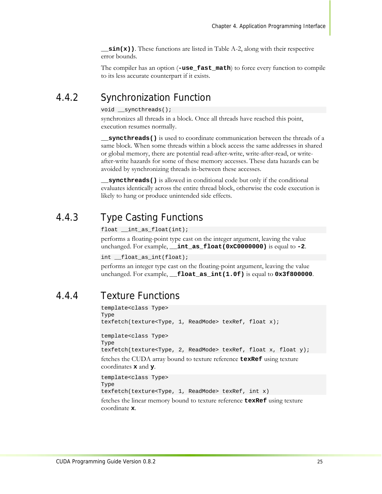**sin(x))**. These functions are listed in [Table A-2](#page-74-0), along with their respective error bounds.

The compiler has an option (**-use\_fast\_math**) to force every function to compile to its less accurate counterpart if it exists.

### <span id="page-34-0"></span>4.4.2 Synchronization Function

#### void \_\_syncthreads();

synchronizes all threads in a block. Once all threads have reached this point, execution resumes normally.

**syncthreads()** is used to coordinate communication between the threads of a same block. When some threads within a block access the same addresses in shared or global memory, there are potential read-after-write, write-after-read, or writeafter-write hazards for some of these memory accesses. These data hazards can be avoided by synchronizing threads in-between these accesses.

**\_\_syncthreads()** is allowed in conditional code but only if the conditional evaluates identically across the entire thread block, otherwise the code execution is likely to hang or produce unintended side effects.

### 4.4.3 Type Casting Functions

float \_\_int\_as\_float(int);

performs a floating-point type cast on the integer argument, leaving the value unchanged. For example, **\_\_int\_as\_float(0xC0000000)** is equal to **-2**.

int \_\_float\_as\_int(float);

performs an integer type cast on the floating-point argument, leaving the value unchanged. For example, **\_\_float\_as\_int(1.0f)** is equal to **0x3f800000**.

### <span id="page-34-1"></span>4.4.4 Texture Functions

```
template<class Type> 
Type 
texfetch(texture<Type, 1, ReadMode> texRef, float x); 
template<class Type> 
Type 
texfetch(texture<Type, 2, ReadMode> texRef, float x, float y); 
fetches the CUDA array bound to texture reference texRef using texture 
coordinates x and y. 
template<class Type> 
Type 
texfetch(texture<Type, 1, ReadMode> texRef, int x)
```
fetches the linear memory bound to texture reference **texRef** using texture coordinate **x**.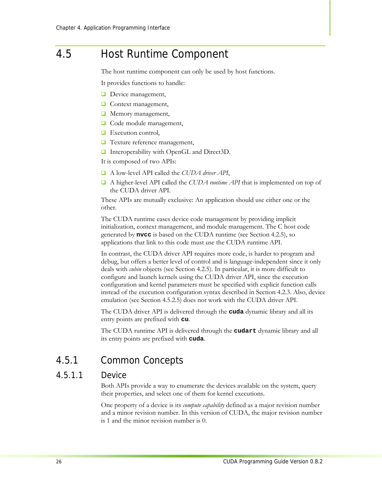## <span id="page-35-1"></span><span id="page-35-0"></span>4.5 Host Runtime Component

The host runtime component can only be used by host functions.

It provides functions to handle:

- **D** Device management,
- **Q** Context management,
- **Memory management,**
- □ Code module management,
- □ Execution control,
- □ Texture reference management,
- □ Interoperability with OpenGL and Direct3D.

It is composed of two APIs:

- A low-level API called the *CUDA driver API*,
- A higher-level API called the *CUDA runtime API* that is implemented on top of the CUDA driver API.

These APIs are mutually exclusive: An application should use either one or the other.

The CUDA runtime eases device code management by providing implicit initialization, context management, and module management. The C host code generated by **nvcc** is based on the CUDA runtime (see Section [4.2.5](#page-30-1)), so applications that link to this code must use the CUDA runtime API.

In contrast, the CUDA driver API requires more code, is harder to program and debug, but offers a better level of control and is language-independent since it only deals with *cubin* objects (see Section [4.2.5\)](#page-30-1). In particular, it is more difficult to configure and launch kernels using the CUDA driver API, since the execution configuration and kernel parameters must be specified with explicit function calls instead of the execution configuration syntax described in Section [4.2.3.](#page-29-1) Also, device emulation (see Section [4.5.2.5](#page-39-0)) does not work with the CUDA driver API.

The CUDA driver API is delivered through the **cuda** dynamic library and all its entry points are prefixed with **cu**.

The CUDA runtime API is delivered through the **cudart** dynamic library and all its entry points are prefixed with **cuda**.

### 4.5.1 Common Concepts

### 4.5.1.1 Device

Both APIs provide a way to enumerate the devices available on the system, query their properties, and select one of them for kernel executions.

One property of a device is its *compute capability* defined as a major revision number and a minor revision number. In this version of CUDA, the major revision number is 1 and the minor revision number is 0.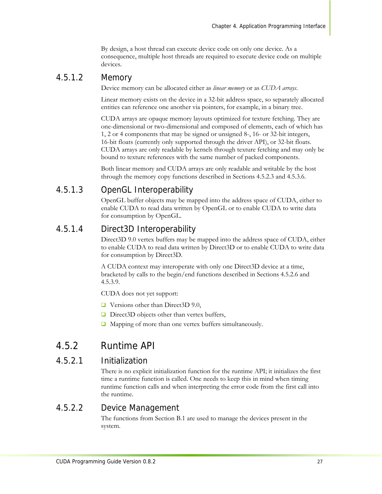By design, a host thread can execute device code on only one device. As a consequence, multiple host threads are required to execute device code on multiple devices.

## 4.5.1.2 Memory

Device memory can be allocated either as *linear memory* or as *CUDA arrays*.

Linear memory exists on the device in a 32-bit address space, so separately allocated entities can reference one another via pointers, for example, in a binary tree.

CUDA arrays are opaque memory layouts optimized for texture fetching. They are one-dimensional or two-dimensional and composed of elements, each of which has 1, 2 or 4 components that may be signed or unsigned 8-, 16- or 32-bit integers, 16-bit floats (currently only supported through the driver API), or 32-bit floats. CUDA arrays are only readable by kernels through texture fetching and may only be bound to texture references with the same number of packed components.

Both linear memory and CUDA arrays are only readable and writable by the host through the memory copy functions described in Sections [4.5.2.3](#page-37-0) and [4.5.3.6](#page-43-0).

## 4.5.1.3 OpenGL Interoperability

OpenGL buffer objects may be mapped into the address space of CUDA, either to enable CUDA to read data written by OpenGL or to enable CUDA to write data for consumption by OpenGL.

## 4.5.1.4 Direct3D Interoperability

Direct3D 9.0 vertex buffers may be mapped into the address space of CUDA, either to enable CUDA to read data written by Direct3D or to enable CUDA to write data for consumption by Direct3D.

A CUDA context may interoperate with only one Direct3D device at a time, bracketed by calls to the begin/end functions described in Sections [4.5.2.6](#page-39-0) and [4.5.3.9.](#page-45-0)

CUDA does not yet support:

- □ Versions other than Direct3D 9.0,
- $\Box$  Direct3D objects other than vertex buffers,
- $\Box$  Mapping of more than one vertex buffers simultaneously.

## 4.5.2 Runtime API

### 4.5.2.1 Initialization

There is no explicit initialization function for the runtime API; it initializes the first time a runtime function is called. One needs to keep this in mind when timing runtime function calls and when interpreting the error code from the first call into the runtime.

### 4.5.2.2 Device Management

The functions from Section [B.1](#page-76-0) are used to manage the devices present in the system.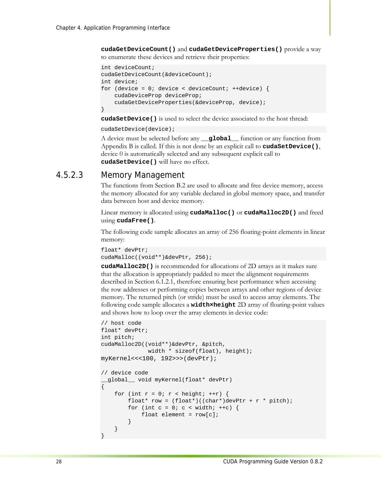**cudaGetDeviceCount()** and **cudaGetDeviceProperties()** provide a way to enumerate these devices and retrieve their properties:

```
int deviceCount; 
cudaGetDeviceCount(&deviceCount); 
int device; 
for (device = 0; device < deviceCount; ++device) {
     cudaDeviceProp deviceProp; 
     cudaGetDeviceProperties(&deviceProp, device); 
}
```
**cudaSetDevice()** is used to select the device associated to the host thread:

cudaSetDevice(device);

A device must be selected before any **\_\_global\_\_** function or any function from [Appendix B](#page-76-1) is called. If this is not done by an explicit call to **cudaSetDevice()**, device 0 is automatically selected and any subsequent explicit call to **cudaSetDevice()** will have no effect.

#### <span id="page-37-0"></span>4.5.2.3 Memory Management

The functions from Section [B.2](#page-77-0) are used to allocate and free device memory, access the memory allocated for any variable declared in global memory space, and transfer data between host and device memory.

Linear memory is allocated using **cudaMalloc()** or **cudaMalloc2D()** and freed using **cudaFree()**.

The following code sample allocates an array of 256 floating-point elements in linear memory:

```
float* devPtr; 
cudaMalloc((void**)&devPtr, 256);
```
**cudaMalloc2D()** is recommended for allocations of 2D arrays as it makes sure that the allocation is appropriately padded to meet the alignment requirements described in Section [6.1.2.1](#page-55-0), therefore ensuring best performance when accessing the row addresses or performing copies between arrays and other regions of device memory. The returned pitch (or stride) must be used to access array elements. The following code sample allocates a **width×height** 2D array of floating-point values and shows how to loop over the array elements in device code:

```
// host code 
float* devPtr; 
int pitch; 
cudaMalloc2D((void**)&devPtr, &pitch, 
               width * sizeof(float), height); 
myKernel<<<100, 192>>>(devPtr); 
// device code 
__global__ void myKernel(float* devPtr) 
{ 
    for (int r = 0; r < height; ++r) {
        float* row = (fload*)((char*)devPtr + r * pitch);for (int c = 0; c < width; ++c) {
            float element = row[c];
         } 
     } 
}
```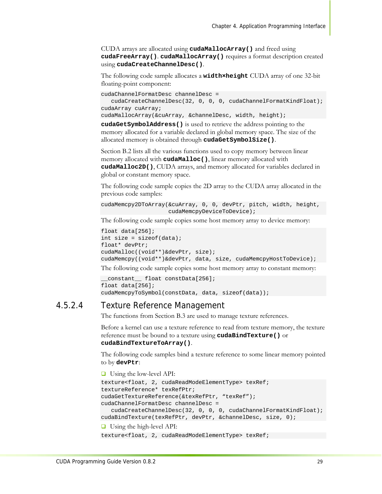CUDA arrays are allocated using **cudaMallocArray()** and freed using **cudaFreeArray()**. **cudaMallocArray()** requires a format description created using **cudaCreateChannelDesc()**.

The following code sample allocates a **width×height** CUDA array of one 32-bit floating-point component:

cudaChannelFormatDesc channelDesc = cudaCreateChannelDesc(32, 0, 0, 0, cudaChannelFormatKindFloat); cudaArray cuArray;

cudaMallocArray(&cuArray, &channelDesc, width, height);

**cudaGetSymbolAddress()** is used to retrieve the address pointing to the memory allocated for a variable declared in global memory space. The size of the allocated memory is obtained through **cudaGetSymbolSize()**.

Section [B.2](#page-77-0) lists all the various functions used to copy memory between linear memory allocated with **cudaMalloc()**, linear memory allocated with **cudaMalloc2D()**, CUDA arrays, and memory allocated for variables declared in global or constant memory space.

The following code sample copies the 2D array to the CUDA array allocated in the previous code samples:

cudaMemcpy2DToArray(&cuArray, 0, 0, devPtr, pitch, width, height, cudaMemcpyDeviceToDevice);

The following code sample copies some host memory array to device memory:

```
float data[256]; 
int size = size of(data);
float* devPtr; 
cudaMalloc((void**)&devPtr, size); 
cudaMemcpy((void**)&devPtr, data, size, cudaMemcpyHostToDevice); 
The following code sample copies some host memory array to constant memory:
```

```
__constant__ float constData[256]; 
float data[256]; 
cudaMemcpyToSymbol(constData, data, sizeof(data));
```
#### 4.5.2.4 Texture Reference Management

The functions from Section [B.3](#page-82-0) are used to manage texture references.

Before a kernel can use a texture reference to read from texture memory, the texture reference must be bound to a texture using **cudaBindTexture()** or **cudaBindTextureToArray()**.

The following code samples bind a texture reference to some linear memory pointed to by **devPtr**:

 $\Box$  Using the low-level API:

```
texture<float, 2, cudaReadModeElementType> texRef; 
textureReference* texRefPtr; 
cudaGetTextureReference(&texRefPtr, "texRef"); 
cudaChannelFormatDesc channelDesc = 
    cudaCreateChannelDesc(32, 0, 0, 0, cudaChannelFormatKindFloat); 
cudaBindTexture(texRefPtr, devPtr, &channelDesc, size, 0); 
\Box Using the high-level API:
texture<float, 2, cudaReadModeElementType> texRef;
```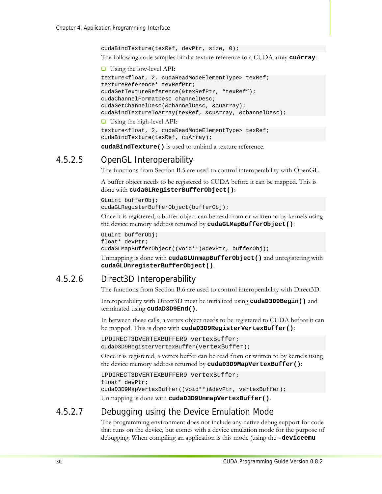cudaBindTexture(texRef, devPtr, size, 0);

The following code samples bind a texture reference to a CUDA array **cuArray**:

 $\Box$  Using the low-level API:

```
texture<float, 2, cudaReadModeElementType> texRef; 
textureReference* texRefPtr; 
cudaGetTextureReference(&texRefPtr, "texRef"); 
cudaChannelFormatDesc channelDesc; 
cudaGetChannelDesc(&channelDesc, &cuArray); 
cudaBindTextureToArray(texRef, &cuArray, &channelDesc); 
\Box Using the high-level API:
```
texture<float, 2, cudaReadModeElementType> texRef; cudaBindTexture(texRef, cuArray);

**cudaBindTexture()** is used to unbind a texture reference.

### 4.5.2.5 OpenGL Interoperability

The functions from Section [B.5](#page-84-0) are used to control interoperability with OpenGL.

A buffer object needs to be registered to CUDA before it can be mapped. This is done with **cudaGLRegisterBufferObject()**:

GLuint bufferObj; cudaGLRegisterBufferObject(bufferObj);

Once it is registered, a buffer object can be read from or written to by kernels using the device memory address returned by **cudaGLMapBufferObject()**:

```
GLuint bufferObj; 
float* devPtr; 
cudaGLMapBufferObject((void**)&devPtr, bufferObj);
```
Unmapping is done with **cudaGLUnmapBufferObject()** and unregistering with **cudaGLUnregisterBufferObject()**.

## <span id="page-39-0"></span>4.5.2.6 Direct3D Interoperability

The functions from Section [B.6](#page-85-0) are used to control interoperability with Direct3D.

Interoperability with Direct3D must be initialized using **cudaD3D9Begin()** and terminated using **cudaD3D9End()**.

In between these calls, a vertex object needs to be registered to CUDA before it can be mapped. This is done with **cudaD3D9RegisterVertexBuffer()**:

```
LPDIRECT3DVERTEXBUFFER9 vertexBuffer; 
cudaD3D9RegisterVertexBuffer(vertexBuffer);
```
Once it is registered, a vertex buffer can be read from or written to by kernels using the device memory address returned by **cudaD3D9MapVertexBuffer()**:

```
LPDIRECT3DVERTEXBUFFER9 vertexBuffer; 
float* devPtr; 
cudaD3D9MapVertexBuffer((void**)&devPtr, vertexBuffer); 
Unmapping is done with cudaD3D9UnmapVertexBuffer().
```
## 4.5.2.7 Debugging using the Device Emulation Mode

The programming environment does not include any native debug support for code that runs on the device, but comes with a device emulation mode for the purpose of debugging. When compiling an application is this mode (using the **-deviceemu**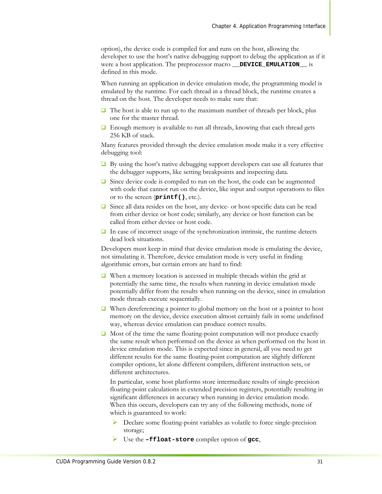option), the device code is compiled for and runs on the host, allowing the developer to use the host's native debugging support to debug the application as if it were a host application. The preprocessor macro **\_\_DEVICE\_EMULATION\_\_** is defined in this mode.

When running an application in device emulation mode, the programming model is emulated by the runtime. For each thread in a thread block, the runtime creates a thread on the host. The developer needs to make sure that:

- $\Box$  The host is able to run up to the maximum number of threads per block, plus one for the master thread.
- $\Box$  Enough memory is available to run all threads, knowing that each thread gets 256 KB of stack.

Many features provided through the device emulation mode make it a very effective debugging tool:

- $\Box$  By using the host's native debugging support developers can use all features that the debugger supports, like setting breakpoints and inspecting data.
- $\Box$  Since device code is compiled to run on the host, the code can be augmented with code that cannot run on the device, like input and output operations to files or to the screen (**printf()**, etc.).
- $\Box$  Since all data resides on the host, any device- or host-specific data can be read from either device or host code; similarly, any device or host function can be called from either device or host code.
- $\Box$  In case of incorrect usage of the synchronization intrinsic, the runtime detects dead lock situations.

Developers must keep in mind that device emulation mode is emulating the device, not simulating it. Therefore, device emulation mode is very useful in finding algorithmic errors, but certain errors are hard to find:

- $\Box$  When a memory location is accessed in multiple threads within the grid at potentially the same time, the results when running in device emulation mode potentially differ from the results when running on the device, since in emulation mode threads execute sequentially.
- $\Box$  When dereferencing a pointer to global memory on the host or a pointer to host memory on the device, device execution almost certainly fails in some undefined way, whereas device emulation can produce correct results.
- $\Box$  Most of the time the same floating-point computation will not produce exactly the same result when performed on the device as when performed on the host in device emulation mode. This is expected since in general, all you need to get different results for the same floating-point computation are slightly different compiler options, let alone different compilers, different instruction sets, or different architectures.

In particular, some host platforms store intermediate results of single-precision floating-point calculations in extended precision registers, potentially resulting in significant differences in accuracy when running in device emulation mode. When this occurs, developers can try any of the following methods, none of which is guaranteed to work:

- $\triangleright$  Declare some floating-point variables as volatile to force single-precision storage;
- ¾ Use the **–ffloat-store** compiler option of **gcc**,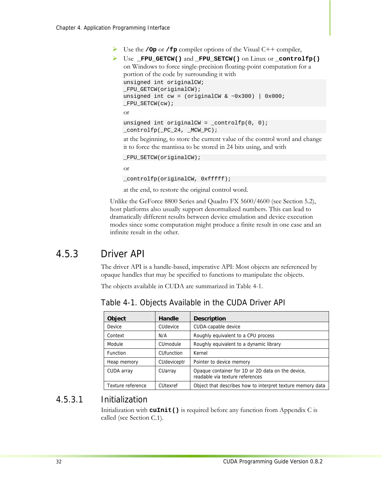¾ Use the **/Op** or **/fp** compiler options of the Visual C++ compiler,

¾ Use **\_FPU\_GETCW()** and **\_FPU\_SETCW()** on Linux or **\_controlfp()** on Windows to force single-precision floating-point computation for a portion of the code by surrounding it with unsigned int originalCW; \_FPU\_GETCW(originalCW); unsigned int  $cw = (originalCW & ~0x300)$  |  $0x000$ ; \_FPU\_SETCW(cw); or unsigned int originalCW =  $_{\text{controllp}(0, 0)}$ ;

\_controlfp(\_PC\_24, \_MCW\_PC);

at the beginning, to store the current value of the control word and change it to force the mantissa to be stored in 24 bits using, and with

\_FPU\_SETCW(originalCW);

or

\_controlfp(originalCW, 0xfffff);

at the end, to restore the original control word.

Unlike the GeForce 8800 Series and Quadro FX 5600/4600 (see Section 5.2), modes since some computation might produce a finite result in one case and an host platforms also usually support denormalized numbers. This can lead to dramatically different results between device emulation and device execution infinite result in the other.

## 4.5.3 Driver API

The driver API is a handle-based, imperative API: Most objects are referenced by opaque handles that may be specified to functions to manipulate the objects.

The objects available in CUDA are summarized in Table 4-1.

| <b>Object</b>     | <b>Handle</b> | <b>Description</b>                                                                   |  |
|-------------------|---------------|--------------------------------------------------------------------------------------|--|
| Device            | CUdevice      | CUDA-capable device                                                                  |  |
| Context           | N/A           | Roughly equivalent to a CPU process                                                  |  |
| Module            | CUmodule      | Roughly equivalent to a dynamic library                                              |  |
| Function          | CUfunction    | Kernel                                                                               |  |
| Heap memory       | CUdeviceptr   | Pointer to device memory                                                             |  |
| CUDA array        | CUarray       | Opaque container for 1D or 2D data on the device,<br>readable via texture references |  |
| Texture reference | CUtexref      | Object that describes how to interpret texture memory data                           |  |

Table 4-1. Objects Available in the CUDA Driver API

## 4.5.3.1 Initialization

Initialization with **cuInit()** is required before any function from Appendix C is called (see Section [C.1\)](#page-88-0).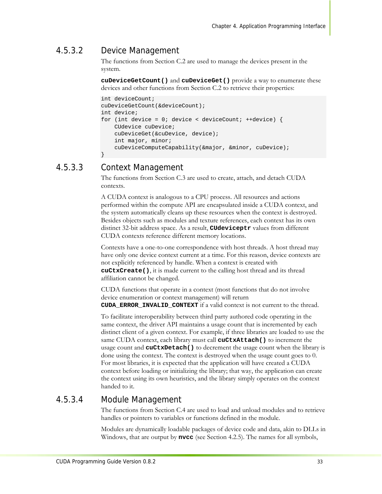## 4.5.3.2 Device Management

The functions from Section [C.2](#page-88-1) are used to manage the devices present in the system.

**cuDeviceGetCount()** and **cuDeviceGet()** provide a way to enumerate these devices and other functions from Section [C.2](#page-88-1) to retrieve their properties:

```
int deviceCount; 
cuDeviceGetCount(&deviceCount); 
int device; 
for (int device = 0; device < deviceCount; ++device) {
     CUdevice cuDevice; 
     cuDeviceGet(&cuDevice, device); 
     int major, minor; 
     cuDeviceComputeCapability(&major, &minor, cuDevice); 
}
```
## 4.5.3.3 Context Management

The functions from Section [C.3](#page-89-0) are used to create, attach, and detach CUDA contexts.

A CUDA context is analogous to a CPU process. All resources and actions performed within the compute API are encapsulated inside a CUDA context, and the system automatically cleans up these resources when the context is destroyed. Besides objects such as modules and texture references, each context has its own distinct 32-bit address space. As a result, **CUdeviceptr** values from different CUDA contexts reference different memory locations.

Contexts have a one-to-one correspondence with host threads. A host thread may have only one device context current at a time. For this reason, device contexts are not explicitly referenced by handle. When a context is created with **cuCtxCreate()**, it is made current to the calling host thread and its thread affiliation cannot be changed.

CUDA functions that operate in a context (most functions that do not involve device enumeration or context management) will return

**CUDA\_ERROR\_INVALID\_CONTEXT** if a valid context is not current to the thread.

To facilitate interoperability between third party authored code operating in the same context, the driver API maintains a usage count that is incremented by each distinct client of a given context. For example, if three libraries are loaded to use the same CUDA context, each library must call **cuCtxAttach()** to increment the usage count and **cuCtxDetach()** to decrement the usage count when the library is done using the context. The context is destroyed when the usage count goes to 0. For most libraries, it is expected that the application will have created a CUDA context before loading or initializing the library; that way, the application can create the context using its own heuristics, and the library simply operates on the context handed to it.

### 4.5.3.4 Module Management

The functions from Section [C.4](#page-89-1) are used to load and unload modules and to retrieve handles or pointers to variables or functions defined in the module.

Modules are dynamically loadable packages of device code and data, akin to DLLs in Windows, that are output by **nvcc** (see Section [4.2.5\)](#page-30-0). The names for all symbols,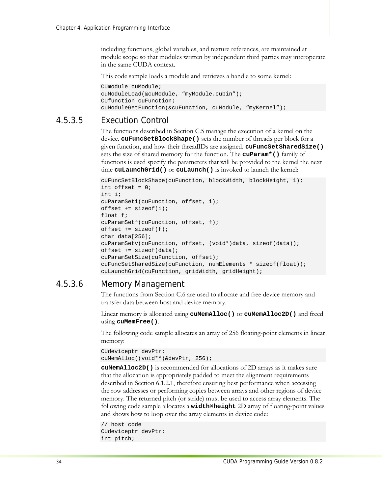including functions, global variables, and texture references, are maintained at module scope so that modules written by independent third parties may interoperate in the same CUDA context.

This code sample loads a module and retrieves a handle to some kernel:

```
CUmodule cuModule; 
cuModuleLoad(&cuModule, "myModule.cubin"); 
CUfunction cuFunction; 
cuModuleGetFunction(&cuFunction, cuModule, "myKernel");
```
#### 4.5.3.5 Execution Control

The functions described in Section [C.5](#page-91-0) manage the execution of a kernel on the device. **cuFuncSetBlockShape()** sets the number of threads per block for a given function, and how their threadIDs are assigned. **cuFuncSetSharedSize()** sets the size of shared memory for the function. The **cuParam\*()** family of functions is used specify the parameters that will be provided to the kernel the next time **cuLaunchGrid()** or **cuLaunch()** is invoked to launch the kernel:

```
cuFuncSetBlockShape(cuFunction, blockWidth, blockHeight, 1); 
int offset = 0;
int i; 
cuParamSeti(cuFunction, offset, i); 
offset += sizeof(i); 
float f; 
cuParamSetf(cuFunction, offset, f); 
offset += sizeof(f);char data[256]; 
cuParamSetv(cuFunction, offset, (void*)data, sizeof(data)); 
offset += sizeof(data); 
cuParamSetSize(cuFunction, offset); 
cuFuncSetSharedSize(cuFunction, numElements * sizeof(float)); 
cuLaunchGrid(cuFunction, gridWidth, gridHeight);
```
### <span id="page-43-0"></span>4.5.3.6 Memory Management

The functions from Section [C.6](#page-92-0) are used to allocate and free device memory and transfer data between host and device memory.

Linear memory is allocated using **cuMemAlloc()** or **cuMemAlloc2D()** and freed using **cuMemFree()**.

The following code sample allocates an array of 256 floating-point elements in linear memory:

```
CUdeviceptr devPtr; 
cuMemAlloc((void**)&devPtr, 256);
```
**cuMemAlloc2D()** is recommended for allocations of 2D arrays as it makes sure that the allocation is appropriately padded to meet the alignment requirements described in Section [6.1.2.1](#page-55-0), therefore ensuring best performance when accessing the row addresses or performing copies between arrays and other regions of device memory. The returned pitch (or stride) must be used to access array elements. The following code sample allocates a **width×height** 2D array of floating-point values and shows how to loop over the array elements in device code:

// host code CUdeviceptr devPtr; int pitch;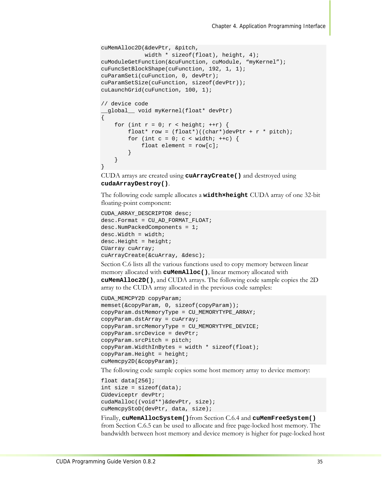```
cuMemAlloc2D(&devPtr, &pitch, 
              width * sizeof(float), height, 4); 
cuModuleGetFunction(&cuFunction, cuModule, "myKernel"); 
cuFuncSetBlockShape(cuFunction, 192, 1, 1); 
cuParamSeti(cuFunction, 0, devPtr); 
cuParamSetSize(cuFunction, sizeof(devPtr)); 
cuLaunchGrid(cuFunction, 100, 1); 
// device code 
__global__ void myKernel(float* devPtr) 
{ 
    for (int r = 0; r < height; +r) {
        float* row = (float*)((char*)devPtr + r * pitch);
        for (int c = 0; c < width; ++c) {
            float element = row[c];
 } 
     } 
}
```
CUDA arrays are created using **cuArrayCreate()** and destroyed using **cudaArrayDestroy()**.

The following code sample allocates a **width×height** CUDA array of one 32-bit floating-point component:

```
CUDA_ARRAY_DESCRIPTOR desc; 
desc.Format = CU_AD_FORMAT_FLOAT; 
desc.NumPackedComponents = 1; 
desc.Width = width; 
desc.Height = height;CUarray cuArray; 
cuArrayCreate(&cuArray, &desc);
```
Section [C.6](#page-92-0) lists all the various functions used to copy memory between linear memory allocated with **cuMemAlloc()**, linear memory allocated with **cuMemAlloc2D()**, and CUDA arrays. The following code sample copies the 2D array to the CUDA array allocated in the previous code samples:

```
CUDA_MEMCPY2D copyParam; 
memset(&copyParam, 0, sizeof(copyParam));
copyParam.dstMemoryType = CU_MEMORYTYPE_ARRAY; 
copyParam.dstArray = cuArray; 
copyParam.srcMemoryType = CU_MEMORYTYPE_DEVICE; 
copyParam.srcDevice = devPtr; 
copyParam.srcPitch = pitch; 
copyParam.WidthInBytes = width * sizeof(float); 
copyParam.Height = height; 
cuMemcpy2D(&copyParam);
```
The following code sample copies some host memory array to device memory:

```
float data[256];
int size = sizeof(data); 
CUdeviceptr devPtr; 
cudaMalloc((void**)&devPtr, size); 
cuMemcpyStoD(devPtr, data, size);
```
Finally, **cuMemAllocSystem()**from Section [C.6.4](#page-93-0) and **cuMemFreeSystem()** from Section [C.6.5](#page-93-1) can be used to allocate and free page-locked host memory. The bandwidth between host memory and device memory is higher for page-locked host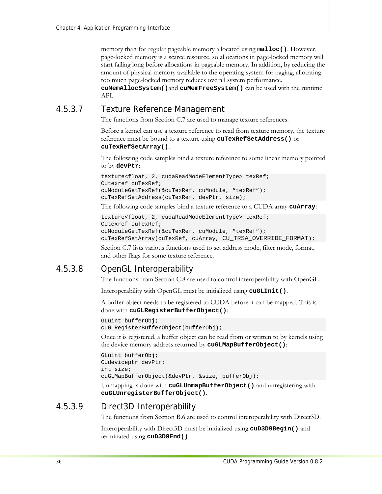memory than for regular pageable memory allocated using **malloc()**. However, page-locked memory is a scarce resource, so allocations in page-locked memory will start failing long before allocations in pageable memory. In addition, by reducing the amount of physical memory available to the operating system for paging, allocating too much page-locked memory reduces overall system performance.

**cuMemAllocSystem()**and **cuMemFreeSystem()** can be used with the runtime API.

## 4.5.3.7 Texture Reference Management

The functions from Section [C.7](#page-99-0) are used to manage texture references.

Before a kernel can use a texture reference to read from texture memory, the texture reference must be bound to a texture using **cuTexRefSetAddress()** or **cuTexRefSetArray()**.

The following code samples bind a texture reference to some linear memory pointed to by **devPtr**:

```
texture<float, 2, cudaReadModeElementType> texRef; 
CUtexref cuTexRef; 
cuModuleGetTexRef(&cuTexRef, cuModule, "texRef"); 
cuTexRefSetAddress(cuTexRef, devPtr, size);
```
The following code samples bind a texture reference to a CUDA array **cuArray**:

```
texture<float, 2, cudaReadModeElementType> texRef; 
CUtexref cuTexRef; 
cuModuleGetTexRef(&cuTexRef, cuModule, "texRef");
```

```
cuTexRefSetArray(cuTexRef, cuArray, CU_TRSA_OVERRIDE_FORMAT);
```
Section [C.7](#page-99-0) lists various functions used to set address mode, filter mode, format, and other flags for some texture reference.

## 4.5.3.8 OpenGL Interoperability

The functions from Section [C.8](#page-102-0) are used to control interoperability with OpenGL.

Interoperability with OpenGL must be initialized using **cuGLInit()**.

A buffer object needs to be registered to CUDA before it can be mapped. This is done with **cuGLRegisterBufferObject()**:

```
GLuint bufferObj; 
cuGLRegisterBufferObject(bufferObj);
```
Once it is registered, a buffer object can be read from or written to by kernels using the device memory address returned by **cuGLMapBufferObject()**:

```
GLuint bufferObj; 
CUdeviceptr devPtr; 
int size; 
cuGLMapBufferObject(&devPtr, &size, bufferObj);
```
Unmapping is done with **cuGLUnmapBufferObject()** and unregistering with **cuGLUnregisterBufferObject()**.

## <span id="page-45-0"></span>4.5.3.9 Direct3D Interoperability

The functions from Section [B.6](#page-85-0) are used to control interoperability with Direct3D.

Interoperability with Direct3D must be initialized using **cuD3D9Begin()** and terminated using **cuD3D9End()**.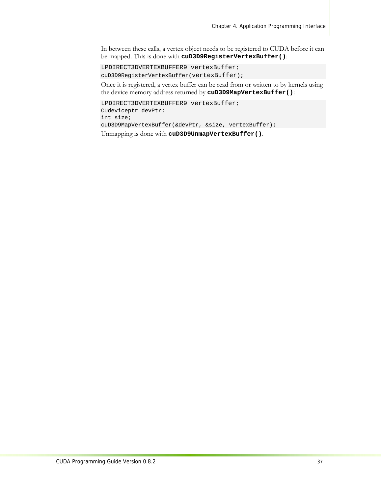In between these calls, a vertex object needs to be registered to CUDA before it can be mapped. This is done with **cuD3D9RegisterVertexBuffer()**:

LPDIRECT3DVERTEXBUFFER9 vertexBuffer; cuD3D9RegisterVertexBuffer(vertexBuffer);

Once it is registered, a vertex buffer can be read from or written to by kernels using the device memory address returned by **cuD3D9MapVertexBuffer()**:

LPDIRECT3DVERTEXBUFFER9 vertexBuffer; CUdeviceptr devPtr; int size; cuD3D9MapVertexBuffer(&devPtr, &size, vertexBuffer); Unmapping is done with **cuD3D9UnmapVertexBuffer()**.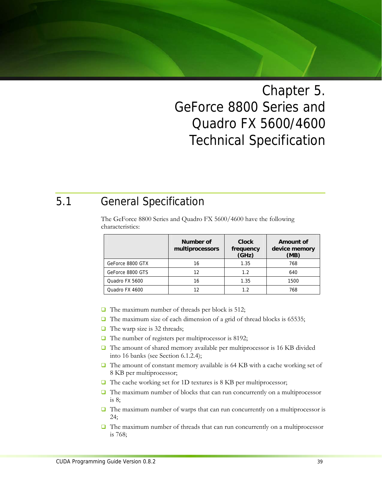# Chapter 5. GeForce 8800 Series and Quadro FX 5600/4600 Technical Specification

# <span id="page-48-0"></span>5.1 General Specification

The GeForce 8800 Series and Quadro FX 5600/4600 have the following characteristics:

|                  | Number of<br>multiprocessors | <b>Clock</b><br>frequency<br>(GHz) | Amount of<br>device memory<br>(MB) |
|------------------|------------------------------|------------------------------------|------------------------------------|
| GeForce 8800 GTX | 16                           | 1.35                               | 768                                |
| GeForce 8800 GTS | 12                           | 1.2                                | 640                                |
| Quadro FX 5600   | 16                           | 1.35                               | 1500                               |
| Quadro FX 4600   | 12                           | 1.2                                | 768                                |

- $\Box$  The maximum number of threads per block is 512;
- $\Box$  The maximum size of each dimension of a grid of thread blocks is 65535;
- $\Box$  The warp size is 32 threads;
- $\Box$  The number of registers per multiprocessor is 8192;
- □ The amount of shared memory available per multiprocessor is 16 KB divided into 16 banks (see Section [6.1.2.4\)](#page-57-0);
- $\Box$  The amount of constant memory available is 64 KB with a cache working set of 8 KB per multiprocessor;
- $\Box$  The cache working set for 1D textures is 8 KB per multiprocessor;
- $\Box$  The maximum number of blocks that can run concurrently on a multiprocessor is 8;
- The maximum number of warps that can run concurrently on a multiprocessor is 24;
- $\Box$  The maximum number of threads that can run concurrently on a multiprocessor is 768;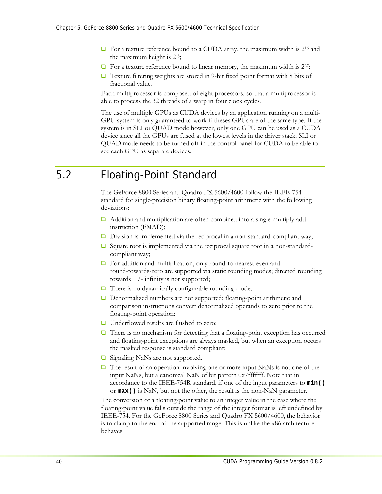- $\Box$  For a texture reference bound to a CUDA array, the maximum width is 2<sup>16</sup> and the maximum height is 215;
- $\Box$  For a texture reference bound to linear memory, the maximum width is  $2^{27}$ ;
- $\Box$  Texture filtering weights are stored in 9-bit fixed point format with 8 bits of fractional value.

Each multiprocessor is composed of eight processors, so that a multiprocessor is able to process the 32 threads of a warp in four clock cycles.

The use of multiple GPUs as CUDA devices by an application running on a multi-GPU system is only guaranteed to work if theses GPUs are of the same type. If the system is in SLI or QUAD mode however, only one GPU can be used as a CUDA device since all the GPUs are fused at the lowest levels in the driver stack. SLI or QUAD mode needs to be turned off in the control panel for CUDA to be able to see each GPU as separate devices.

## 5.2 Floating-Point Standard

The GeForce 8800 Series and Quadro FX 5600/4600 follow the IEEE-754 standard for single-precision binary floating-point arithmetic with the following deviations:

- $\Box$  Addition and multiplication are often combined into a single multiply-add instruction (FMAD);
- Division is implemented via the reciprocal in a non-standard-compliant way;
- $\Box$  Square root is implemented via the reciprocal square root in a non-standardcompliant way;
- □ For addition and multiplication, only round-to-nearest-even and round-towards-zero are supported via static rounding modes; directed rounding towards  $+/-$  infinity is not supported;
- $\Box$  There is no dynamically configurable rounding mode;
- Denormalized numbers are not supported; floating-point arithmetic and comparison instructions convert denormalized operands to zero prior to the floating-point operation;
- □ Underflowed results are flushed to zero;
- $\Box$  There is no mechanism for detecting that a floating-point exception has occurred and floating-point exceptions are always masked, but when an exception occurs the masked response is standard compliant;
- □ Signaling NaNs are not supported.
- $\Box$  The result of an operation involving one or more input NaNs is not one of the input NaNs, but a canonical NaN of bit pattern 0x7fffffff. Note that in accordance to the IEEE-754R standard, if one of the input parameters to **min()** or **max()** is NaN, but not the other, the result is the non-NaN parameter.

The conversion of a floating-point value to an integer value in the case where the floating-point value falls outside the range of the integer format is left undefined by IEEE-754. For the GeForce 8800 Series and Quadro FX 5600/4600, the behavior is to clamp to the end of the supported range. This is unlike the x86 architecture behaves.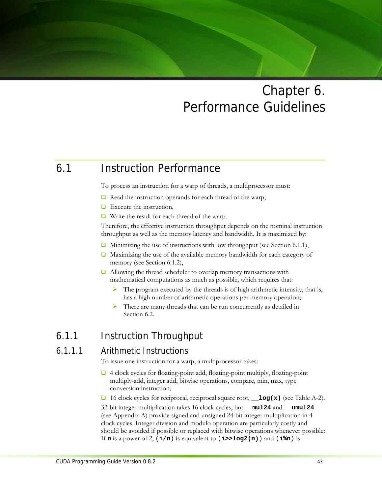# Chapter 6. Performance Guidelines

# 6.1 Instruction Performance

To process an instruction for a warp of threads, a multiprocessor must:

- $\Box$  Read the instruction operands for each thread of the warp,
- $\Box$  Execute the instruction,
- $\Box$  Write the result for each thread of the warp.

Therefore, the effective instruction throughput depends on the nominal instruction throughput as well as the memory latency and bandwidth. It is maximized by:

- $\Box$  Minimizing the use of instructions with low throughput (see Section [6.1.1](#page-52-0)),
- $\Box$  Maximizing the use of the available memory bandwidth for each category of memory (see Section [6.1.2](#page-54-0)),
- $\Box$  Allowing the thread scheduler to overlap memory transactions with mathematical computations as much as possible, which requires that:
	- $\triangleright$  The program executed by the threads is of high arithmetic intensity, that is, has a high number of arithmetic operations per memory operation;
	- ¾ There are many threads that can be run concurrently as detailed in Section [6.2.](#page-64-0)

## <span id="page-52-0"></span>6.1.1 Instruction Throughput

## 6.1.1.1 Arithmetic Instructions

To issue one instruction for a warp, a multiprocessor takes:

- □ 4 clock cycles for floating-point add, floating-point multiply, floating-point multiply-add, integer add, bitwise operations, compare, min, max, type conversion instruction;
- 16 clock cycles for reciprocal, reciprocal square root, **\_\_log(x)** (see [Table A-2](#page-74-0)).

32-bit integer multiplication takes 16 clock cycles, but **\_\_mul24** and **\_\_umul24** (see [Appendix A](#page-72-0)) provide signed and unsigned 24-bit integer multiplication in 4 clock cycles. Integer division and modulo operation are particularly costly and should be avoided if possible or replaced with bitwise operations whenever possible: If **n** is a power of 2, (**i/n**) is equivalent to (**i>>log2(n)**) and (**i%n**) is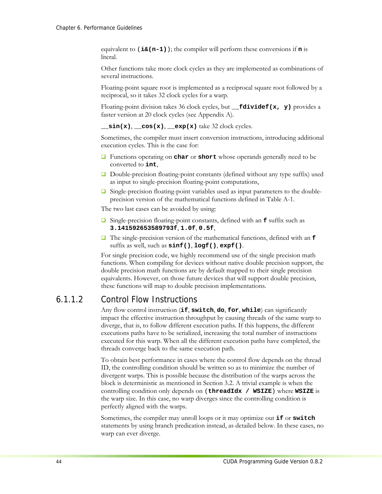equivalent to (**i&(n-1)**); the compiler will perform these conversions if **n** is literal.

Other functions take more clock cycles as they are implemented as combinations of several instructions.

Floating-point square root is implemented as a reciprocal square root followed by a reciprocal, so it takes 32 clock cycles for a warp.

Floating-point division takes 36 clock cycles, but **\_\_fdividef(x, y)** provides a faster version at 20 clock cycles (see [Appendix A\)](#page-72-0).

**\_\_sin(x)**, **\_\_cos(x)**, **\_\_exp(x)** take 32 clock cycles.

Sometimes, the compiler must insert conversion instructions, introducing additional execution cycles. This is the case for:

- Functions operating on **char** or **short** whose operands generally need to be converted to **int**,
- Double-precision floating-point constants (defined without any type suffix) used as input to single-precision floating-point computations,
- $\Box$  Single-precision floating-point variables used as input parameters to the doubleprecision version of the mathematical functions defined in [Table A-1](#page-72-1).

The two last cases can be avoided by using:

- Single-precision floating-point constants, defined with an **f** suffix such as **3.141592653589793f**, **1.0f**, **0.5f**,
- □ The single-precision version of the mathematical functions, defined with an **f** suffix as well, such as **sinf()**, **logf()**, **expf()**.

For single precision code, we highly recommend use of the single precision math functions. When compiling for devices without native double precision support, the double precision math functions are by default mapped to their single precision equivalents. However, on those future devices that will support double precision, these functions will map to double precision implementations.

## 6.1.1.2 Control Flow Instructions

Any flow control instruction (**if**, **switch**, **do**, **for**, **while**) can significantly impact the effective instruction throughput by causing threads of the same warp to diverge, that is, to follow different execution paths. If this happens, the different executions paths have to be serialized, increasing the total number of instructions executed for this warp. When all the different execution paths have completed, the threads converge back to the same execution path.

To obtain best performance in cases where the control flow depends on the thread ID, the controlling condition should be written so as to minimize the number of divergent warps. This is possible because the distribution of the warps across the block is deterministic as mentioned in Section [3.2.](#page-23-0) A trivial example is when the controlling condition only depends on (**threadIdx / WSIZE**) where **WSIZE** is the warp size. In this case, no warp diverges since the controlling condition is perfectly aligned with the warps.

Sometimes, the compiler may unroll loops or it may optimize out **if** or **switch** statements by using branch predication instead, as detailed below. In these cases, no warp can ever diverge.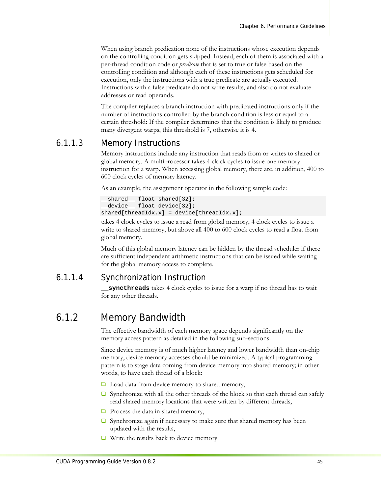When using branch predication none of the instructions whose execution depends on the controlling condition gets skipped. Instead, each of them is associated with a per-thread condition code or *predicate* that is set to true or false based on the controlling condition and although each of these instructions gets scheduled for execution, only the instructions with a true predicate are actually executed. Instructions with a false predicate do not write results, and also do not evaluate addresses or read operands.

The compiler replaces a branch instruction with predicated instructions only if the number of instructions controlled by the branch condition is less or equal to a certain threshold: If the compiler determines that the condition is likely to produce many divergent warps, this threshold is 7, otherwise it is 4.

#### 6.1.1.3 Memory Instructions

Memory instructions include any instruction that reads from or writes to shared or global memory. A multiprocessor takes 4 clock cycles to issue one memory instruction for a warp. When accessing global memory, there are, in addition, 400 to 600 clock cycles of memory latency.

As an example, the assignment operator in the following sample code:

```
__shared__ float shared[32]; 
__device__ float device[32]; 
shared[threadIdx.x] = device[threadIdx.x];
```
takes 4 clock cycles to issue a read from global memory, 4 clock cycles to issue a write to shared memory, but above all 400 to 600 clock cycles to read a float from global memory.

Much of this global memory latency can be hidden by the thread scheduler if there are sufficient independent arithmetic instructions that can be issued while waiting for the global memory access to complete.

## 6.1.1.4 Synchronization Instruction

**\_\_syncthreads** takes 4 clock cycles to issue for a warp if no thread has to wait for any other threads.

## <span id="page-54-0"></span>6.1.2 Memory Bandwidth

The effective bandwidth of each memory space depends significantly on the memory access pattern as detailed in the following sub-sections.

Since device memory is of much higher latency and lower bandwidth than on-chip memory, device memory accesses should be minimized. A typical programming pattern is to stage data coming from device memory into shared memory; in other words, to have each thread of a block:

- $\Box$  Load data from device memory to shared memory,
- $\Box$  Synchronize with all the other threads of the block so that each thread can safely read shared memory locations that were written by different threads,
- $\Box$  Process the data in shared memory,
- $\Box$  Synchronize again if necessary to make sure that shared memory has been updated with the results,
- $\Box$  Write the results back to device memory.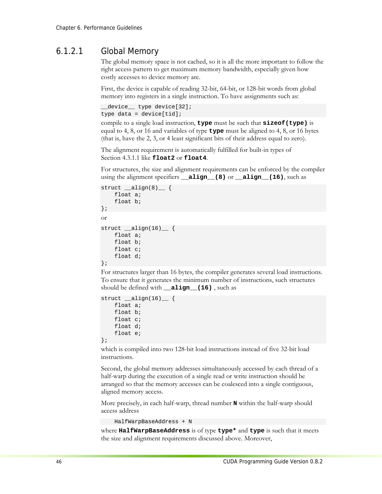## <span id="page-55-0"></span>6.1.2.1 Global Memory

The global memory space is not cached, so it is all the more important to follow the right access pattern to get maximum memory bandwidth, especially given how costly accesses to device memory are.

First, the device is capable of reading 32-bit, 64-bit, or 128-bit words from global memory into registers in a single instruction. To have assignments such as:

```
__device__ type device[32]; 
type data = device[tid];
```
compile to a single load instruction, **type** must be such that **sizeof(type)** is equal to 4, 8, or 16 and variables of type **type** must be aligned to 4, 8, or 16 bytes (that is, have the 2, 3, or 4 least significant bits of their address equal to zero).

The alignment requirement is automatically fulfilled for built-in types of Section [4.3.1.1](#page-31-0) like **float2** or **float4**.

For structures, the size and alignment requirements can be enforced by the compiler using the alignment specifiers **\_\_align\_\_(8)** or **\_\_align\_\_(16)**, such as

```
struct _align(8) {
     float a; 
     float b; 
}; 
or 
struct _align(16) {
     float a; 
     float b; 
     float c; 
     float d; 
};
```
For structures larger than 16 bytes, the compiler generates several load instructions. To ensure that it generates the minimum number of instructions, such structures should be defined with **\_\_align\_\_(16)** , such as

```
struct _align(16) {
     float a; 
     float b; 
     float c; 
     float d; 
     float e; 
};
```
which is compiled into two 128-bit load instructions instead of five 32-bit load instructions.

Second, the global memory addresses simultaneously accessed by each thread of a half-warp during the execution of a single read or write instruction should be arranged so that the memory accesses can be coalesced into a single contiguous, aligned memory access.

More precisely, in each half-warp, thread number **N** within the half-warp should access address

HalfWarpBaseAddress + N

where **HalfWarpBaseAddress** is of type **type\*** and **type** is such that it meets the size and alignment requirements discussed above. Moreover,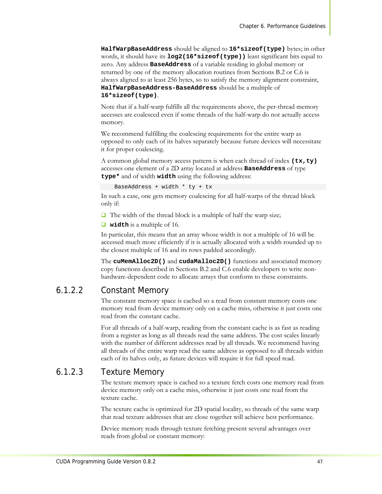**HalfWarpBaseAddress** should be aligned to **16\*sizeof(type)** bytes; in other words, it should have its **log2(16\*sizeof(type))** least significant bits equal to zero. Any address **BaseAddress** of a variable residing in global memory or returned by one of the memory allocation routines from Sections [B.2](#page-77-0) or [C.6](#page-92-0) is always aligned to at least 256 bytes, so to satisfy the memory alignment constraint, **HalfWarpBaseAddress-BaseAddress** should be a multiple of **16\*sizeof(type)**.

Note that if a half-warp fulfills all the requirements above, the per-thread memory accesses are coalesced even if some threads of the half-warp do not actually access memory.

We recommend fulfilling the coalescing requirements for the entire warp as opposed to only each of its halves separately because future devices will necessitate it for proper coalescing.

A common global memory access pattern is when each thread of index **(tx,ty)** accesses one element of a 2D array located at address **BaseAddress** of type **type\*** and of width **width** using the following address:

BaseAddress + width \* ty + tx

In such a case, one gets memory coalescing for all half-warps of the thread block only if:

 $\Box$  The width of the thread block is a multiple of half the warp size;

**width** is a multiple of 16.

In particular, this means that an array whose width is not a multiple of 16 will be accessed much more efficiently if it is actually allocated with a width rounded up to the closest multiple of 16 and its rows padded accordingly.

The **cuMemAlloc2D()** and **cudaMalloc2D()** functions and associated memory copy functions described in Sections [B.2](#page-77-0) and [C.6](#page-92-0) enable developers to write nonhardware-dependent code to allocate arrays that conform to these constraints.

## <span id="page-56-0"></span>6.1.2.2 Constant Memory

The constant memory space is cached so a read from constant memory costs one memory read from device memory only on a cache miss, otherwise it just costs one read from the constant cache.

For all threads of a half-warp, reading from the constant cache is as fast as reading from a register as long as all threads read the same address. The cost scales linearly with the number of different addresses read by all threads. We recommend having all threads of the entire warp read the same address as opposed to all threads within each of its halves only, as future devices will require it for full speed read.

### 6.1.2.3 Texture Memory

The texture memory space is cached so a texture fetch costs one memory read from device memory only on a cache miss, otherwise it just costs one read from the texture cache.

The texture cache is optimized for 2D spatial locality, so threads of the same warp that read texture addresses that are close together will achieve best performance.

Device memory reads through texture fetching present several advantages over reads from global or constant memory: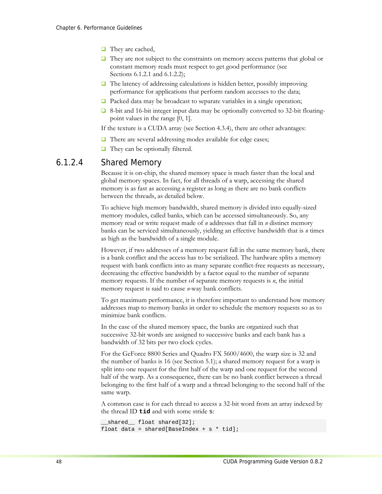- $\Box$  They are cached,
- They are not subject to the constraints on memory access patterns that global or constant memory reads must respect to get good performance (see Sections [6.1.2.1](#page-55-0) and [6.1.2.2](#page-56-0));
- $\Box$  The latency of addressing calculations is hidden better, possibly improving performance for applications that perform random accesses to the data;
- $\Box$  Packed data may be broadcast to separate variables in a single operation;
- □ 8-bit and 16-bit integer input data may be optionally converted to 32-bit floatingpoint values in the range [0, 1].

If the texture is a CUDA array (see Section [4.3.4\)](#page-32-0), there are other advantages:

- $\Box$  There are several addressing modes available for edge cases;
- $\Box$  They can be optionally filtered.

### <span id="page-57-0"></span>6.1.2.4 Shared Memory

Because it is on-chip, the shared memory space is much faster than the local and global memory spaces. In fact, for all threads of a warp, accessing the shared memory is as fast as accessing a register as long as there are no bank conflicts between the threads, as detailed below.

To achieve high memory bandwidth, shared memory is divided into equally-sized memory modules, called banks, which can be accessed simultaneously. So, any memory read or write request made of *n* addresses that fall in *n* distinct memory banks can be serviced simultaneously, yielding an effective bandwidth that is *n* times as high as the bandwidth of a single module.

However, if two addresses of a memory request fall in the same memory bank, there is a bank conflict and the access has to be serialized. The hardware splits a memory request with bank conflicts into as many separate conflict-free requests as necessary, decreasing the effective bandwidth by a factor equal to the number of separate memory requests. If the number of separate memory requests is *n*, the initial memory request is said to cause *n-*way bank conflicts.

To get maximum performance, it is therefore important to understand how memory addresses map to memory banks in order to schedule the memory requests so as to minimize bank conflicts.

In the case of the shared memory space, the banks are organized such that successive 32-bit words are assigned to successive banks and each bank has a bandwidth of 32 bits per two clock cycles.

For the GeForce 8800 Series and Quadro FX 5600/4600, the warp size is 32 and the number of banks is 16 (see Section 5.1); a shared memory request for a warp is split into one request for the first half of the warp and one request for the second half of the warp. As a consequence, there can be no bank conflict between a thread belonging to the first half of a warp and a thread belonging to the second half of the same warp.

A common case is for each thread to access a 32-bit word from an array indexed by the thread ID **tid** and with some stride s:

```
__shared__ float shared[32]; 
float data = shared[BaseIndex + s * tid];
```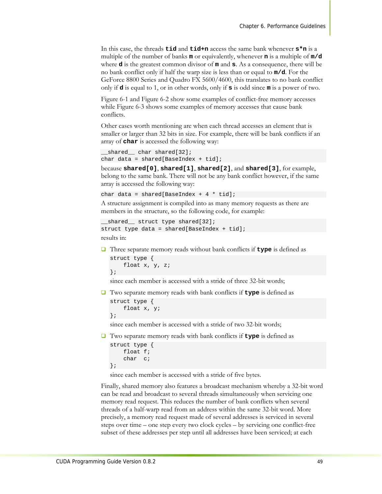In this case, the threads **tid** and **tid+n** access the same bank whenever **s\*n** is a multiple of the number of banks **m** or equivalently, whenever **n** is a multiple of **m/d** where **d** is the greatest common divisor of **m** and **s**. As a consequence, there will be no bank conflict only if half the warp size is less than or equal to **m/d**. For the GeForce 8800 Series and Quadro FX 5600/4600, this translates to no bank conflict only if **d** is equal to 1, or in other words, only if **s** is odd since **m** is a power of two.

[Figure 6-1](#page-60-0) and [Figure 6-2](#page-61-0) show some examples of conflict-free memory accesses while [Figure 6-3](#page-62-0) shows some examples of memory accesses that cause bank conflicts.

Other cases worth mentioning are when each thread accesses an element that is smaller or larger than 32 bits in size. For example, there will be bank conflicts if an array of **char** is accessed the following way:

```
shared char shared[32];
char data = shared[BaseIndex + tid];
```
because **shared[0]**, **shared[1]**, **shared[2]**, and **shared[3]**, for example, belong to the same bank. There will not be any bank conflict however, if the same array is accessed the following way:

char data = shared[BaseIndex + 4  $*$  tid];

A structure assignment is compiled into as many memory requests as there are members in the structure, so the following code, for example:

```
__shared__ struct type shared[32]; 
struct type data = shared[BaseIndex + tid]; 
results in:
```
Three separate memory reads without bank conflicts if **type** is defined as

```
struct type { 
     float x, y, z; 
};
```
since each member is accessed with a stride of three 32-bit words;

Two separate memory reads with bank conflicts if **type** is defined as

```
struct type { 
     float x, y; 
};
```
since each member is accessed with a stride of two 32-bit words;

Two separate memory reads with bank conflicts if **type** is defined as

```
struct type { 
     float f; 
     char c; 
};
```
since each member is accessed with a stride of five bytes.

Finally, shared memory also features a broadcast mechanism whereby a 32-bit word can be read and broadcast to several threads simultaneously when servicing one memory read request. This reduces the number of bank conflicts when several threads of a half-warp read from an address within the same 32-bit word. More precisely, a memory read request made of several addresses is serviced in several steps over time – one step every two clock cycles – by servicing one conflict-free subset of these addresses per step until all addresses have been serviced; at each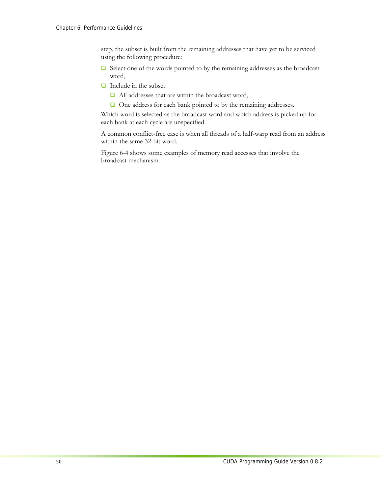step, the subset is built from the remaining addresses that have yet to be serviced using the following procedure:

- $\Box$  Select one of the words pointed to by the remaining addresses as the broadcast word,
- $\Box$  Include in the subset:
	- All addresses that are within the broadcast word,
	- □ One address for each bank pointed to by the remaining addresses.

Which word is selected as the broadcast word and which address is picked up for each bank at each cycle are unspecified.

A common conflict-free case is when all threads of a half-warp read from an address within the same 32-bit word.

[Figure 6-4](#page-63-0) shows some examples of memory read accesses that involve the broadcast mechanism.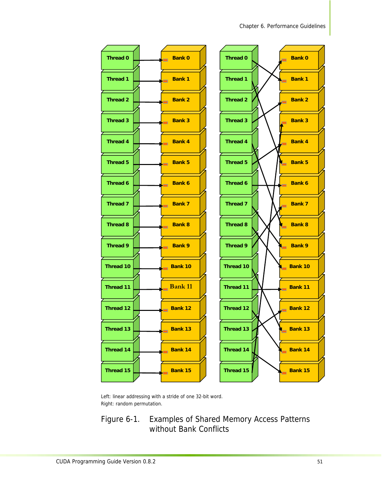

Left: linear addressing with a stride of one 32-bit word. Right: random permutation.

## <span id="page-60-0"></span>Figure 6-1. Examples of Shared Memory Access Patterns without Bank Conflicts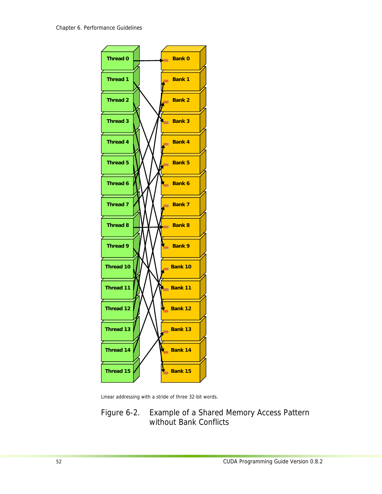

Linear addressing with a stride of three 32-bit words.

## <span id="page-61-0"></span>Figure 6-2. Example of a Shared Memory Access Pattern without Bank Conflicts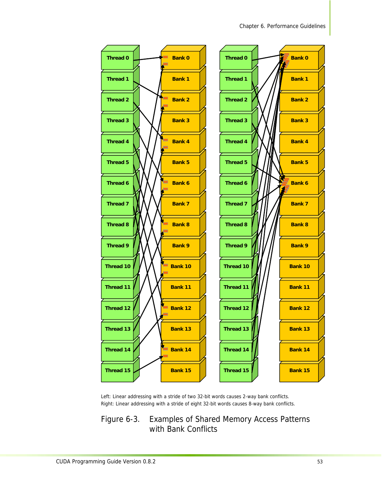

Left: Linear addressing with a stride of two 32-bit words causes 2-way bank conflicts. Right: Linear addressing with a stride of eight 32-bit words causes 8-way bank conflicts.

<span id="page-62-0"></span>Figure 6-3. Examples of Shared Memory Access Patterns with Bank Conflicts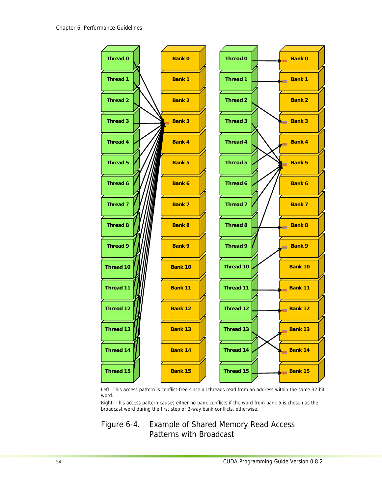

Left: This access pattern is conflict-free since all threads read from an address within the same 32-bit word.

Right: This access pattern causes either no bank conflicts if the word from bank 5 is chosen as the broadcast word during the first step or 2-way bank conflicts, otherwise.

<span id="page-63-0"></span>Figure 6-4. Example of Shared Memory Read Access Patterns with Broadcast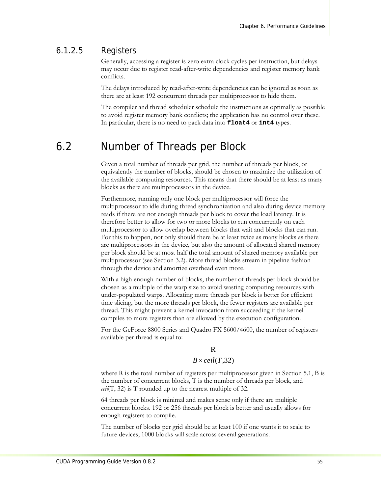#### 6.1.2.5 Registers

Generally, accessing a register is zero extra clock cycles per instruction, but delays may occur due to register read-after-write dependencies and register memory bank conflicts.

The delays introduced by read-after-write dependencies can be ignored as soon as there are at least 192 concurrent threads per multiprocessor to hide them.

The compiler and thread scheduler schedule the instructions as optimally as possible to avoid register memory bank conflicts; the application has no control over these. In particular, there is no need to pack data into **float4** or **int4** types.

# <span id="page-64-0"></span>6.2 Number of Threads per Block

Given a total number of threads per grid, the number of threads per block, or equivalently the number of blocks, should be chosen to maximize the utilization of the available computing resources. This means that there should be at least as many blocks as there are multiprocessors in the device.

Furthermore, running only one block per multiprocessor will force the multiprocessor to idle during thread synchronization and also during device memory reads if there are not enough threads per block to cover the load latency. It is therefore better to allow for two or more blocks to run concurrently on each multiprocessor to allow overlap between blocks that wait and blocks that can run. For this to happen, not only should there be at least twice as many blocks as there are multiprocessors in the device, but also the amount of allocated shared memory per block should be at most half the total amount of shared memory available per multiprocessor (see Section [3.2](#page-23-0)). More thread blocks stream in pipeline fashion through the device and amortize overhead even more.

With a high enough number of blocks, the number of threads per block should be chosen as a multiple of the warp size to avoid wasting computing resources with under-populated warps. Allocating more threads per block is better for efficient time slicing, but the more threads per block, the fewer registers are available per thread. This might prevent a kernel invocation from succeeding if the kernel compiles to more registers than are allowed by the execution configuration.

For the GeForce 8800 Series and Quadro FX 5600/4600, the number of registers available per thread is equal to:

#### $(T, 32)$ R  $B \times$ *ceil*(*T*

where R is the total number of registers per multiprocessor given in Section [5.1](#page-48-0), B is the number of concurrent blocks, T is the number of threads per block, and *ceil*(T, 32) is T rounded up to the nearest multiple of 32.

64 threads per block is minimal and makes sense only if there are multiple concurrent blocks. 192 or 256 threads per block is better and usually allows for enough registers to compile.

The number of blocks per grid should be at least 100 if one wants it to scale to future devices; 1000 blocks will scale across several generations.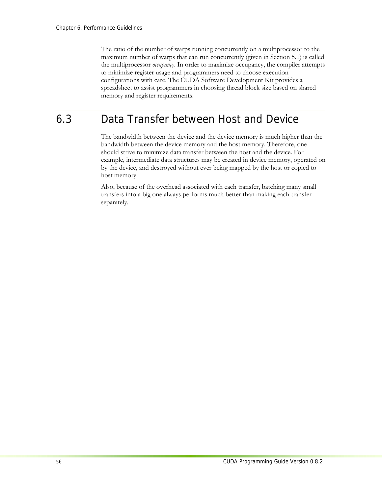The ratio of the number of warps running concurrently on a multiprocessor to the maximum number of warps that can run concurrently (given in Section [5.1](#page-48-0)) is called the multiprocessor *occupancy*. In order to maximize occupancy, the compiler attempts to minimize register usage and programmers need to choose execution configurations with care. The CUDA Software Development Kit provides a spreadsheet to assist programmers in choosing thread block size based on shared memory and register requirements.

# 6.3 Data Transfer between Host and Device

The bandwidth between the device and the device memory is much higher than the bandwidth between the device memory and the host memory. Therefore, one should strive to minimize data transfer between the host and the device. For example, intermediate data structures may be created in device memory, operated on by the device, and destroyed without ever being mapped by the host or copied to host memory.

Also, because of the overhead associated with each transfer, batching many small transfers into a big one always performs much better than making each transfer separately.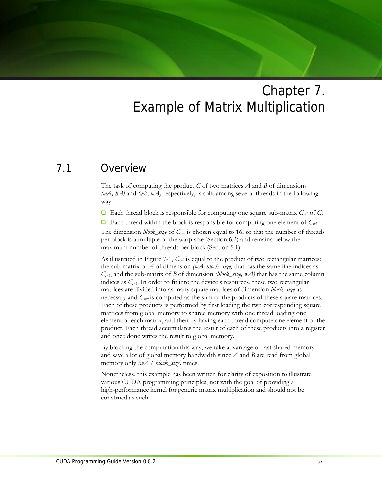# Chapter 7. Example of Matrix Multiplication

## 7.1 Overview

The task of computing the product *C* of two matrices *A* and *B* of dimensions *(wA, hA)* and *(wB, wA)* respectively, is split among several threads in the following way:

Each thread block is responsible for computing one square sub-matrix  $C_{sub}$  of  $C$ ;

**□** Each thread within the block is responsible for computing one element of  $C_{sub}$ .

The dimension *block\_size* of *Csub* is chosen equal to 16, so that the number of threads per block is a multiple of the warp size (Section [6.2](#page-64-0)) and remains below the maximum number of threads per block (Section [5.1](#page-48-0)).

As illustrated in [Figure 7-1](#page-67-0), *Csub* is equal to the product of two rectangular matrices: the sub-matrix of *A* of dimension  $(wA, block\_size)$  that has the same line indices as *Csub*, and the sub-matrix of *B* of dimension *(block\_size, wA)* that has the same column indices as *Csub*. In order to fit into the device's resources, these two rectangular matrices are divided into as many square matrices of dimension *block\_size* as necessary and *C<sub>sub</sub>* is computed as the sum of the products of these square matrices. Each of these products is performed by first loading the two corresponding square matrices from global memory to shared memory with one thread loading one element of each matrix, and then by having each thread compute one element of the product. Each thread accumulates the result of each of these products into a register and once done writes the result to global memory.

By blocking the computation this way, we take advantage of fast shared memory and save a lot of global memory bandwidth since *A* and *B* are read from global memory only *(wA / block\_size)* times.

Nonetheless, this example has been written for clarity of exposition to illustrate various CUDA programming principles, not with the goal of providing a high-performance kernel for generic matrix multiplication and should not be construed as such.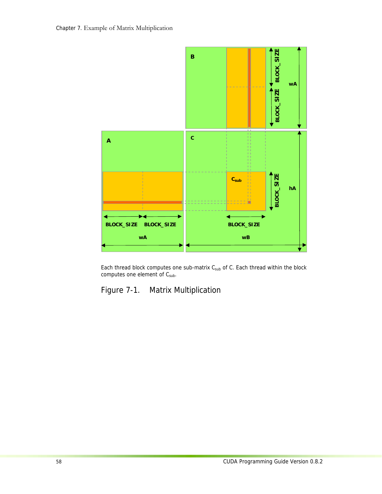

Each thread block computes one sub-matrix  $C_{sub}$  of C. Each thread within the block computes one element of C<sub>sub</sub>.

<span id="page-67-0"></span>Figure 7-1. Matrix Multiplication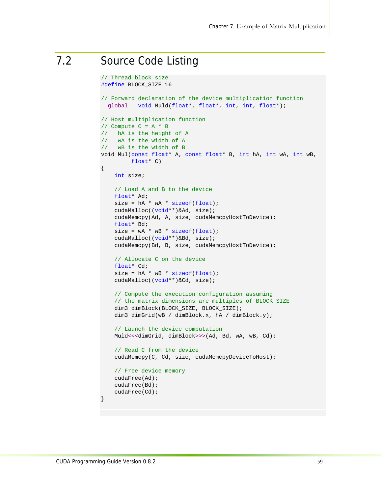## 7.2 Source Code Listing

```
// Thread block size 
#define BLOCK_SIZE 16 
// Forward declaration of the device multiplication function 
__global__ void Muld(float*, float*, int, int, float*); 
// Host multiplication function 
// Compute C = A * B// hA is the height of A 
// wA is the width of A 
// wB is the width of B 
void Mul(const float* A, const float* B, int hA, int wA, int wB, 
          float* C) 
{ 
     int size; 
     // Load A and B to the device 
     float* Ad; 
    size = hA * wA * sizeof(float); cudaMalloc((void**)&Ad, size); 
     cudaMemcpy(Ad, A, size, cudaMemcpyHostToDevice); 
     float* Bd; 
    size = wA * wB * sizeof(fload); cudaMalloc((void**)&Bd, size); 
     cudaMemcpy(Bd, B, size, cudaMemcpyHostToDevice); 
     // Allocate C on the device 
     float* Cd; 
    size = hA * wB * sizeof(float); cudaMalloc((void**)&Cd, size); 
     // Compute the execution configuration assuming 
     // the matrix dimensions are multiples of BLOCK_SIZE 
     dim3 dimBlock(BLOCK_SIZE, BLOCK_SIZE); 
     dim3 dimGrid(wB / dimBlock.x, hA / dimBlock.y); 
     // Launch the device computation 
     Muld<<<dimGrid, dimBlock>>>(Ad, Bd, wA, wB, Cd); 
     // Read C from the device 
     cudaMemcpy(C, Cd, size, cudaMemcpyDeviceToHost); 
     // Free device memory 
     cudaFree(Ad); 
     cudaFree(Bd); 
     cudaFree(Cd); 
}
```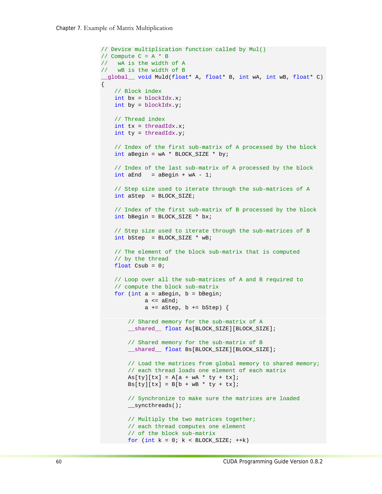```
// Device multiplication function called by Mul() 
// Compute C = A * B// wA is the width of A 
// wB is the width of B 
__global__ void Muld(float* A, float* B, int wA, int wB, float* C) 
{ 
     // Block index 
     int bx = blockIdx.x; 
     int by = blockIdx.y; 
     // Thread index 
     int tx = threadIdx.x; 
     int ty = threadIdx.y; 
     // Index of the first sub-matrix of A processed by the block 
     int aBegin = wA * BLOCK_SIZE * by; 
     // Index of the last sub-matrix of A processed by the block 
    int aEnd = aBegin + wA - 1;
     // Step size used to iterate through the sub-matrices of A 
     int aStep = BLOCK_SIZE; 
     // Index of the first sub-matrix of B processed by the block 
     int bBegin = BLOCK_SIZE * bx; 
     // Step size used to iterate through the sub-matrices of B 
     int bStep = BLOCK_SIZE * wB; 
     // The element of the block sub-matrix that is computed 
     // by the thread 
    float Csub = 0;
     // Loop over all the sub-matrices of A and B required to 
     // compute the block sub-matrix 
     for (int a = aBegin, b = bBegin; 
             a \leq aEnd;
             a == aStep, b == bStep) {
         // Shared memory for the sub-matrix of A 
         __shared__ float As[BLOCK_SIZE][BLOCK_SIZE]; 
         // Shared memory for the sub-matrix of B 
         __shared__ float Bs[BLOCK_SIZE][BLOCK_SIZE]; 
         // Load the matrices from global memory to shared memory; 
         // each thread loads one element of each matrix 
        As[ty][tx] = A[a + wA * ty + tx];Bs[ty][tx] = B[b + wB * ty + tx]; // Synchronize to make sure the matrices are loaded 
         __syncthreads(); 
         // Multiply the two matrices together; 
         // each thread computes one element 
         // of the block sub-matrix 
        for (int k = 0; k < BLOCK_SIZE; ++k)
```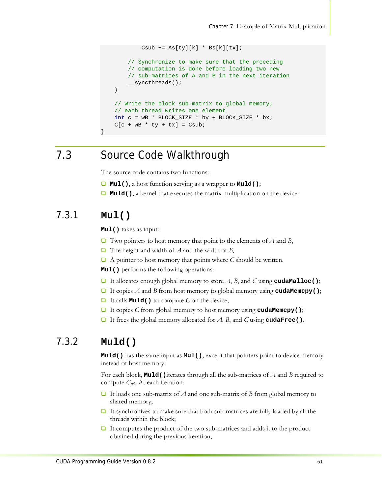```
Csub += As[ty][k] * Bs[k][tx];
     // Synchronize to make sure that the preceding 
     // computation is done before loading two new 
     // sub-matrices of A and B in the next iteration 
     __syncthreads(); 
 } 
 // Write the block sub-matrix to global memory; 
 // each thread writes one element 
int c = wB * BLOCK_SIZE * by + BLOCK_SIZE * bx;C[c + wB * ty + tx] = Csub;
```
# 7.3 Source Code Walkthrough

The source code contains two functions:

- **Mul()**, a host function serving as a wrapper to **Muld()**;
- **Muld()**, a kernel that executes the matrix multiplication on the device.

## 7.3.1 **Mul()**

}

**Mul()** takes as input:

- $\Box$  Two pointers to host memory that point to the elements of *A* and *B*,
- $\Box$  The height and width of *A* and the width of *B*,
- $\Box$  A pointer to host memory that points where *C* should be written.

**Mul()** performs the following operations:

- It allocates enough global memory to store  $A$ ,  $B$ , and  $C$  using **cudaMalloc()**;
- It copies *A* and *B* from host memory to global memory using **cudaMemcpy()**;
- $\Box$  It calls **Muld()** to compute *C* on the device;
- It copies *C* from global memory to host memory using **cudaMemcpy()**;
- It frees the global memory allocated for *A*, *B*, and *C* using **cudaFree()**.

## 7.3.2 **Muld()**

**Muld()** has the same input as **Mul()**, except that pointers point to device memory instead of host memory.

For each block, **Muld()**iterates through all the sub-matrices of *A* and *B* required to compute *Csub*. At each iteration:

- It loads one sub-matrix of  $A$  and one sub-matrix of  $B$  from global memory to shared memory;
- $\Box$  It synchronizes to make sure that both sub-matrices are fully loaded by all the threads within the block;
- $\Box$  It computes the product of the two sub-matrices and adds it to the product obtained during the previous iteration;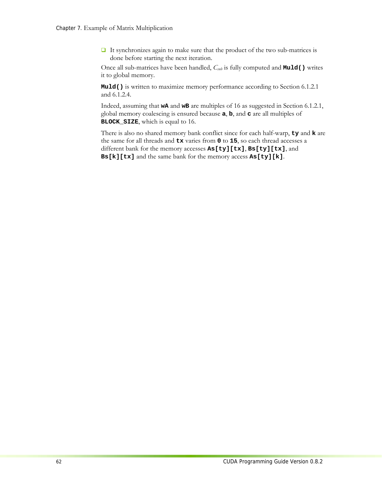$\Box$  It synchronizes again to make sure that the product of the two sub-matrices is done before starting the next iteration.

Once all sub-matrices have been handled, *Csub* is fully computed and **Muld()** writes it to global memory.

**Muld()** is written to maximize memory performance according to Section [6.1.2.1](#page-55-0) and [6.1.2.4](#page-57-0).

Indeed, assuming that **wA** and **wB** are multiples of 16 as suggested in Section [6.1.2.1](#page-55-0), global memory coalescing is ensured because **a**, **b**, and **c** are all multiples of **BLOCK\_SIZE**, which is equal to 16.

There is also no shared memory bank conflict since for each half-warp, **ty** and **k** are the same for all threads and **tx** varies from **0** to **15**, so each thread accesses a different bank for the memory accesses **As[ty][tx]**, **Bs[ty][tx]**, and **Bs[k][tx]** and the same bank for the memory access **As[ty][k]**.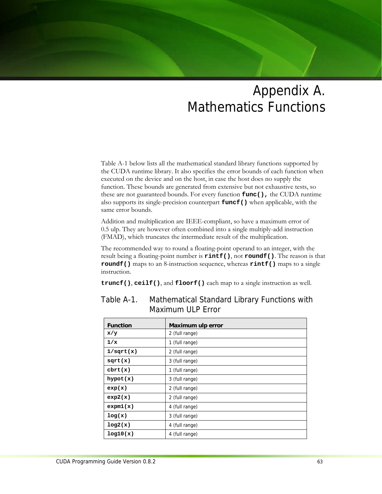# Appendix A. Mathematics Functions

[Table A-1](#page-72-0) below lists all the mathematical standard library functions supported by the CUDA runtime library. It also specifies the error bounds of each function when executed on the device and on the host, in case the host does no supply the function. These bounds are generated from extensive but not exhaustive tests, so these are not guaranteed bounds. For every function **func(),** the CUDA runtime also supports its single-precision counterpart **funcf()** when applicable, with the same error bounds.

Addition and multiplication are IEEE-compliant, so have a maximum error of 0.5 ulp. They are however often combined into a single multiply-add instruction (FMAD), which truncates the intermediate result of the multiplication.

The recommended way to round a floating-point operand to an integer, with the result being a floating-point number is **rintf()**, not **roundf()**. The reason is that **roundf()** maps to an 8-instruction sequence, whereas **rintf()** maps to a single instruction.

**truncf()**, **ceilf()**, and **floorf()** each map to a single instruction as well.

| <b>Function</b>    | Maximum ulp error |
|--------------------|-------------------|
| x/y                | 2 (full range)    |
| 1/x                | 1 (full range)    |
| $1/\sqrt{sqrt(x)}$ | 2 (full range)    |
| sqrt(x)            | 3 (full range)    |
| chrt(x)            | 1 (full range)    |
| hypot(x)           | 3 (full range)    |
| exp(x)             | 2 (full range)    |
| exp2(x)            | 2 (full range)    |
| expm1(x)           | 4 (full range)    |
| log(x)             | 3 (full range)    |
| log2(x)            | 4 (full range)    |
| log10(x)           | 4 (full range)    |

#### <span id="page-72-0"></span>Table A-1. Mathematical Standard Library Functions with Maximum ULP Error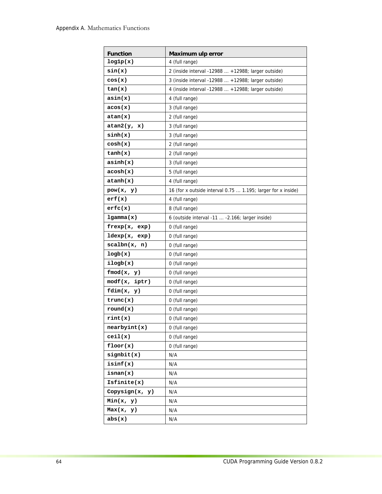| <b>Function</b>     | Maximum ulp error                                            |
|---------------------|--------------------------------------------------------------|
| log1p(x)            | 4 (full range)                                               |
| sin(x)              | 2 (inside interval -12988  +12988; larger outside)           |
| cos(x)              | 3 (inside interval -12988  +12988; larger outside)           |
| tan(x)              | 4 (inside interval -12988  +12988; larger outside)           |
| asin(x)             | 4 (full range)                                               |
| acos(x)             | 3 (full range)                                               |
| atan(x)             | 2 (full range)                                               |
| atan2(y, x)         | 3 (full range)                                               |
| sinh(x)             | 3 (full range)                                               |
| cosh(x)             | 2 (full range)                                               |
| tanh(x)             | 2 (full range)                                               |
| asinh(x)            | 3 (full range)                                               |
| acosh(x)            | 5 (full range)                                               |
| atanh(x)            | 4 (full range)                                               |
| pow(x, y)           | 16 (for x outside interval 0.75  1.195; larger for x inside) |
| erf(x)              | 4 (full range)                                               |
| erfc(x)             | 8 (full range)                                               |
| lgamma(x)           | 6 (outside interval -11  -2.166; larger inside)              |
| $f$ rex $p(x, exp)$ | 0 (full range)                                               |
| ldexp(x, exp)       | 0 (full range)                                               |
| scalbn(x, n)        | 0 (full range)                                               |
| logb(x)             | 0 (full range)                                               |
| ilogb(x)            | 0 (full range)                                               |
| fmod(x, y)          | 0 (full range)                                               |
| modf(x, iptr)       | 0 (full range)                                               |
| fdim(x, y)          | 0 (full range)                                               |
| true(x)             | 0 (full range)                                               |
| round(x)            | 0 (full range)                                               |
| rint(x)             | 0 (full range)                                               |
| nearlyint(x)        | 0 (full range)                                               |
| ceil(x)             | 0 (full range)                                               |
| floor(x)            | 0 (full range)                                               |
| simplify(t x)       | N/A                                                          |
| isinf(x)            | N/A                                                          |
| isnan(x)            | N/A                                                          |
| Isfinite(x)         | N/A                                                          |
| Copysign(x,<br>y)   | N/A                                                          |
| Min(x, y)           | N/A                                                          |
| Max(x, y)           | N/A                                                          |
| abs(x)              | N/A                                                          |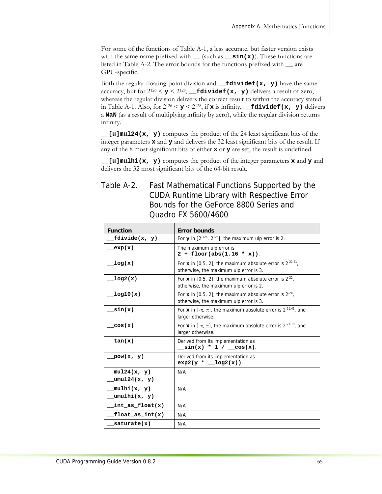For some of the functions of [Table A-1](#page-72-0), a less accurate, but faster version exists with the same name prefixed with **\_\_** (such as **\_\_sin(x)**). These functions are listed in [Table A-2.](#page-74-0) The error bounds for the functions prefixed with **\_\_** are GPU-specific.

Both the regular floating-point division and **fdividef(x, y)** have the same accuracy, but for  $2^{126} < y < 2^{128}$ , **\_\_fdividef(x, y)** delivers a result of zero, whereas the regular division delivers the correct result to within the accuracy stated in [Table A-1.](#page-72-0) Also, for  $2^{126} < y < 2^{128}$ , if **x** is infinity, **\_\_fdividef(x, y)** delivers a **NaN** (as a result of multiplying infinity by zero), while the regular division returns infinity.

**\_\_[u]mul24(x, y)** computes the product of the 24 least significant bits of the integer parameters **x** and **y** and delivers the 32 least significant bits of the result. If any of the 8 most significant bits of either **x** or **y** are set, the result is undefined.

**\_\_[u]mulhi(x, y)** computes the product of the integer parameters **x** and **y** and delivers the 32 most significant bits of the 64-bit result.

#### <span id="page-74-0"></span>Table A-2. Fast Mathematical Functions Supported by the CUDA Runtime Library with Respective Error Bounds for the GeForce 8800 Series and Quadro FX 5600/4600

| <b>Function</b>             | <b>Error bounds</b>                                                                                                 |
|-----------------------------|---------------------------------------------------------------------------------------------------------------------|
| fdivide(x, y)               | For $\mathbf y$ in $[2^{-126}, 2^{126}]$ , the maximum ulp error is 2.                                              |
| exp(x)                      | The maximum ulp error is<br>$2 + \text{floor}(\text{abs}(1.16 * x)).$                                               |
| log(x)                      | For $\mathbf x$ in [0.5, 2], the maximum absolute error is $2^{-21.41}$ ,<br>otherwise, the maximum ulp error is 3. |
| log2(x)                     | For x in [0.5, 2], the maximum absolute error is $2^{-22}$ ,<br>otherwise, the maximum ulp error is 2.              |
| log10(x)                    | For $\mathbf x$ in [0.5, 2], the maximum absolute error is $2^{-24}$ ,<br>otherwise, the maximum ulp error is 3.    |
| sin(x)                      | For x in $[-\pi, \pi]$ , the maximum absolute error is $2^{-21.41}$ , and<br>larger otherwise.                      |
| cos(x)                      | For x in $[-\pi, \pi]$ , the maximum absolute error is $2^{-21.19}$ , and<br>larger otherwise.                      |
| tan(x)                      | Derived from its implementation as<br>$sin(x) * 1 / \_\cos(x)$ .                                                    |
| pow(x, y)                   | Derived from its implementation as<br>$exp2(y * _{-}log2(x)).$                                                      |
| mul24(x, y)<br>umul24(x, y) | N/A                                                                                                                 |
| mulhi(x, y)<br>umulhi(x, y) | N/A                                                                                                                 |
| $int$ as $float(x)$         | N/A                                                                                                                 |
| float as $int(x)$           | N/A                                                                                                                 |
| saturate(x)                 | N/A                                                                                                                 |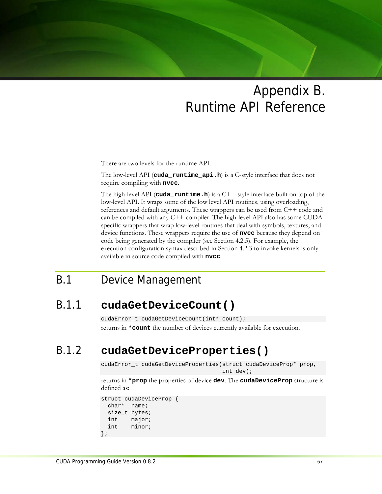# Appendix B. Runtime API Reference

There are two levels for the runtime API.

The low-level API (**cuda\_runtime\_api.h**) is a C-style interface that does not require compiling with **nvcc**.

The high-level API (**cuda\_runtime.h**) is a C++-style interface built on top of the low-level API. It wraps some of the low level API routines, using overloading, references and default arguments. These wrappers can be used from C++ code and can be compiled with any C++ compiler. The high-level API also has some CUDAspecific wrappers that wrap low-level routines that deal with symbols, textures, and device functions. These wrappers require the use of **nvcc** because they depend on code being generated by the compiler (see Section [4.2.5\)](#page-30-0). For example, the execution configuration syntax described in Section [4.2.3](#page-29-0) to invoke kernels is only available in source code compiled with **nvcc**.

# B.1 Device Management

#### B.1.1 **cudaGetDeviceCount()**

cudaError\_t cudaGetDeviceCount(int\* count); returns in **\*count** the number of devices currently available for execution.

# B.1.2 **cudaGetDeviceProperties()**

cudaError\_t cudaGetDeviceProperties(struct cudaDeviceProp\* prop, int dev);

returns in **\*prop** the properties of device **dev**. The **cudaDeviceProp** structure is defined as:

```
struct cudaDeviceProp { 
   char* name; 
   size_t bytes; 
   int major; 
   int minor; 
};
```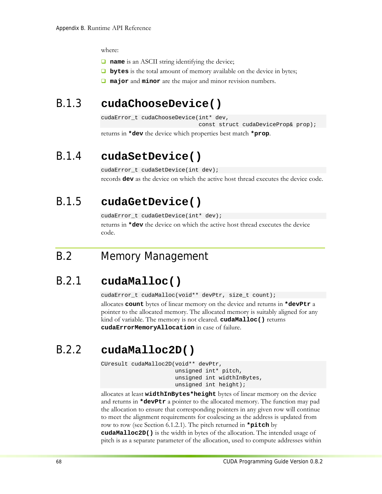where:

- **name** is an ASCII string identifying the device;
- **bytes** is the total amount of memory available on the device in bytes;
- **major** and **minor** are the major and minor revision numbers.

# B.1.3 **cudaChooseDevice()**

cudaError\_t cudaChooseDevice(int\* dev,

 const struct cudaDeviceProp& prop); returns in **\*dev** the device which properties best match **\*prop**.

# B.1.4 **cudaSetDevice()**

cudaError\_t cudaSetDevice(int dev); records **dev** as the device on which the active host thread executes the device code.

# B.1.5 **cudaGetDevice()**

cudaError\_t cudaGetDevice(int\* dev); returns in **\*dev** the device on which the active host thread executes the device code.

# B.2 Memory Management

# B.2.1 **cudaMalloc()**

cudaError\_t cudaMalloc(void\*\* devPtr, size\_t count); allocates **count** bytes of linear memory on the device and returns in **\*devPtr** a pointer to the allocated memory. The allocated memory is suitably aligned for any kind of variable. The memory is not cleared. **cudaMalloc()** returns **cudaErrorMemoryAllocation** in case of failure.

# B.2.2 **cudaMalloc2D()**

```
CUresult cudaMalloc2D(void** devPtr, 
                         unsigned int* pitch, 
                         unsigned int widthInBytes, 
                         unsigned int height);
```
allocates at least **widthInBytes\*height** bytes of linear memory on the device and returns in **\*devPtr** a pointer to the allocated memory. The function may pad the allocation to ensure that corresponding pointers in any given row will continue to meet the alignment requirements for coalescing as the address is updated from row to row (see Section [6.1.2.1](#page-55-0)). The pitch returned in **\*pitch** by **cudaMalloc2D()** is the width in bytes of the allocation. The intended usage of pitch is as a separate parameter of the allocation, used to compute addresses within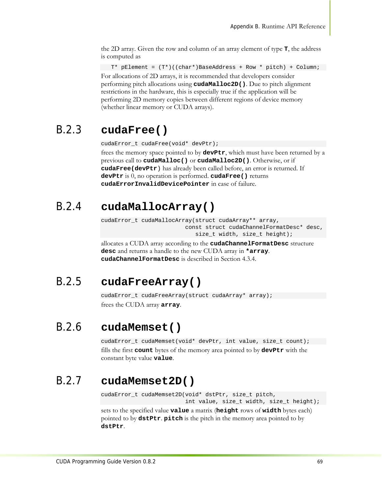the 2D array. Given the row and column of an array element of type **T**, the address is computed as

T\* pElement = (T\*)((char\*)BaseAddress + Row \* pitch) + Column;

performing pitch allocations using **cudaMalloc2D()**. Due to pitch alignment For allocations of 2D arrays, it is recommended that developers consider restrictions in the hardware, this is especially true if the application will be performing 2D memory copies between different regions of device memory (whether linear memory or CUDA arrays).

#### B.2.3 **cudaFree()**

cudaError\_t cudaFree(void\* devPtr);

frees the memory space pointed to by **devPtr**, which must have been returned by a cudaFree(devPtr) has already been called before, an error is returned. If previous call to **cudaMalloc()** or **cudaMalloc2D()**. Otherwise, or if **devPtr** is 0, no operation is performed. **cudaFree()** returns **cudaErrorInvalidDevicePointer** in case of failure.

### B.2.4 **cudaMallocArray()**

cudaError\_t cudaMallocArray(struct cudaArray\*\* array, const struct cudaChannelFormatDesc\* desc, size\_t width, size\_t height);

allocates a CUDA array according to the **cudaChannelFormatDesc** structure **desc** and returns a handle to the new CUDA array in **\*array**. **cudaChannelFormatDesc** is described in Section [4.3.4.](#page-32-0)

#### B.2.5 **cudaFreeArray()**

cudaError\_t cudaFreeArray(struct cudaArray\* array); frees the CUDA array **array**.

#### B.2.6 **cudaMemset()**

cudaError\_t cudaMemset(void\* devPtr, int value, size\_t count); fills the first **count** bytes of the memory area pointed to by **devPtr** with the constant byte value **value**.

#### B.2.7 **cudaMemset2D()**

cudaError\_t cudaMemset2D(void\* dstPtr, size\_t pitch, int value, size\_t width, size\_t height);

sets to the specified value **value** a matrix (**height** rows of **width** bytes each) pointed to by **dstPtr**. **pitch** is the pitch in the memory area pointed to by **dstPtr**.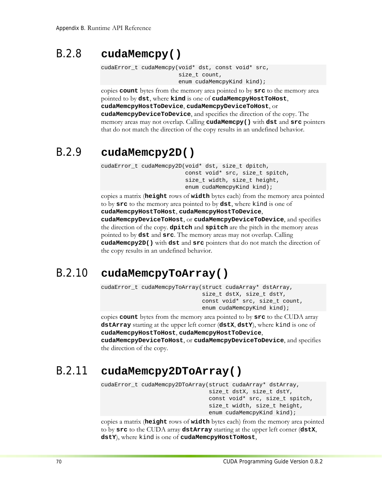# B.2.8 **cudaMemcpy()**

cudaError\_t cudaMemcpy(void\* dst, const void\* src, size\_t count,

enum cudaMemcpyKind kind);

copies **count** bytes from the memory area pointed to by **src** to the memory area pointed to by **dst**, where **kind** is one of **cudaMemcpyHostToHost**, **cudaMemcpyHostToDevice**, **cudaMemcpyDeviceToHost**, or **cudaMemcpyDeviceToDevice**, and specifies the direction of the copy. The memory areas may not overlap. Calling **cudaMemcpy()** with **dst** and **src** pointers that do not match the direction of the copy results in an undefined behavior.

### B.2.9 **cudaMemcpy2D()**

```
cudaError_t cudaMemcpy2D(void* dst, size_t dpitch, 
                           const void* src, size_t spitch, 
                           size_t width, size_t height, 
                          enum cudaMemcpyKind kind);
```
copies a matrix (**height** rows of **width** bytes each) from the memory area pointed to by **src** to the memory area pointed to by **dst**, where kind is one of **cudaMemcpyHostToHost**, **cudaMemcpyHostToDevice**,

**cudaMemcpyDeviceToHost**, or **cudaMemcpyDeviceToDevice**, and specifies the direction of the copy. **dpitch** and **spitch** are the pitch in the memory areas pointed to by **dst** and **src**. The memory areas may not overlap. Calling **cudaMemcpy2D()** with **dst** and **src** pointers that do not match the direction of the copy results in an undefined behavior.

# B.2.10 **cudaMemcpyToArray()**

cudaError\_t cudaMemcpyToArray(struct cudaArray\* dstArray, size\_t dstX, size\_t dstY, const void\* src, size\_t count, enum cudaMemcpyKind kind);

copies **count** bytes from the memory area pointed to by **src** to the CUDA array **dstArray** starting at the upper left corner (**dstX**, **dstY**), where kind is one of **cudaMemcpyHostToHost**, **cudaMemcpyHostToDevice**, **cudaMemcpyDeviceToHost**, or **cudaMemcpyDeviceToDevice**, and specifies the direction of the copy.

# B.2.11 **cudaMemcpy2DToArray()**

cudaError\_t cudaMemcpy2DToArray(struct cudaArray\* dstArray, size\_t dstX, size\_t dstY, const void\* src, size\_t spitch, size\_t width, size\_t height, enum cudaMemcpyKind kind);

copies a matrix (**height** rows of **width** bytes each) from the memory area pointed to by **src** to the CUDA array **dstArray** starting at the upper left corner (**dstX**, **dstY**), where kind is one of **cudaMemcpyHostToHost**,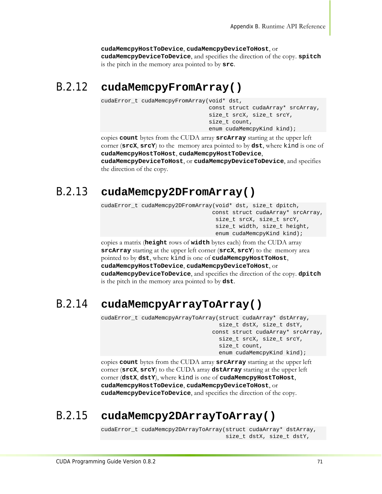**cudaMemcpyHostToDevice**, **cudaMemcpyDeviceToHost**, or **cudaMemcpyDeviceToDevice**, and specifies the direction of the copy. **spitch** is the pitch in the memory area pointed to by **src**.

# B.2.12 **cudaMemcpyFromArray()**

cudaError t cudaMemcpyFromArray(void\* dst, const struct cudaArray\* srcArray, size t srcX, size t srcY, size\_t count, enum cudaMemcpyKind kind);

copies **count** bytes from the CUDA array **srcArray** starting at the upper left corner (**srcX**, **srcY**) to the memory area pointed to by **dst**, where kind is one of **cudaMemcpyHostToHost**, **cudaMemcpyHostToDevice**,

**cudaMemcpyDeviceToHost**, or **cudaMemcpyDeviceToDevice**, and specifies the direction of the copy.

# B.2.13 **cudaMemcpy2DFromArray()**

cudaError\_t cudaMemcpy2DFromArray(void\* dst, size\_t dpitch, const struct cudaArray\* srcArray, size\_t srcX, size\_t srcY, size\_t width, size\_t height, enum cudaMemcpyKind kind);

copies a matrix (**height** rows of **width** bytes each) from the CUDA array **srcArray** starting at the upper left corner (**srcX**, **srcY**) to the memory area pointed to by **dst**, where kind is one of **cudaMemcpyHostToHost**, **cudaMemcpyHostToDevice**, **cudaMemcpyDeviceToHost**, or **cudaMemcpyDeviceToDevice**, and specifies the direction of the copy. **dpitch** is the pitch in the memory area pointed to by **dst**.

# B.2.14 **cudaMemcpyArrayToArray()**

cudaError\_t cudaMemcpyArrayToArray(struct cudaArray\* dstArray, size t dstX, size t dstY, const struct cudaArray\* srcArray, size\_t srcX, size\_t srcY, size\_t count, enum cudaMemcpyKind kind);

copies **count** bytes from the CUDA array **srcArray** starting at the upper left corner (**srcX**, **srcY**) to the CUDA array **dstArray** starting at the upper left corner (**dstX**, **dstY**), where kind is one of **cudaMemcpyHostToHost**, **cudaMemcpyHostToDevice**, **cudaMemcpyDeviceToHost**, or **cudaMemcpyDeviceToDevice**, and specifies the direction of the copy.

### B.2.15 **cudaMemcpy2DArrayToArray()**

cudaError\_t cudaMemcpy2DArrayToArray(struct cudaArray\* dstArray, size\_t dstX, size\_t dstY,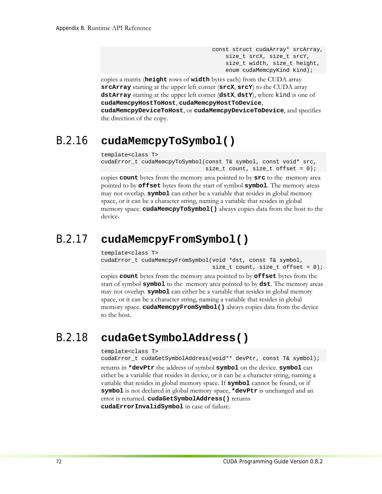const struct cudaArray\* srcArray, size\_t srcX, size\_t srcY, size\_t width, size\_t height, enum cudaMemcpyKind kind);

copies a matrix (**height** rows of **width** bytes each) from the CUDA array **srcArray** starting at the upper left corner (**srcX**, **srcY**) to the CUDA array **dstArray** starting at the upper left corner (**dstX**, **dstY**), where kind is one of **cudaMemcpyHostToHost**, **cudaMemcpyHostToDevice**,

**cudaMemcpyDeviceToHost**, or **cudaMemcpyDeviceToDevice**, and specifies the direction of the copy.

### B.2.16 **cudaMemcpyToSymbol()**

```
template<class T>
```
cudaError\_t cudaMemcpyToSymbol(const T& symbol, const void\* src, size\_t count, size\_t offset =  $0$ );

copies **count** bytes from the memory area pointed to by **src** to the memory area pointed to by **offset** bytes from the start of symbol **symbol**. The memory areas may not overlap. **symbol** can either be a variable that resides in global memory space, or it can be a character string, naming a variable that resides in global memory space. **cudaMemcpyToSymbol()** always copies data from the host to the device.

# B.2.17 **cudaMemcpyFromSymbol()**

template<class T>

cudaError\_t cudaMemcpyFromSymbol(void \*dst, const T& symbol, size\_t count, size\_t offset = 0);

copies **count** bytes from the memory area pointed to by **offset** bytes from the start of symbol **symbol** to the memory area pointed to by **dst**. The memory areas may not overlap. **symbol** can either be a variable that resides in global memory space, or it can be a character string, naming a variable that resides in global memory space. **cudaMemcpyFromSymbol()** always copies data from the device to the host.

#### B.2.18 **cudaGetSymbolAddress()**

#### template<class T>

cudaError\_t cudaGetSymbolAddress(void\*\* devPtr, const T& symbol); returns in **\*devPtr** the address of symbol **symbol** on the device. **symbol** can either be a variable that resides in device, or it can be a character string, naming a variable that resides in global memory space. If **symbol** cannot be found, or if **symbol** is not declared in global memory space, **\*devPtr** is unchanged and an error is returned. **cudaGetSymbolAddress()** returns **cudaErrorInvalidSymbol** in case of failure.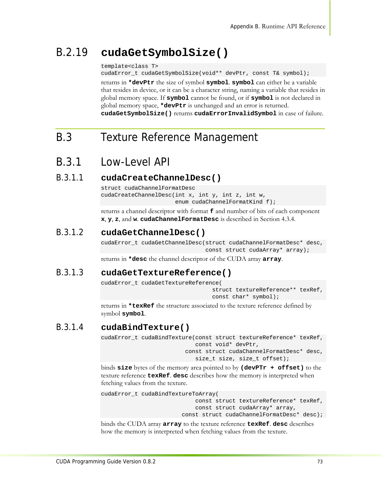# B.2.19 **cudaGetSymbolSize()**

template<class T>

cudaError\_t cudaGetSymbolSize(void\*\* devPtr, const T& symbol);

returns in **\*devPtr** the size of symbol **symbol**. **symbol** can either be a variable that resides in device, or it can be a character string, naming a variable that resides in global memory space. If **symbol** cannot be found, or if **symbol** is not declared in global memory space, **\*devPtr** is unchanged and an error is returned. **cudaGetSymbolSize()** returns **cudaErrorInvalidSymbol** in case of failure.

# B.3 Texture Reference Management

# B.3.1 Low-Level API

#### B.3.1.1 **cudaCreateChannelDesc()**

struct cudaChannelFormatDesc cudaCreateChannelDesc(int x, int y, int z, int w, enum cudaChannelFormatKind f);

returns a channel descriptor with format **f** and number of bits of each component **x**, **y**, **z**, and **w**. **cudaChannelFormatDesc** is described in Section [4.3.4.](#page-32-0)

#### B.3.1.2 **cudaGetChannelDesc()**

cudaError\_t cudaGetChannelDesc(struct cudaChannelFormatDesc\* desc, const struct cudaArray\* array);

returns in **\*desc** the channel descriptor of the CUDA array **array**.

#### B.3.1.3 **cudaGetTextureReference()**

cudaError\_t cudaGetTextureReference(

 struct textureReference\*\* texRef, const char\* symbol);

returns in **\*texRef** the structure associated to the texture reference defined by symbol **symbol**.

#### B.3.1.4 **cudaBindTexture()**

cudaError\_t cudaBindTexture(const struct textureReference\* texRef, const void\* devPtr,

> const struct cudaChannelFormatDesc\* desc, size\_t size, size\_t offset);

binds **size** bytes of the memory area pointed to by **(devPTr + offset)** to the texture reference **texRef**. **desc** describes how the memory is interpreted when fetching values from the texture.

cudaError\_t cudaBindTextureToArray( const struct textureReference\* texRef, const struct cudaArray\* array, const struct cudaChannelFormatDesc\* desc);

binds the CUDA array **array** to the texture reference **texRef**. **desc** describes how the memory is interpreted when fetching values from the texture.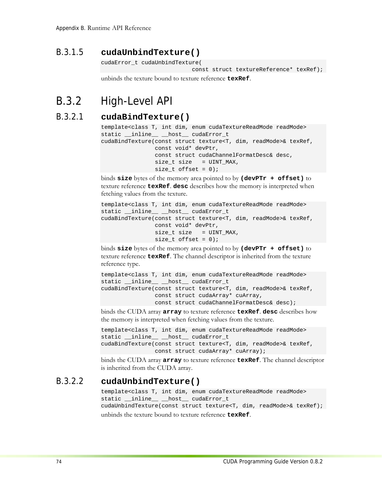#### B.3.1.5 **cudaUnbindTexture()**

cudaError\_t cudaUnbindTexture(

const struct textureReference\* texRef);

unbinds the texture bound to texture reference **texRef**.

# B.3.2 High-Level API

#### B.3.2.1 **cudaBindTexture()**

```
template<class T, int dim, enum cudaTextureReadMode readMode> 
static __inline__ __host__ cudaError_t 
cudaBindTexture(const struct texture<T, dim, readMode>& texRef, 
                 const void* devPtr, 
                 const struct cudaChannelFormatDesc& desc, 
                 size_t size = UINT_MAX, 
                size_t offset = 0);
```
binds **size** bytes of the memory area pointed to by **(devPTr + offset)** to texture reference **texRef**. **desc** describes how the memory is interpreted when fetching values from the texture.

```
template<class T, int dim, enum cudaTextureReadMode readMode> 
static __inline__ __host__ cudaError_t 
cudaBindTexture(const struct texture<T, dim, readMode>& texRef, 
                 const void* devPtr, 
                 size_t size = UINT_MAX, 
                size_t offset = 0);
```
binds **size** bytes of the memory area pointed to by **(devPTr + offset)** to texture reference **texRef**. The channel descriptor is inherited from the texture reference type.

```
template<class T, int dim, enum cudaTextureReadMode readMode> 
static __inline__ __host__ cudaError_t 
cudaBindTexture(const struct texture<T, dim, readMode>& texRef, 
                 const struct cudaArray* cuArray, 
                 const struct cudaChannelFormatDesc& desc);
```
binds the CUDA array **array** to texture reference **texRef**. **desc** describes how the memory is interpreted when fetching values from the texture.

```
template<class T, int dim, enum cudaTextureReadMode readMode> 
static __inline__ __host__ cudaError_t 
cudaBindTexture(const struct texture<T, dim, readMode>& texRef, 
                 const struct cudaArray* cuArray);
```
binds the CUDA array **array** to texture reference **texRef**. The channel descriptor is inherited from the CUDA array.

#### B.3.2.2 **cudaUnbindTexture()**

template<class T, int dim, enum cudaTextureReadMode readMode> static \_\_inline\_\_ \_\_host\_\_ cudaError\_t cudaUnbindTexture(const struct texture<T, dim, readMode>& texRef); unbinds the texture bound to texture reference **texRef**.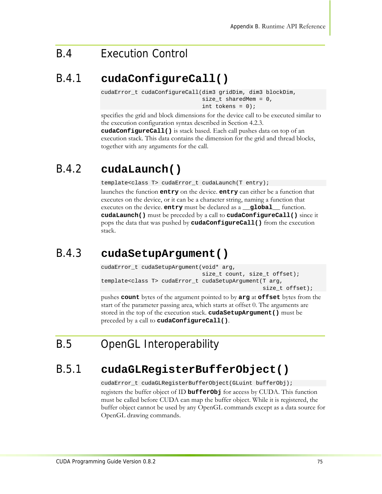# B.4 Execution Control

#### B.4.1 **cudaConfigureCall()**

cudaError\_t cudaConfigureCall(dim3 gridDim, dim3 blockDim, size\_t sharedMem = 0, int tokens = 0);

specifies the grid and block dimensions for the device call to be executed similar to the execution configuration syntax described in Section [4.2.3](#page-29-0). **cudaConfigureCall()** is stack based. Each call pushes data on top of an execution stack. This data contains the dimension for the grid and thread blocks, together with any arguments for the call.

#### B.4.2 **cudaLaunch()**

template<class T> cudaError\_t cudaLaunch(T entry);

launches the function **entry** on the device. **entry** can either be a function that executes on the device, or it can be a character string, naming a function that executes on the device. **entry** must be declared as a **\_\_global\_\_** function. **cudaLaunch()** must be preceded by a call to **cudaConfigureCall()** since it pops the data that was pushed by **cudaConfigureCall()** from the execution stack.

#### B.4.3 **cudaSetupArgument()**

```
cudaError_t cudaSetupArgument(void* arg, 
                                 size_t count, size_t offset); 
template<class T> cudaError_t cudaSetupArgument(T arg, 
                                                   size_t offset);
```
pushes **count** bytes of the argument pointed to by **arg** at **offset** bytes from the start of the parameter passing area, which starts at offset 0. The arguments are stored in the top of the execution stack. **cudaSetupArgument()** must be preceded by a call to **cudaConfigureCall()**.

# B.5 OpenGL Interoperability

### B.5.1 **cudaGLRegisterBufferObject()**

cudaError\_t cudaGLRegisterBufferObject(GLuint bufferObj); registers the buffer object of ID **bufferObj** for access by CUDA. This function must be called before CUDA can map the buffer object. While it is registered, the buffer object cannot be used by any OpenGL commands except as a data source for OpenGL drawing commands.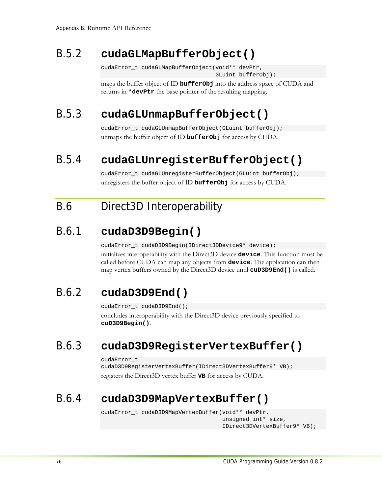# B.5.2 **cudaGLMapBufferObject()**

```
cudaError_t cudaGLMapBufferObject(void** devPtr, 
                                     GLuint bufferObj);
```
maps the buffer object of ID **bufferObj** into the address space of CUDA and returns in **\*devPtr** the base pointer of the resulting mapping.

# B.5.3 **cudaGLUnmapBufferObject()**

cudaError\_t cudaGLUnmapBufferObject(GLuint bufferObj); unmaps the buffer object of ID **bufferObj** for access by CUDA.

### B.5.4 **cudaGLUnregisterBufferObject()**

cudaError\_t cudaGLUnregisterBufferObject(GLuint bufferObj); unregisters the buffer object of ID **bufferObj** for access by CUDA.

# B.6 Direct3D Interoperability

### B.6.1 **cudaD3D9Begin()**

cudaError\_t cudaD3D9Begin(IDirect3DDevice9\* device);

initializes interoperability with the Direct3D device **device**. This function must be called before CUDA can map any objects from **device**. The application can then map vertex buffers owned by the Direct3D device until **cuD3D9End()** is called.

# B.6.2 **cudaD3D9End()**

cudaError\_t cudaD3D9End();

concludes interoperability with the Direct3D device previously specified to **cuD3D9Begin()**.

# B.6.3 **cudaD3D9RegisterVertexBuffer()**

cudaError\_t

cudaD3D9RegisterVertexBuffer(IDirect3DVertexBuffer9\* VB); registers the Direct3D vertex buffer **VB** for access by CUDA.

# B.6.4 **cudaD3D9MapVertexBuffer()**

cudaError\_t cudaD3D9MapVertexBuffer(void\*\* devPtr, unsigned int\* size, IDirect3DVertexBuffer9\* VB);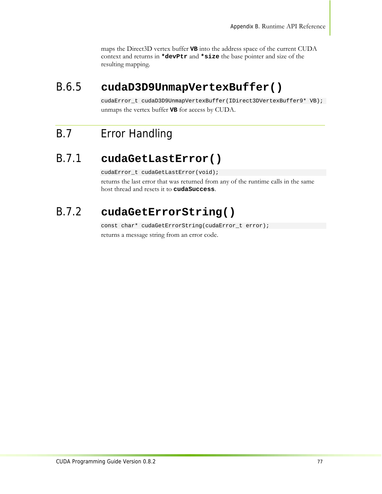maps the Direct3D vertex buffer **VB** into the address space of the current CUDA context and returns in **\*devPtr** and **\*size** the base pointer and size of the resulting mapping.

#### B.6.5 **cudaD3D9UnmapVertexBuffer()**

cudaError\_t cudaD3D9UnmapVertexBuffer(IDirect3DVertexBuffer9\* VB); unmaps the vertex buffer **VB** for access by CUDA.

# B.7 Error Handling

#### B.7.1 **cudaGetLastError()**

cudaError\_t cudaGetLastError(void); returns the last error that was returned from any of the runtime calls in the same host thread and resets it to **cudaSuccess**.

# B.7.2 **cudaGetErrorString()**

const char\* cudaGetErrorString(cudaError\_t error); returns a message string from an error code.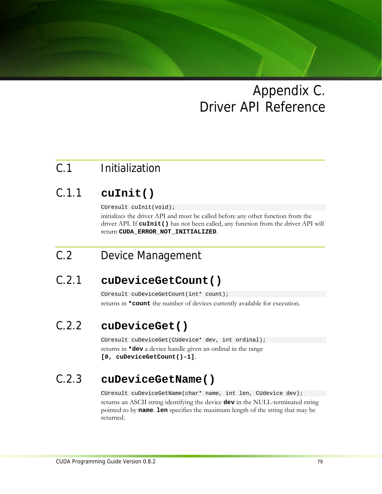# Appendix C. Driver API Reference

# C.1 Initialization

# C.1.1 **cuInit()**

CUresult cuInit(void);

initializes the driver API and must be called before any other function from the driver API. If **cuInit()** has not been called, any function from the driver API will return **CUDA\_ERROR\_NOT\_INITIALIZED**.

# C.2 Device Management

# C.2.1 **cuDeviceGetCount()**

CUresult cuDeviceGetCount(int\* count); returns in **\*count** the number of devices currently available for execution.

# C.2.2 **cuDeviceGet()**

CUresult cuDeviceGet(CUdevice\* dev, int ordinal); returns in **\*dev** a device handle given an ordinal in the range **[0, cuDeviceGetCount()-1]**.

# C.2.3 **cuDeviceGetName()**

CUresult cuDeviceGetName(char\* name, int len, CUdevice dev); returns an ASCII string identifying the device **dev** in the NULL-terminated string pointed to by **name**. **len** specifies the maximum length of the string that may be returned.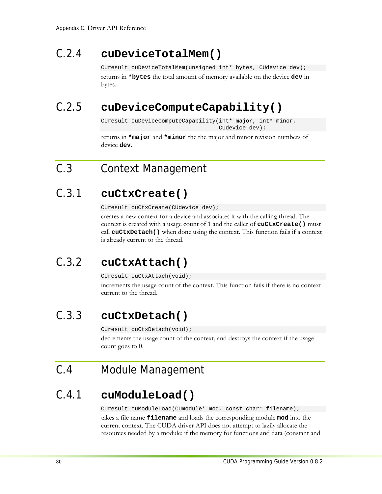# C.2.4 **cuDeviceTotalMem()**

CUresult cuDeviceTotalMem(unsigned int\* bytes, CUdevice dev); returns in **\*bytes** the total amount of memory available on the device **dev** in bytes.

# C.2.5 **cuDeviceComputeCapability()**

CUresult cuDeviceComputeCapability(int\* major, int\* minor, CUdevice dev);

returns in **\*major** and **\*minor** the the major and minor revision numbers of device **dev**.

# C.3 Context Management

# C.3.1 **cuCtxCreate()**

CUresult cuCtxCreate(CUdevice dev);

creates a new context for a device and associates it with the calling thread. The context is created with a usage count of 1 and the caller of **cuCtxCreate()** must call **cuCtxDetach()** when done using the context. This function fails if a context is already current to the thread.

# C.3.2 **cuCtxAttach()**

CUresult cuCtxAttach(void);

increments the usage count of the context. This function fails if there is no context current to the thread.

# C.3.3 **cuCtxDetach()**

#### CUresult cuCtxDetach(void);

decrements the usage count of the context, and destroys the context if the usage count goes to 0.

# C.4 Module Management

# C.4.1 **cuModuleLoad()**

CUresult cuModuleLoad(CUmodule\* mod, const char\* filename); takes a file name **filename** and loads the corresponding module **mod** into the current context. The CUDA driver API does not attempt to lazily allocate the resources needed by a module; if the memory for functions and data (constant and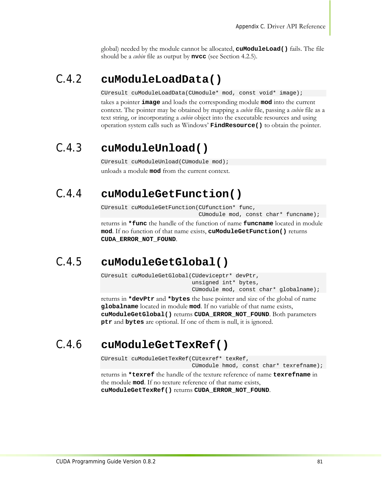global) needed by the module cannot be allocated, **cuModuleLoad()** fails. The file should be a *cubin* file as output by **nvcc** (see Section [4.2.5](#page-30-0)).

### C.4.2 **cuModuleLoadData()**

CUresult cuModuleLoadData(CUmodule\* mod, const void\* image); takes a pointer **image** and loads the corresponding module **mod** into the current context. The pointer may be obtained by mapping a *cubin* file, passing a *cubin* file as a text string, or incorporating a *cubin* object into the executable resources and using operation system calls such as Windows' **FindResource()** to obtain the pointer.

### C.4.3 **cuModuleUnload()**

CUresult cuModuleUnload(CUmodule mod); unloads a module **mod** from the current context.

# C.4.4 **cuModuleGetFunction()**

CUresult cuModuleGetFunction(CUfunction\* func, CUmodule mod, const char\* funcname);

returns in **\*func** the handle of the function of name **funcname** located in module

**mod**. If no function of that name exists, **cuModuleGetFunction()** returns **CUDA\_ERROR\_NOT\_FOUND**.

#### C.4.5 **cuModuleGetGlobal()**

CUresult cuModuleGetGlobal(CUdeviceptr\* devPtr, unsigned int\* bytes, CUmodule mod, const char\* globalname);

returns in **\*devPtr** and **\*bytes** the base pointer and size of the global of name **globalname** located in module **mod**. If no variable of that name exists, **cuModuleGetGlobal()** returns **CUDA\_ERROR\_NOT\_FOUND**. Both parameters **ptr** and **bytes** are optional. If one of them is null, it is ignored.

### C.4.6 **cuModuleGetTexRef()**

CUresult cuModuleGetTexRef(CUtexref\* texRef,

CUmodule hmod, const char\* texrefname);

returns in **\*texref** the handle of the texture reference of name **texrefname** in the module **mod**. If no texture reference of that name exists, **cuModuleGetTexRef()** returns **CUDA\_ERROR\_NOT\_FOUND**.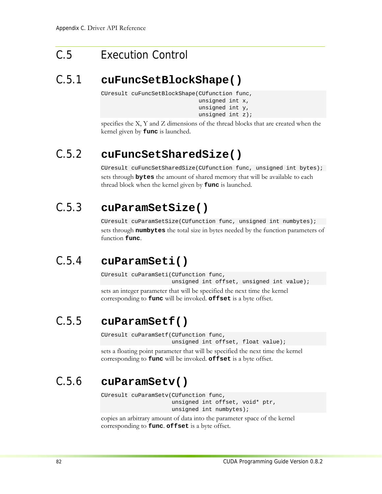# C.5 Execution Control

# C.5.1 **cuFuncSetBlockShape()**

CUresult cuFuncSetBlockShape(CUfunction func,

```
 unsigned int x, 
 unsigned int y, 
 unsigned int z);
```
specifies the X, Y and Z dimensions of the thread blocks that are created when the

kernel given by **func** is launched.

# C.5.2 **cuFuncSetSharedSize()**

CUresult cuFuncSetSharedSize(CUfunction func, unsigned int bytes); sets through **bytes** the amount of shared memory that will be available to each thread block when the kernel given by **func** is launched.

# C.5.3 **cuParamSetSize()**

CUresult cuParamSetSize(CUfunction func, unsigned int numbytes); sets through **numbytes** the total size in bytes needed by the function parameters of function **func**.

# C.5.4 **cuParamSeti()**

CUresult cuParamSeti(CUfunction func, unsigned int offset, unsigned int value);

sets an integer parameter that will be specified the next time the kernel corresponding to **func** will be invoked. **offset** is a byte offset.

# C.5.5 **cuParamSetf()**

CUresult cuParamSetf(CUfunction func, unsigned int offset, float value);

sets a floating point parameter that will be specified the next time the kernel corresponding to **func** will be invoked. **offset** is a byte offset.

# C.5.6 **cuParamSetv()**

CUresult cuParamSetv(CUfunction func, unsigned int offset, void\* ptr, unsigned int numbytes);

copies an arbitrary amount of data into the parameter space of the kernel corresponding to **func**. **offset** is a byte offset.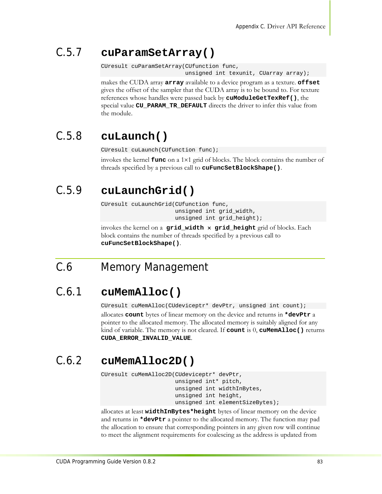#### C.5.7 **cuParamSetArray()**

CUresult cuParamSetArray(CUfunction func,

unsigned int texunit, CUarray array);

makes the CUDA array **array** available to a device program as a texture. **offset** gives the offset of the sampler that the CUDA array is to be bound to. For texture references whose handles were passed back by **cuModuleGetTexRef()**, the special value **CU\_PARAM\_TR\_DEFAULT** directs the driver to infer this value from the module.

# C.5.8 **cuLaunch()**

CUresult cuLaunch(CUfunction func);

invokes the kernel **func** on a 1×1 grid of blocks. The block contains the number of threads specified by a previous call to **cuFuncSetBlockShape()**.

# C.5.9 **cuLaunchGrid()**

CUresult cuLaunchGrid(CUfunction func, unsigned int grid\_width, unsigned int grid\_height);

invokes the kernel on a **grid\_width** × **grid\_height** grid of blocks. Each block contains the number of threads specified by a previous call to **cuFuncSetBlockShape()**.

# C.6 Memory Management

### C.6.1 **cuMemAlloc()**

CUresult cuMemAlloc(CUdeviceptr\* devPtr, unsigned int count);

allocates **count** bytes of linear memory on the device and returns in **\*devPtr** a pointer to the allocated memory. The allocated memory is suitably aligned for any kind of variable. The memory is not cleared. If **count** is 0, **cuMemAlloc()** returns **CUDA\_ERROR\_INVALID\_VALUE**.

### C.6.2 **cuMemAlloc2D()**

CUresult cuMemAlloc2D(CUdeviceptr\* devPtr, unsigned int\* pitch, unsigned int widthInBytes, unsigned int height, unsigned int elementSizeBytes);

allocates at least **widthInBytes\*height** bytes of linear memory on the device and returns in **\*devPtr** a pointer to the allocated memory. The function may pad the allocation to ensure that corresponding pointers in any given row will continue to meet the alignment requirements for coalescing as the address is updated from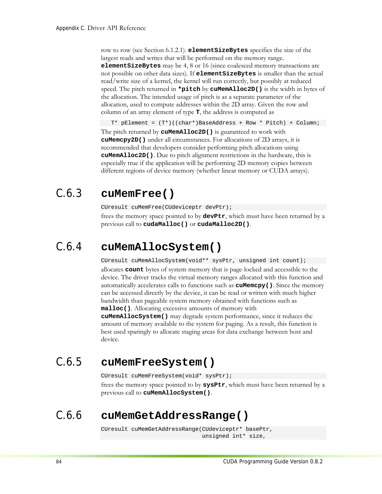row to row (see Section [6.1.2.1](#page-55-0)). **elementSizeBytes** specifies the size of the largest reads and writes that will be performed on the memory range. **elementSizeBytes** may be 4, 8 or 16 (since coalesced memory transactions are not possible on other data sizes). If **elementSizeBytes** is smaller than the actual read/write size of a kernel, the kernel will run correctly, but possibly at reduced speed. The pitch returned in **\*pitch** by **cuMemAlloc2D()** is the width in bytes of the allocation. The intended usage of pitch is as a separate parameter of the allocation, used to compute addresses within the 2D array. Given the row and column of an array element of type **T**, the address is computed as

 T\* pElement = (T\*)((char\*)BaseAddress + Row \* Pitch) + Column; The pitch returned by **cuMemAlloc2D()** is guaranteed to work with **cuMemcpy2D()** under all circumstances. For allocations of 2D arrays, it is recommended that developers consider performing pitch allocations using **cuMemAlloc2D()**. Due to pitch alignment restrictions in the hardware, this is especially true if the application will be performing 2D memory copies between different regions of device memory (whether linear memory or CUDA arrays).

# C.6.3 **cuMemFree()**

CUresult cuMemFree(CUdeviceptr devPtr);

frees the memory space pointed to by **devPtr**, which must have been returned by a previous call to **cudaMalloc()** or **cudaMalloc2D()**.

# C.6.4 **cuMemAllocSystem()**

CUresult cuMemAllocSystem(void\*\* sysPtr, unsigned int count);

allocates **count** bytes of system memory that is page-locked and accessible to the device. The driver tracks the virtual memory ranges allocated with this function and automatically accelerates calls to functions such as **cuMemcpy()**. Since the memory can be accessed directly by the device, it can be read or written with much higher bandwidth than pageable system memory obtained with functions such as **malloc()**. Allocating excessive amounts of memory with

**cuMemAllocSystem()** may degrade system performance, since it reduces the amount of memory available to the system for paging. As a result, this function is best used sparingly to allocate staging areas for data exchange between host and device.

### C.6.5 **cuMemFreeSystem()**

CUresult cuMemFreeSystem(void\* sysPtr);

frees the memory space pointed to by **sysPtr**, which must have been returned by a previous call to **cuMemAllocSystem()**.

# C.6.6 **cuMemGetAddressRange()**

CUresult cuMemGetAddressRange(CUdeviceptr\* basePtr, unsigned int\* size,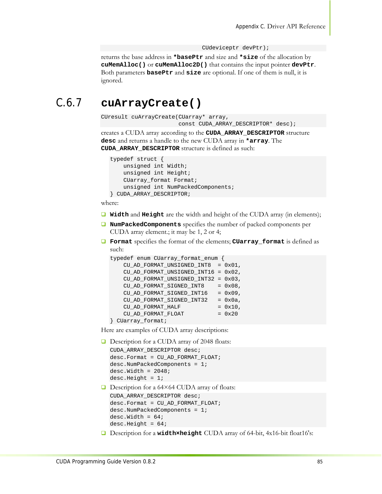CUdeviceptr devPtr);

returns the base address in **\*basePtr** and size and **\*size** of the allocation by **cuMemAlloc()** or **cuMemAlloc2D()** that contains the input pointer **devPtr**. Both parameters **basePtr** and **size** are optional. If one of them is null, it is ignored.

# C.6.7 **cuArrayCreate()**

CUresult cuArrayCreate(CUarray\* array,

const CUDA ARRAY DESCRIPTOR\* desc);

creates a CUDA array according to the **CUDA\_ARRAY\_DESCRIPTOR** structure **desc** and returns a handle to the new CUDA array in **\*array**. The **CUDA\_ARRAY\_DESCRIPTOR** structure is defined as such:

```
typedef struct { 
     unsigned int Width; 
     unsigned int Height; 
     CUarray_format Format; 
     unsigned int NumPackedComponents; 
} CUDA_ARRAY_DESCRIPTOR;
```
where:

- **Width** and **Height** are the width and height of the CUDA array (in elements);
- **NumPackedComponents** specifies the number of packed components per CUDA array element.; it may be 1, 2 or 4;
- **Format** specifies the format of the elements; **CUarray\_format** is defined as such:

```
typedef enum CUarray_format_enum { 
     CU_AD_FORMAT_UNSIGNED_INT8 = 0x01, 
   CU AD FORMAT UNSIGNED INT16 = 0x02,
    CU_AD_FORMAT_UNSIGNED_INT32 = 0x03, 
   CU<sub>AD</sub>_FORMAT_SIGNED_INT8 = 0x08,
    CU\_AD\_FORMAT\_SIGNED\_INT16 = 0x09,
     CU_AD_FORMAT_SIGNED_INT32 = 0x0a, 
    CU_AD_FORMAT_HALF = 0x10,
    CU AD_FORMAT_FLOAT = 0x20} CUarray_format;
```
Here are examples of CUDA array descriptions:

□ Description for a CUDA array of 2048 floats:

```
CUDA_ARRAY_DESCRIPTOR desc; 
desc.Format = CU_AD_FORMAT_FLOAT; 
desc.NumPackedComponents = 1; 
desc.Width = 2048;desc.Height = 1;
```
□ Description for a 64×64 CUDA array of floats:

```
CUDA_ARRAY_DESCRIPTOR desc; 
desc.Format = CU_AD_FORMAT_FLOAT; 
desc.NumPackedComponents = 1; 
desc.Width = 64;desc. Height = 64;
```
■ Description for a **width×height** CUDA array of 64-bit, 4x16-bit float16's: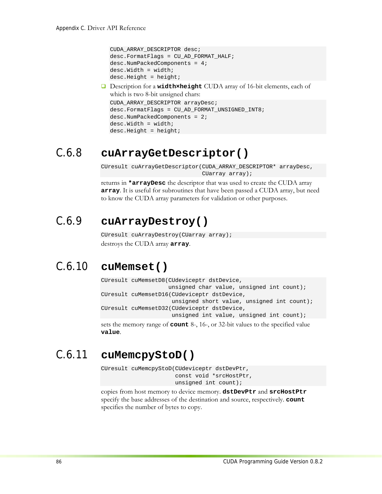```
CUDA_ARRAY_DESCRIPTOR desc; 
desc.FormatFlags = CU_AD_FORMAT_HALF; 
desc.NumPackedComponents = 4; 
desc.Width = width; 
desc.Height = height;
```
 Description for a **width×height** CUDA array of 16-bit elements, each of which is two 8-bit unsigned chars:

```
CUDA_ARRAY_DESCRIPTOR arrayDesc; 
desc.FormatFlags = CU_AD_FORMAT_UNSIGNED_INT8; 
desc.NumPackedComponents = 2; 
desc.Width = width; 
desc.Height = height;
```
# C.6.8 **cuArrayGetDescriptor()**

```
CUresult cuArrayGetDescriptor(CUDA_ARRAY_DESCRIPTOR* arrayDesc, 
                                CUarray array);
```
returns in **\*arrayDesc** the descriptor that was used to create the CUDA array **array**. It is useful for subroutines that have been passed a CUDA array, but need to know the CUDA array parameters for validation or other purposes.

### C.6.9 **cuArrayDestroy()**

CUresult cuArrayDestroy(CUarray array); destroys the CUDA array **array**.

# C.6.10 **cuMemset()**

CUresult cuMemsetD8(CUdeviceptr dstDevice, unsigned char value, unsigned int count); CUresult cuMemsetD16(CUdeviceptr dstDevice, unsigned short value, unsigned int count); CUresult cuMemsetD32(CUdeviceptr dstDevice, unsigned int value, unsigned int count); sets the memory range of **count** 8-, 16-, or 32-bit values to the specified value

**value**.

# C.6.11 **cuMemcpyStoD()**

CUresult cuMemcpyStoD(CUdeviceptr dstDevPtr, const void \*srcHostPtr, unsigned int count);

copies from host memory to device memory. **dstDevPtr** and **srcHostPtr** specify the base addresses of the destination and source, respectively. **count** specifies the number of bytes to copy.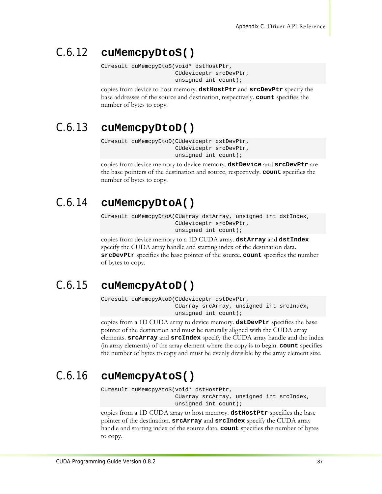# C.6.12 **cuMemcpyDtoS()**

CUresult cuMemcpyDtoS(void\* dstHostPtr, CUdeviceptr srcDevPtr, unsigned int count);

copies from device to host memory. **dstHostPtr** and **srcDevPtr** specify the base addresses of the source and destination, respectively. **count** specifies the number of bytes to copy.

### C.6.13 **cuMemcpyDtoD()**

CUresult cuMemcpyDtoD(CUdeviceptr dstDevPtr, CUdeviceptr srcDevPtr, unsigned int count);

copies from device memory to device memory. **dstDevice** and **srcDevPtr** are the base pointers of the destination and source, respectively. **count** specifies the number of bytes to copy.

# C.6.14 **cuMemcpyDtoA()**

CUresult cuMemcpyDtoA(CUarray dstArray, unsigned int dstIndex, CUdeviceptr srcDevPtr, unsigned int count);

copies from device memory to a 1D CUDA array. **dstArray** and **dstIndex** specify the CUDA array handle and starting index of the destination data. **srcDevPtr** specifies the base pointer of the source. **count** specifies the number of bytes to copy.

### C.6.15 **cuMemcpyAtoD()**

CUresult cuMemcpyAtoD(CUdeviceptr dstDevPtr, CUarray srcArray, unsigned int srcIndex, unsigned int count);

copies from a 1D CUDA array to device memory. **dstDevPtr** specifies the base pointer of the destination and must be naturally aligned with the CUDA array elements. **srcArray** and **srcIndex** specify the CUDA array handle and the index (in array elements) of the array element where the copy is to begin. **count** specifies the number of bytes to copy and must be evenly divisible by the array element size.

# C.6.16 **cuMemcpyAtoS()**

CUresult cuMemcpyAtoS(void\* dstHostPtr, CUarray srcArray, unsigned int srcIndex, unsigned int count);

copies from a 1D CUDA array to host memory. **dstHostPtr** specifies the base pointer of the destination. **srcArray** and **srcIndex** specify the CUDA array handle and starting index of the source data. **count** specifies the number of bytes to copy.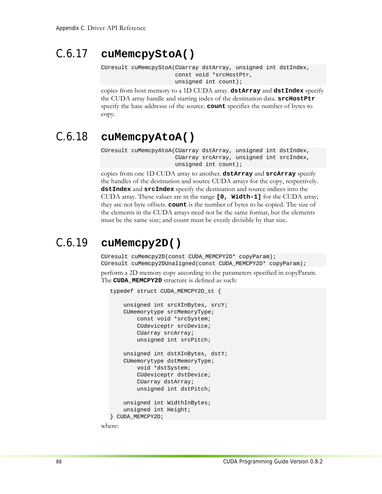# C.6.17 **cuMemcpyStoA()**

CUresult cuMemcpyStoA(CUarray dstArray, unsigned int dstIndex, const void \*srcHostPtr, unsigned int count);

copies from host memory to a 1D CUDA array. **dstArray** and **dstIndex** specify the CUDA array handle and starting index of the destination data. **srcHostPtr** specify the base addresse of the source. **count** specifies the number of bytes to copy.

# C.6.18 **cuMemcpyAtoA()**

CUresult cuMemcpyAtoA(CUarray dstArray, unsigned int dstIndex, CUarray srcArray, unsigned int srcIndex, unsigned int count);

copies from one 1D CUDA array to another. **dstArray** and **srcArray** specify the handles of the destination and source CUDA arrays for the copy, respectively. **dstIndex** and **srcIndex** specify the destination and source indices into the CUDA array. These values are in the range **[0, Width-1]** for the CUDA array; they are not byte offsets. **count** is the number of bytes to be copied. The size of the elements in the CUDA arrays need not be the same format, but the elements must be the same size; and count must be evenly divisible by that size.

# C.6.19 **cuMemcpy2D()**

CUresult cuMemcpy2D(const CUDA\_MEMCPY2D\* copyParam); CUresult cuMemcpy2DUnaligned(const CUDA\_MEMCPY2D\* copyParam); perform a 2D memory copy according to the parameters specified in copyParam. The **CUDA\_MEMCPY2D** structure is defined as such:

typedef struct CUDA\_MEMCPY2D\_st {

```
 unsigned int srcXInBytes, srcY; 
     CUmemorytype srcMemoryType; 
         const void *srcSystem; 
         CUdeviceptr srcDevice; 
         CUarray srcArray; 
         unsigned int srcPitch; 
     unsigned int dstXInBytes, dstY; 
     CUmemorytype dstMemoryType; 
         void *dstSystem; 
         CUdeviceptr dstDevice; 
         CUarray dstArray; 
         unsigned int dstPitch; 
     unsigned int WidthInBytes; 
     unsigned int Height; 
} CUDA_MEMCPY2D;
```
where: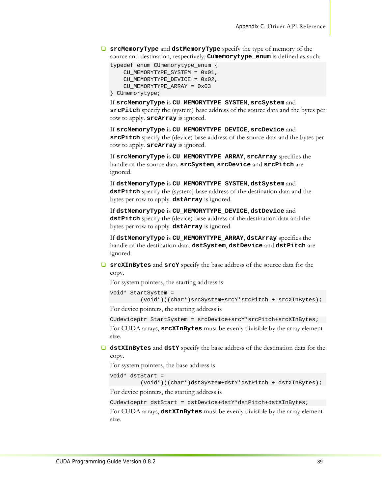**srcMemoryType** and **dstMemoryType** specify the type of memory of the source and destination, respectively; **Cumemorytype\_enum** is defined as such:

```
typedef enum CUmemorytype_enum { 
     CU_MEMORYTYPE_SYSTEM = 0x01, 
    CU MEMORYTYPE DEVICE = 0x02,
     CU_MEMORYTYPE_ARRAY = 0x03
```
} CUmemorytype;

If **srcMemoryType** is **CU\_MEMORYTYPE\_SYSTEM**, **srcSystem** and **srcPitch** specify the (system) base address of the source data and the bytes per row to apply. **srcArray** is ignored.

If **srcMemoryType** is **CU\_MEMORYTYPE\_DEVICE**, **srcDevice** and **srcPitch** specify the (device) base address of the source data and the bytes per row to apply. **srcArray** is ignored.

If **srcMemoryType** is **CU\_MEMORYTYPE\_ARRAY**, **srcArray** specifies the handle of the source data. **srcSystem**, **srcDevice** and **srcPitch** are ignored.

If **dstMemoryType** is **CU\_MEMORYTYPE\_SYSTEM**, **dstSystem** and **dstPitch** specify the (system) base address of the destination data and the bytes per row to apply. **dstArray** is ignored.

If **dstMemoryType** is **CU\_MEMORYTYPE\_DEVICE**, **dstDevice** and **dstPitch** specify the (device) base address of the destination data and the bytes per row to apply. **dstArray** is ignored.

If **dstMemoryType** is **CU\_MEMORYTYPE\_ARRAY**, **dstArray** specifies the handle of the destination data. **dstSystem**, **dstDevice** and **dstPitch** are ignored.

 **srcXInBytes** and **srcY** specify the base address of the source data for the copy.

For system pointers, the starting address is

```
void* StartSystem =
```
(void\*)((char\*)srcSystem+srcY\*srcPitch + srcXInBytes);

For device pointers, the starting address is

CUdeviceptr StartSystem = srcDevice+srcY\*srcPitch+srcXInBytes; For CUDA arrays, **srcXInBytes** must be evenly divisible by the array element size.

**d** dstXInBytes and dstY specify the base address of the destination data for the copy.

For system pointers, the base address is

```
void* dstStart =
```
 (void\*)((char\*)dstSystem+dstY\*dstPitch + dstXInBytes); For device pointers, the starting address is

CUdeviceptr dstStart = dstDevice+dstY\*dstPitch+dstXInBytes; For CUDA arrays, **dstXInBytes** must be evenly divisible by the array element size.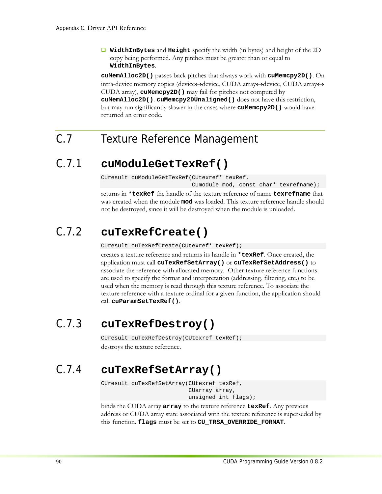**WidthInBytes** and **Height** specify the width (in bytes) and height of the 2D copy being performed. Any pitches must be greater than or equal to **WidthInBytes**.

**cuMemAlloc2D()** passes back pitches that always work with **cuMemcpy2D()**. On intra-device memory copies (device↔device, CUDA array↔device, CUDA array↔ CUDA array), **cuMemcpy2D()** may fail for pitches not computed by **cuMemAlloc2D()**. **cuMemcpy2DUnaligned()** does not have this restriction, but may run significantly slower in the cases where **cuMemcpy2D()** would have returned an error code.

# C.7 Texture Reference Management

# C.7.1 **cuModuleGetTexRef()**

CUresult cuModuleGetTexRef(CUtexref\* texRef,

CUmodule mod, const char\* texrefname);

returns in **\*texRef** the handle of the texture reference of name **texrefname** that was created when the module **mod** was loaded. This texture reference handle should not be destroyed, since it will be destroyed when the module is unloaded.

# C.7.2 **cuTexRefCreate()**

CUresult cuTexRefCreate(CUtexref\* texRef);

creates a texture reference and returns its handle in **\*texRef**. Once created, the application must call **cuTexRefSetArray()** or **cuTexRefSetAddress()** to associate the reference with allocated memory. Other texture reference functions are used to specify the format and interpretation (addressing, filtering, etc.) to be used when the memory is read through this texture reference. To associate the texture reference with a texture ordinal for a given function, the application should call **cuParamSetTexRef()**.

# C.7.3 **cuTexRefDestroy()**

CUresult cuTexRefDestroy(CUtexref texRef); destroys the texture reference.

# C.7.4 **cuTexRefSetArray()**

CUresult cuTexRefSetArray(CUtexref texRef, CUarray array, unsigned int flags);

binds the CUDA array **array** to the texture reference **texRef**. Any previous address or CUDA array state associated with the texture reference is superseded by this function. **flags** must be set to **CU\_TRSA\_OVERRIDE\_FORMAT**.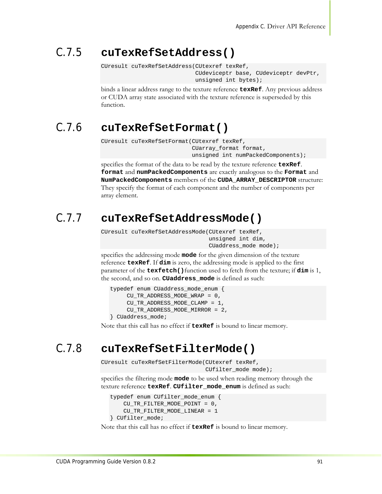#### C.7.5 **cuTexRefSetAddress()**

CUresult cuTexRefSetAddress(CUtexref texRef, CUdeviceptr base, CUdeviceptr devPtr,

unsigned int bytes);

binds a linear address range to the texture reference **texRef**. Any previous address or CUDA array state associated with the texture reference is superseded by this function.

### C.7.6 **cuTexRefSetFormat()**

CUresult cuTexRefSetFormat(CUtexref texRef, CUarray\_format format,

unsigned int numPackedComponents);

specifies the format of the data to be read by the texture reference **texRef**. **format** and **numPackedComponents** are exactly analogous to the **Format** and **NumPackedComponents** members of the **CUDA\_ARRAY\_DESCRIPTOR** structure: They specify the format of each component and the number of components per array element.

# C.7.7 **cuTexRefSetAddressMode()**

CUresult cuTexRefSetAddressMode(CUtexref texRef, unsigned int dim, CUaddress\_mode mode);

specifies the addressing mode **mode** for the given dimension of the texture reference **texRef**. If **dim** is zero, the addressing mode is applied to the first parameter of the **texfetch()**function used to fetch from the texture; if **dim** is 1, the second, and so on. **CUaddress\_mode** is defined as such:

```
typedef enum CUaddress_mode_enum { 
     CU TR ADDRESS MODE WRAP = 0,
      CU_TR_ADDRESS_MODE_CLAMP = 1, 
      CU_TR_ADDRESS_MODE_MIRROR = 2, 
} CUaddress_mode;
```
Note that this call has no effect if **texRef** is bound to linear memory.

# C.7.8 **cuTexRefSetFilterMode()**

```
CUresult cuTexRefSetFilterMode(CUtexref texRef, 
                                  CUfilter_mode mode);
```
specifies the filtering mode **mode** to be used when reading memory through the texture reference **texRef**. **CUfilter\_mode\_enum** is defined as such:

```
typedef enum CUfilter mode enum {
     CU_TR_FILTER_MODE_POINT = 0, 
     CU_TR_FILTER_MODE_LINEAR = 1 
} CUfilter_mode;
```
Note that this call has no effect if **texRef** is bound to linear memory.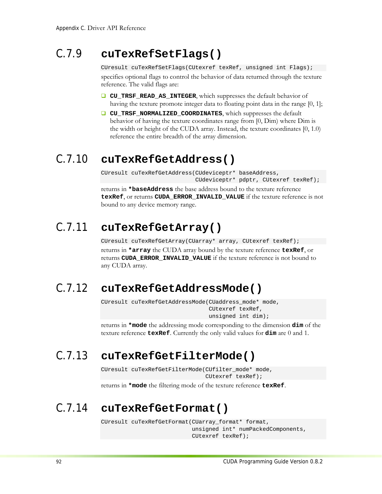# C.7.9 **cuTexRefSetFlags()**

CUresult cuTexRefSetFlags(CUtexref texRef, unsigned int Flags); specifies optional flags to control the behavior of data returned through the texture reference. The valid flags are:

- **CU\_TRSF\_READ\_AS\_INTEGER**, which suppresses the default behavior of having the texture promote integer data to floating point data in the range [0, 1];
- **CU\_TRSF\_NORMALIZED\_COORDINATES**, which suppresses the default behavior of having the texture coordinates range from [0, Dim) where Dim is the width or height of the CUDA array. Instead, the texture coordinates [0, 1.0) reference the entire breadth of the array dimension.

### C.7.10 **cuTexRefGetAddress()**

bound to any device memory range.

CUresult cuTexRefGetAddress(CUdeviceptr\* baseAddress, CUdeviceptr\* pdptr, CUtexref texRef); returns in **\*baseAddress** the base address bound to the texture reference **texRef**, or returns **CUDA\_ERROR\_INVALID\_VALUE** if the texture reference is not

# C.7.11 **cuTexRefGetArray()**

CUresult cuTexRefGetArray(CUarray\* array, CUtexref texRef); returns in **\*array** the CUDA array bound by the texture reference **texRef**, or returns **CUDA\_ERROR\_INVALID\_VALUE** if the texture reference is not bound to any CUDA array.

# C.7.12 **cuTexRefGetAddressMode()**

CUresult cuTexRefGetAddressMode(CUaddress\_mode\* mode, CUtexref texRef, unsigned int dim);

returns in **\*mode** the addressing mode corresponding to the dimension **dim** of the texture reference **texRef**. Currently the only valid values for **dim** are 0 and 1.

# C.7.13 **cuTexRefGetFilterMode()**

CUresult cuTexRefGetFilterMode(CUfilter\_mode\* mode, CUtexref texRef); returns in **\*mode** the filtering mode of the texture reference **texRef**.

### C.7.14 **cuTexRefGetFormat()**

CUresult cuTexRefGetFormat(CUarray\_format\* format, unsigned int\* numPackedComponents, CUtexref texRef);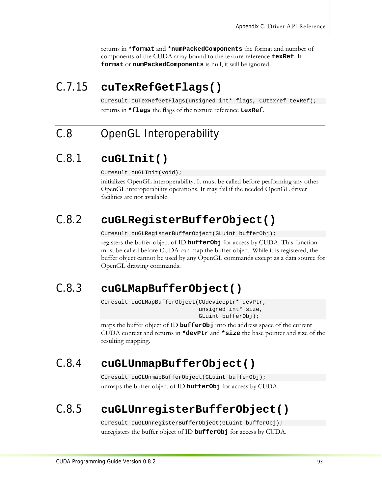returns in **\*format** and **\*numPackedComponents** the format and number of components of the CUDA array bound to the texture reference **texRef**. If **format** or **numPackedComponents** is null, it will be ignored.

# C.7.15 **cuTexRefGetFlags()**

CUresult cuTexRefGetFlags(unsigned int\* flags, CUtexref texRef); returns in **\*flags** the flags of the texture reference **texRef**.

# C.8 OpenGL Interoperability

# C.8.1 **cuGLInit()**

CUresult cuGLInit(void);

initializes OpenGL interoperability. It must be called before performing any other OpenGL interoperability operations. It may fail if the needed OpenGL driver facilities are not available.

# C.8.2 **cuGLRegisterBufferObject()**

CUresult cuGLRegisterBufferObject(GLuint bufferObj);

registers the buffer object of ID **bufferObj** for access by CUDA. This function must be called before CUDA can map the buffer object. While it is registered, the buffer object cannot be used by any OpenGL commands except as a data source for OpenGL drawing commands.

# C.8.3 **cuGLMapBufferObject()**

CUresult cuGLMapBufferObject(CUdeviceptr\* devPtr, unsigned int\* size, GLuint bufferObj);

maps the buffer object of ID **bufferObj** into the address space of the current CUDA context and returns in **\*devPtr** and **\*size** the base pointer and size of the resulting mapping.

# C.8.4 **cuGLUnmapBufferObject()**

CUresult cuGLUnmapBufferObject(GLuint bufferObj); unmaps the buffer object of ID **bufferObj** for access by CUDA.

# C.8.5 **cuGLUnregisterBufferObject()**

CUresult cuGLUnregisterBufferObject(GLuint bufferObj); unregisters the buffer object of ID **bufferObj** for access by CUDA.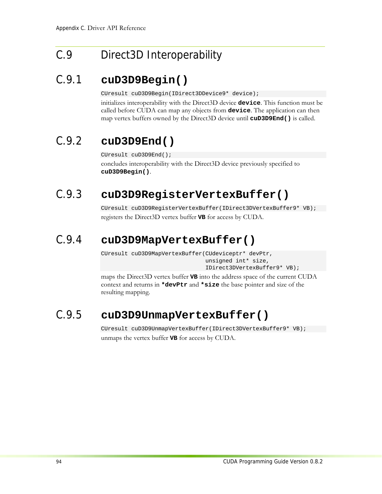# C.9 Direct3D Interoperability

# C.9.1 **cuD3D9Begin()**

CUresult cuD3D9Begin(IDirect3DDevice9\* device); initializes interoperability with the Direct3D device **device**. This function must be called before CUDA can map any objects from **device**. The application can then map vertex buffers owned by the Direct3D device until **cuD3D9End()** is called.

# C.9.2 **cuD3D9End()**

CUresult cuD3D9End();

concludes interoperability with the Direct3D device previously specified to **cuD3D9Begin()**.

# C.9.3 **cuD3D9RegisterVertexBuffer()**

CUresult cuD3D9RegisterVertexBuffer(IDirect3DVertexBuffer9\* VB); registers the Direct3D vertex buffer **VB** for access by CUDA.

# C.9.4 **cuD3D9MapVertexBuffer()**

CUresult cuD3D9MapVertexBuffer(CUdeviceptr\* devPtr, unsigned int\* size, IDirect3DVertexBuffer9\* VB);

maps the Direct3D vertex buffer **VB** into the address space of the current CUDA context and returns in **\*devPtr** and **\*size** the base pointer and size of the resulting mapping.

# C.9.5 **cuD3D9UnmapVertexBuffer()**

CUresult cuD3D9UnmapVertexBuffer(IDirect3DVertexBuffer9\* VB); unmaps the vertex buffer **VB** for access by CUDA.